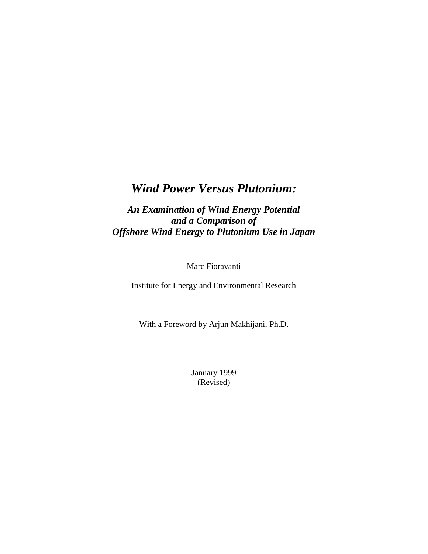# *Wind Power Versus Plutonium:*

*An Examination of Wind Energy Potential and a Comparison of Offshore Wind Energy to Plutonium Use in Japan*

Marc Fioravanti

Institute for Energy and Environmental Research

With a Foreword by Arjun Makhijani, Ph.D.

January 1999 (Revised)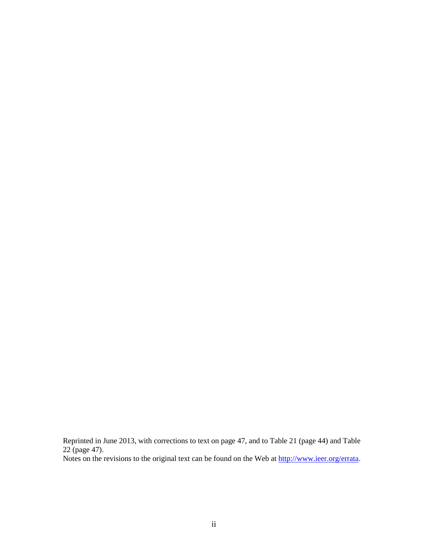Reprinted in June 2013, with corrections to text on page 47, and to Table 21 (page 44) and Table 22 (page 47).

Notes on the revisions to the original text can be found on the Web at [http://www.ieer.org/errata.](http://www.ieer.org/errata)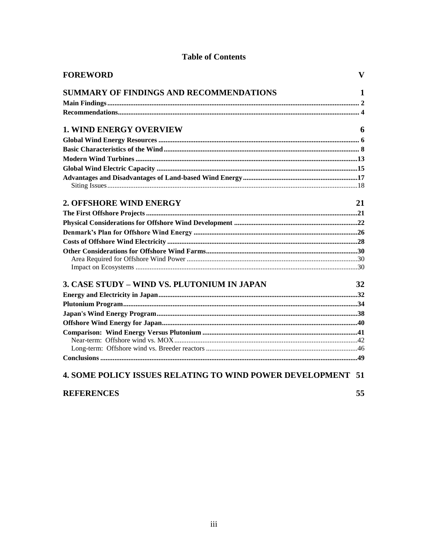|  | <b>Table of Contents</b> |
|--|--------------------------|
|--|--------------------------|

| <b>FOREWORD</b>                                                    | $\mathbf{V}$ |
|--------------------------------------------------------------------|--------------|
| SUMMARY OF FINDINGS AND RECOMMENDATIONS                            | 1            |
|                                                                    |              |
|                                                                    |              |
| <b>1. WIND ENERGY OVERVIEW</b>                                     | 6            |
|                                                                    |              |
|                                                                    |              |
|                                                                    |              |
|                                                                    |              |
|                                                                    |              |
|                                                                    |              |
| 2. OFFSHORE WIND ENERGY                                            | 21           |
|                                                                    |              |
|                                                                    |              |
|                                                                    |              |
|                                                                    |              |
|                                                                    |              |
|                                                                    |              |
|                                                                    |              |
| 3. CASE STUDY - WIND VS. PLUTONIUM IN JAPAN                        | 32           |
|                                                                    |              |
|                                                                    |              |
|                                                                    |              |
|                                                                    |              |
|                                                                    |              |
|                                                                    |              |
|                                                                    |              |
|                                                                    |              |
| <b>4. SOME POLICY ISSUES RELATING TO WIND POWER DEVELOPMENT 51</b> |              |
| <b>REFERENCES</b>                                                  | 55           |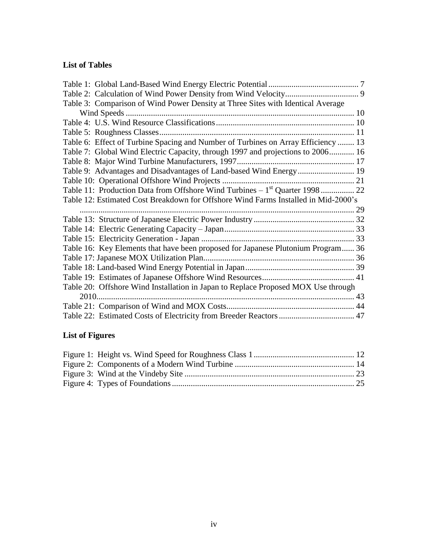## **List of Tables**

|      | Table 3: Comparison of Wind Power Density at Three Sites with Identical Average    |  |
|------|------------------------------------------------------------------------------------|--|
|      |                                                                                    |  |
|      |                                                                                    |  |
|      | Table 5: Roughness Classes                                                         |  |
|      | Table 6: Effect of Turbine Spacing and Number of Turbines on Array Efficiency  13  |  |
|      | Table 7: Global Wind Electric Capacity, through 1997 and projections to 2006 16    |  |
|      |                                                                                    |  |
|      |                                                                                    |  |
|      |                                                                                    |  |
|      | Table 11: Production Data from Offshore Wind Turbines $-1st$ Quarter 1998 22       |  |
|      | Table 12: Estimated Cost Breakdown for Offshore Wind Farms Installed in Mid-2000's |  |
|      |                                                                                    |  |
|      |                                                                                    |  |
|      |                                                                                    |  |
|      |                                                                                    |  |
|      | Table 16: Key Elements that have been proposed for Japanese Plutonium Program 36   |  |
|      |                                                                                    |  |
|      |                                                                                    |  |
|      |                                                                                    |  |
|      | Table 20: Offshore Wind Installation in Japan to Replace Proposed MOX Use through  |  |
| 2010 |                                                                                    |  |
|      |                                                                                    |  |
|      |                                                                                    |  |
|      |                                                                                    |  |

## **List of Figures**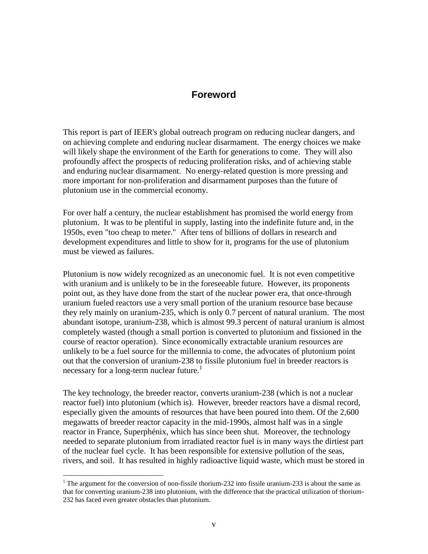## **Foreword**

This report is part of IEER's global outreach program on reducing nuclear dangers, and on achieving complete and enduring nuclear disarmament. The energy choices we make will likely shape the environment of the Earth for generations to come. They will also profoundly affect the prospects of reducing proliferation risks, and of achieving stable and enduring nuclear disarmament. No energy-related question is more pressing and more important for non-proliferation and disarmament purposes than the future of plutonium use in the commercial economy.

For over half a century, the nuclear establishment has promised the world energy from plutonium. It was to be plentiful in supply, lasting into the indefinite future and, in the 1950s, even "too cheap to meter." After tens of billions of dollars in research and development expenditures and little to show for it, programs for the use of plutonium must be viewed as failures.

Plutonium is now widely recognized as an uneconomic fuel. It is not even competitive with uranium and is unlikely to be in the foreseeable future. However, its proponents point out, as they have done from the start of the nuclear power era, that once-through uranium fueled reactors use a very small portion of the uranium resource base because they rely mainly on uranium-235, which is only 0.7 percent of natural uranium. The most abundant isotope, uranium-238, which is almost 99.3 percent of natural uranium is almost completely wasted (though a small portion is converted to plutonium and fissioned in the course of reactor operation). Since economically extractable uranium resources are unlikely to be a fuel source for the millennia to come, the advocates of plutonium point out that the conversion of uranium-238 to fissile plutonium fuel in breeder reactors is necessary for a long-term nuclear future.<sup>1</sup>

The key technology, the breeder reactor, converts uranium-238 (which is not a nuclear reactor fuel) into plutonium (which is). However, breeder reactors have a dismal record, especially given the amounts of resources that have been poured into them. Of the 2,600 megawatts of breeder reactor capacity in the mid-1990s, almost half was in a single reactor in France, Superphénix, which has since been shut. Moreover, the technology needed to separate plutonium from irradiated reactor fuel is in many ways the dirtiest part of the nuclear fuel cycle. It has been responsible for extensive pollution of the seas, rivers, and soil. It has resulted in highly radioactive liquid waste, which must be stored in

<sup>&</sup>lt;sup>1</sup> The argument for the conversion of non-fissile thorium-232 into fissile uranium-233 is about the same as that for converting uranium-238 into plutonium, with the difference that the practical utilization of thorium-232 has faced even greater obstacles than plutonium.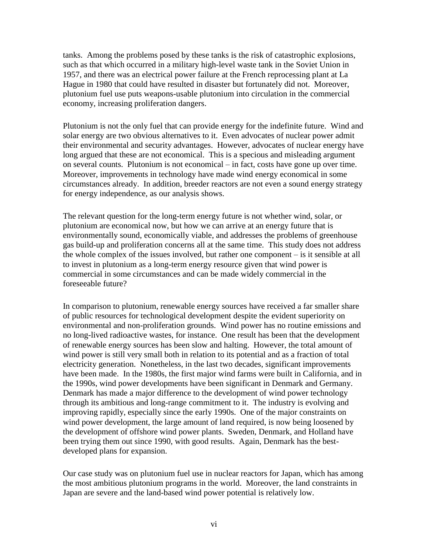tanks. Among the problems posed by these tanks is the risk of catastrophic explosions, such as that which occurred in a military high-level waste tank in the Soviet Union in 1957, and there was an electrical power failure at the French reprocessing plant at La Hague in 1980 that could have resulted in disaster but fortunately did not. Moreover, plutonium fuel use puts weapons-usable plutonium into circulation in the commercial economy, increasing proliferation dangers.

Plutonium is not the only fuel that can provide energy for the indefinite future. Wind and solar energy are two obvious alternatives to it. Even advocates of nuclear power admit their environmental and security advantages. However, advocates of nuclear energy have long argued that these are not economical. This is a specious and misleading argument on several counts. Plutonium is not economical – in fact, costs have gone up over time. Moreover, improvements in technology have made wind energy economical in some circumstances already. In addition, breeder reactors are not even a sound energy strategy for energy independence, as our analysis shows.

The relevant question for the long-term energy future is not whether wind, solar, or plutonium are economical now, but how we can arrive at an energy future that is environmentally sound, economically viable, and addresses the problems of greenhouse gas build-up and proliferation concerns all at the same time. This study does not address the whole complex of the issues involved, but rather one component – is it sensible at all to invest in plutonium as a long-term energy resource given that wind power is commercial in some circumstances and can be made widely commercial in the foreseeable future?

In comparison to plutonium, renewable energy sources have received a far smaller share of public resources for technological development despite the evident superiority on environmental and non-proliferation grounds. Wind power has no routine emissions and no long-lived radioactive wastes, for instance. One result has been that the development of renewable energy sources has been slow and halting. However, the total amount of wind power is still very small both in relation to its potential and as a fraction of total electricity generation. Nonetheless, in the last two decades, significant improvements have been made. In the 1980s, the first major wind farms were built in California, and in the 1990s, wind power developments have been significant in Denmark and Germany. Denmark has made a major difference to the development of wind power technology through its ambitious and long-range commitment to it. The industry is evolving and improving rapidly, especially since the early 1990s. One of the major constraints on wind power development, the large amount of land required, is now being loosened by the development of offshore wind power plants. Sweden, Denmark, and Holland have been trying them out since 1990, with good results. Again, Denmark has the bestdeveloped plans for expansion.

Our case study was on plutonium fuel use in nuclear reactors for Japan, which has among the most ambitious plutonium programs in the world. Moreover, the land constraints in Japan are severe and the land-based wind power potential is relatively low.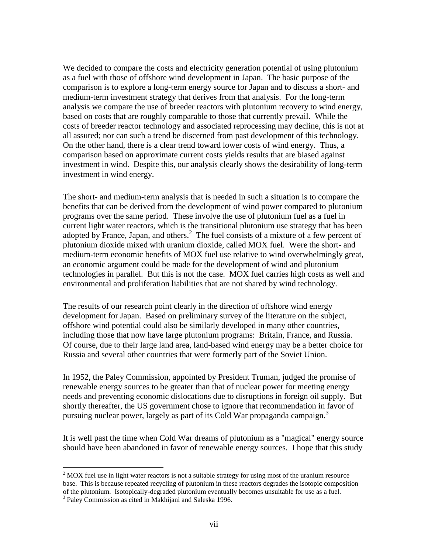We decided to compare the costs and electricity generation potential of using plutonium as a fuel with those of offshore wind development in Japan. The basic purpose of the comparison is to explore a long-term energy source for Japan and to discuss a short- and medium-term investment strategy that derives from that analysis. For the long-term analysis we compare the use of breeder reactors with plutonium recovery to wind energy, based on costs that are roughly comparable to those that currently prevail. While the costs of breeder reactor technology and associated reprocessing may decline, this is not at all assured; nor can such a trend be discerned from past development of this technology. On the other hand, there is a clear trend toward lower costs of wind energy. Thus, a comparison based on approximate current costs yields results that are biased against investment in wind. Despite this, our analysis clearly shows the desirability of long-term investment in wind energy.

The short- and medium-term analysis that is needed in such a situation is to compare the benefits that can be derived from the development of wind power compared to plutonium programs over the same period. These involve the use of plutonium fuel as a fuel in current light water reactors, which is the transitional plutonium use strategy that has been adopted by France, Japan, and others.<sup>2</sup> The fuel consists of a mixture of a few percent of plutonium dioxide mixed with uranium dioxide, called MOX fuel. Were the short- and medium-term economic benefits of MOX fuel use relative to wind overwhelmingly great, an economic argument could be made for the development of wind and plutonium technologies in parallel. But this is not the case. MOX fuel carries high costs as well and environmental and proliferation liabilities that are not shared by wind technology.

The results of our research point clearly in the direction of offshore wind energy development for Japan. Based on preliminary survey of the literature on the subject, offshore wind potential could also be similarly developed in many other countries, including those that now have large plutonium programs: Britain, France, and Russia. Of course, due to their large land area, land-based wind energy may be a better choice for Russia and several other countries that were formerly part of the Soviet Union.

In 1952, the Paley Commission, appointed by President Truman, judged the promise of renewable energy sources to be greater than that of nuclear power for meeting energy needs and preventing economic dislocations due to disruptions in foreign oil supply. But shortly thereafter, the US government chose to ignore that recommendation in favor of pursuing nuclear power, largely as part of its Cold War propaganda campaign.<sup>3</sup>

It is well past the time when Cold War dreams of plutonium as a "magical" energy source should have been abandoned in favor of renewable energy sources. I hope that this study

 $2$  MOX fuel use in light water reactors is not a suitable strategy for using most of the uranium resource base. This is because repeated recycling of plutonium in these reactors degrades the isotopic composition of the plutonium. Isotopically-degraded plutonium eventually becomes unsuitable for use as a fuel.

<sup>&</sup>lt;sup>3</sup> Paley Commission as cited in Makhijani and Saleska 1996.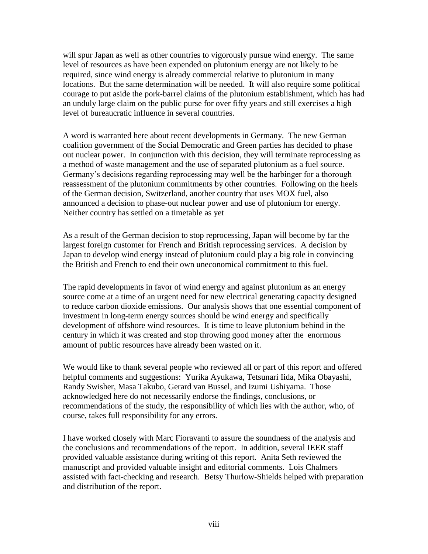will spur Japan as well as other countries to vigorously pursue wind energy. The same level of resources as have been expended on plutonium energy are not likely to be required, since wind energy is already commercial relative to plutonium in many locations. But the same determination will be needed. It will also require some political courage to put aside the pork-barrel claims of the plutonium establishment, which has had an unduly large claim on the public purse for over fifty years and still exercises a high level of bureaucratic influence in several countries.

A word is warranted here about recent developments in Germany. The new German coalition government of the Social Democratic and Green parties has decided to phase out nuclear power. In conjunction with this decision, they will terminate reprocessing as a method of waste management and the use of separated plutonium as a fuel source. Germany's decisions regarding reprocessing may well be the harbinger for a thorough reassessment of the plutonium commitments by other countries. Following on the heels of the German decision, Switzerland, another country that uses MOX fuel, also announced a decision to phase-out nuclear power and use of plutonium for energy. Neither country has settled on a timetable as yet

As a result of the German decision to stop reprocessing, Japan will become by far the largest foreign customer for French and British reprocessing services. A decision by Japan to develop wind energy instead of plutonium could play a big role in convincing the British and French to end their own uneconomical commitment to this fuel.

The rapid developments in favor of wind energy and against plutonium as an energy source come at a time of an urgent need for new electrical generating capacity designed to reduce carbon dioxide emissions. Our analysis shows that one essential component of investment in long-term energy sources should be wind energy and specifically development of offshore wind resources. It is time to leave plutonium behind in the century in which it was created and stop throwing good money after the enormous amount of public resources have already been wasted on it.

We would like to thank several people who reviewed all or part of this report and offered helpful comments and suggestions: Yurika Ayukawa, Tetsunari Iida, Mika Obayashi, Randy Swisher, Masa Takubo, Gerard van Bussel, and Izumi Ushiyama. Those acknowledged here do not necessarily endorse the findings, conclusions, or recommendations of the study, the responsibility of which lies with the author, who, of course, takes full responsibility for any errors.

I have worked closely with Marc Fioravanti to assure the soundness of the analysis and the conclusions and recommendations of the report. In addition, several IEER staff provided valuable assistance during writing of this report. Anita Seth reviewed the manuscript and provided valuable insight and editorial comments. Lois Chalmers assisted with fact-checking and research. Betsy Thurlow-Shields helped with preparation and distribution of the report.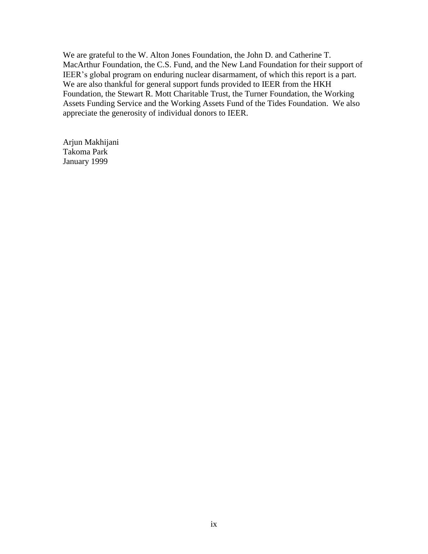We are grateful to the W. Alton Jones Foundation, the John D. and Catherine T. MacArthur Foundation, the C.S. Fund, and the New Land Foundation for their support of IEER's global program on enduring nuclear disarmament, of which this report is a part. We are also thankful for general support funds provided to IEER from the HKH Foundation, the Stewart R. Mott Charitable Trust, the Turner Foundation, the Working Assets Funding Service and the Working Assets Fund of the Tides Foundation. We also appreciate the generosity of individual donors to IEER.

Arjun Makhijani Takoma Park January 1999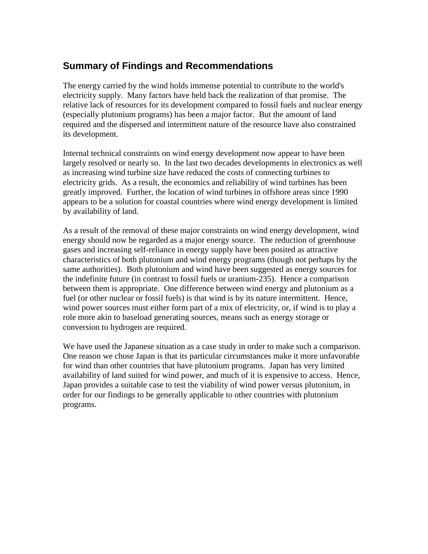## **Summary of Findings and Recommendations**

The energy carried by the wind holds immense potential to contribute to the world's electricity supply. Many factors have held back the realization of that promise. The relative lack of resources for its development compared to fossil fuels and nuclear energy (especially plutonium programs) has been a major factor. But the amount of land required and the dispersed and intermittent nature of the resource have also constrained its development.

Internal technical constraints on wind energy development now appear to have been largely resolved or nearly so. In the last two decades developments in electronics as well as increasing wind turbine size have reduced the costs of connecting turbines to electricity grids. As a result, the economics and reliability of wind turbines has been greatly improved. Further, the location of wind turbines in offshore areas since 1990 appears to be a solution for coastal countries where wind energy development is limited by availability of land.

As a result of the removal of these major constraints on wind energy development, wind energy should now be regarded as a major energy source. The reduction of greenhouse gases and increasing self-reliance in energy supply have been posited as attractive characteristics of both plutonium and wind energy programs (though not perhaps by the same authorities). Both plutonium and wind have been suggested as energy sources for the indefinite future (in contrast to fossil fuels or uranium-235). Hence a comparison between them is appropriate. One difference between wind energy and plutonium as a fuel (or other nuclear or fossil fuels) is that wind is by its nature intermittent. Hence, wind power sources must either form part of a mix of electricity, or, if wind is to play a role more akin to baseload generating sources, means such as energy storage or conversion to hydrogen are required.

We have used the Japanese situation as a case study in order to make such a comparison. One reason we chose Japan is that its particular circumstances make it more unfavorable for wind than other countries that have plutonium programs. Japan has very limited availability of land suited for wind power, and much of it is expensive to access. Hence, Japan provides a suitable case to test the viability of wind power versus plutonium, in order for our findings to be generally applicable to other countries with plutonium programs.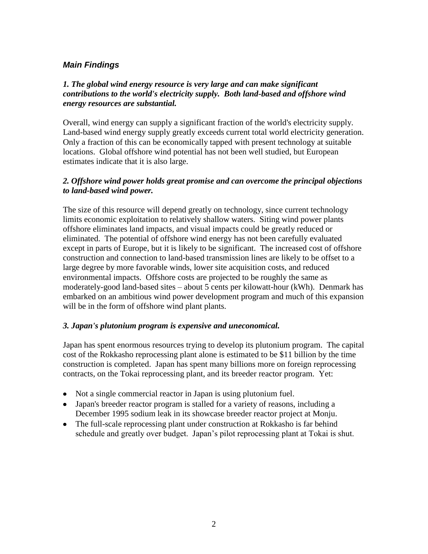## *Main Findings*

## *1. The global wind energy resource is very large and can make significant contributions to the world's electricity supply. Both land-based and offshore wind energy resources are substantial.*

Overall, wind energy can supply a significant fraction of the world's electricity supply. Land-based wind energy supply greatly exceeds current total world electricity generation. Only a fraction of this can be economically tapped with present technology at suitable locations. Global offshore wind potential has not been well studied, but European estimates indicate that it is also large.

### *2. Offshore wind power holds great promise and can overcome the principal objections to land-based wind power.*

The size of this resource will depend greatly on technology, since current technology limits economic exploitation to relatively shallow waters. Siting wind power plants offshore eliminates land impacts, and visual impacts could be greatly reduced or eliminated. The potential of offshore wind energy has not been carefully evaluated except in parts of Europe, but it is likely to be significant. The increased cost of offshore construction and connection to land-based transmission lines are likely to be offset to a large degree by more favorable winds, lower site acquisition costs, and reduced environmental impacts. Offshore costs are projected to be roughly the same as moderately-good land-based sites – about 5 cents per kilowatt-hour (kWh). Denmark has embarked on an ambitious wind power development program and much of this expansion will be in the form of offshore wind plant plants.

#### *3. Japan's plutonium program is expensive and uneconomical.*

Japan has spent enormous resources trying to develop its plutonium program. The capital cost of the Rokkasho reprocessing plant alone is estimated to be \$11 billion by the time construction is completed. Japan has spent many billions more on foreign reprocessing contracts, on the Tokai reprocessing plant, and its breeder reactor program. Yet:

- Not a single commercial reactor in Japan is using plutonium fuel.
- Japan's breeder reactor program is stalled for a variety of reasons, including a December 1995 sodium leak in its showcase breeder reactor project at Monju.
- The full-scale reprocessing plant under construction at Rokkasho is far behind schedule and greatly over budget. Japan's pilot reprocessing plant at Tokai is shut.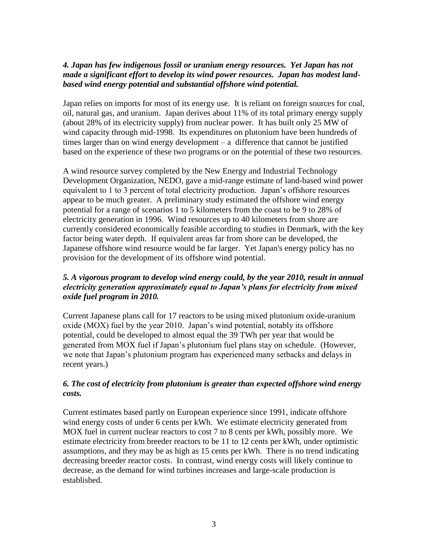### *4. Japan has few indigenous fossil or uranium energy resources. Yet Japan has not made a significant effort to develop its wind power resources. Japan has modest landbased wind energy potential and substantial offshore wind potential.*

Japan relies on imports for most of its energy use. It is reliant on foreign sources for coal, oil, natural gas, and uranium. Japan derives about 11% of its total primary energy supply (about 28% of its electricity supply) from nuclear power. It has built only 25 MW of wind capacity through mid-1998. Its expenditures on plutonium have been hundreds of times larger than on wind energy development – a difference that cannot be justified based on the experience of these two programs or on the potential of these two resources.

A wind resource survey completed by the New Energy and Industrial Technology Development Organization, NEDO, gave a mid-range estimate of land-based wind power equivalent to 1 to 3 percent of total electricity production. Japan's offshore resources appear to be much greater. A preliminary study estimated the offshore wind energy potential for a range of scenarios 1 to 5 kilometers from the coast to be 9 to 28% of electricity generation in 1996. Wind resources up to 40 kilometers from shore are currently considered economically feasible according to studies in Denmark, with the key factor being water depth. If equivalent areas far from shore can be developed, the Japanese offshore wind resource would be far larger. Yet Japan's energy policy has no provision for the development of its offshore wind potential.

## *5. A vigorous program to develop wind energy could, by the year 2010, result in annual electricity generation approximately equal to Japan's plans for electricity from mixed oxide fuel program in 2010.*

Current Japanese plans call for 17 reactors to be using mixed plutonium oxide-uranium oxide (MOX) fuel by the year 2010. Japan's wind potential, notably its offshore potential, could be developed to almost equal the 39 TWh per year that would be generated from MOX fuel if Japan's plutonium fuel plans stay on schedule. (However, we note that Japan's plutonium program has experienced many setbacks and delays in recent years.)

## *6. The cost of electricity from plutonium is greater than expected offshore wind energy costs.*

Current estimates based partly on European experience since 1991, indicate offshore wind energy costs of under 6 cents per kWh. We estimate electricity generated from MOX fuel in current nuclear reactors to cost 7 to 8 cents per kWh, possibly more. We estimate electricity from breeder reactors to be 11 to 12 cents per kWh, under optimistic assumptions, and they may be as high as 15 cents per kWh. There is no trend indicating decreasing breeder reactor costs. In contrast, wind energy costs will likely continue to decrease, as the demand for wind turbines increases and large-scale production is established.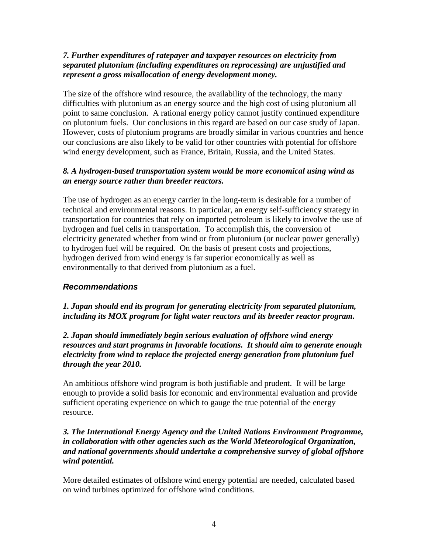## *7. Further expenditures of ratepayer and taxpayer resources on electricity from separated plutonium (including expenditures on reprocessing) are unjustified and represent a gross misallocation of energy development money.*

The size of the offshore wind resource, the availability of the technology, the many difficulties with plutonium as an energy source and the high cost of using plutonium all point to same conclusion. A rational energy policy cannot justify continued expenditure on plutonium fuels. Our conclusions in this regard are based on our case study of Japan. However, costs of plutonium programs are broadly similar in various countries and hence our conclusions are also likely to be valid for other countries with potential for offshore wind energy development, such as France, Britain, Russia, and the United States.

## *8. A hydrogen-based transportation system would be more economical using wind as an energy source rather than breeder reactors.*

The use of hydrogen as an energy carrier in the long-term is desirable for a number of technical and environmental reasons. In particular, an energy self-sufficiency strategy in transportation for countries that rely on imported petroleum is likely to involve the use of hydrogen and fuel cells in transportation. To accomplish this, the conversion of electricity generated whether from wind or from plutonium (or nuclear power generally) to hydrogen fuel will be required. On the basis of present costs and projections, hydrogen derived from wind energy is far superior economically as well as environmentally to that derived from plutonium as a fuel.

## *Recommendations*

*1. Japan should end its program for generating electricity from separated plutonium, including its MOX program for light water reactors and its breeder reactor program.*

*2. Japan should immediately begin serious evaluation of offshore wind energy resources and start programs in favorable locations. It should aim to generate enough electricity from wind to replace the projected energy generation from plutonium fuel through the year 2010.* 

An ambitious offshore wind program is both justifiable and prudent. It will be large enough to provide a solid basis for economic and environmental evaluation and provide sufficient operating experience on which to gauge the true potential of the energy resource.

### *3. The International Energy Agency and the United Nations Environment Programme, in collaboration with other agencies such as the World Meteorological Organization, and national governments should undertake a comprehensive survey of global offshore wind potential.*

More detailed estimates of offshore wind energy potential are needed, calculated based on wind turbines optimized for offshore wind conditions.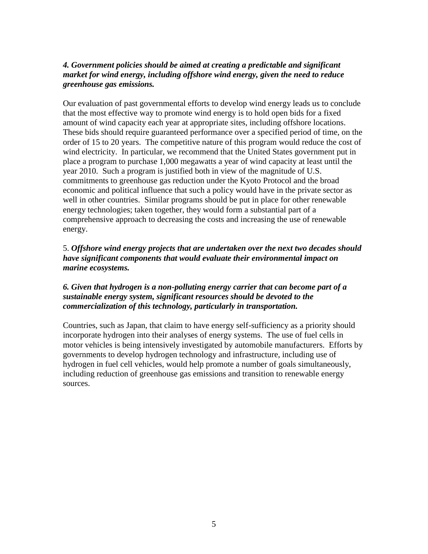## 4. Government policies should be aimed at creating a predictable and significant *market for wind energy, including offshore wind energy, given the need to reduce greenhouse gas emissions.*

Our evaluation of past governmental efforts to develop wind energy leads us to conclude that the most effective way to promote wind energy is to hold open bids for a fixed amount of wind capacity each year at appropriate sites, including offshore locations. These bids should require guaranteed performance over a specified period of time, on the order of 15 to 20 years. The competitive nature of this program would reduce the cost of wind electricity. In particular, we recommend that the United States government put in place a program to purchase 1,000 megawatts a year of wind capacity at least until the year 2010. Such a program is justified both in view of the magnitude of U.S. commitments to greenhouse gas reduction under the Kyoto Protocol and the broad economic and political influence that such a policy would have in the private sector as well in other countries. Similar programs should be put in place for other renewable energy technologies; taken together, they would form a substantial part of a comprehensive approach to decreasing the costs and increasing the use of renewable energy.

## 5. *Offshore wind energy projects that are undertaken over the next two decades should have significant components that would evaluate their environmental impact on marine ecosystems.*

## *6. Given that hydrogen is a non-polluting energy carrier that can become part of a sustainable energy system, significant resources should be devoted to the commercialization of this technology, particularly in transportation.*

Countries, such as Japan, that claim to have energy self-sufficiency as a priority should incorporate hydrogen into their analyses of energy systems. The use of fuel cells in motor vehicles is being intensively investigated by automobile manufacturers. Efforts by governments to develop hydrogen technology and infrastructure, including use of hydrogen in fuel cell vehicles, would help promote a number of goals simultaneously, including reduction of greenhouse gas emissions and transition to renewable energy sources.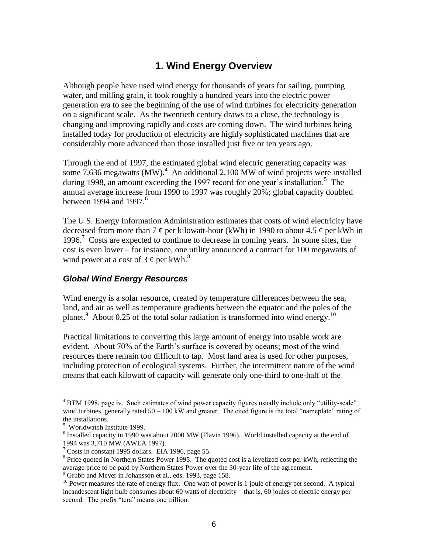## **1. Wind Energy Overview**

Although people have used wind energy for thousands of years for sailing, pumping water, and milling grain, it took roughly a hundred years into the electric power generation era to see the beginning of the use of wind turbines for electricity generation on a significant scale. As the twentieth century draws to a close, the technology is changing and improving rapidly and costs are coming down. The wind turbines being installed today for production of electricity are highly sophisticated machines that are considerably more advanced than those installed just five or ten years ago.

Through the end of 1997, the estimated global wind electric generating capacity was some  $7,636$  megawatts (MW).<sup>4</sup> An additional 2,100 MW of wind projects were installed during 1998, an amount exceeding the 1997 record for one year's installation.<sup>5</sup> The annual average increase from 1990 to 1997 was roughly 20%; global capacity doubled between 1994 and 1997. $^6$ 

The U.S. Energy Information Administration estimates that costs of wind electricity have decreased from more than 7  $\phi$  per kilowatt-hour (kWh) in 1990 to about 4.5  $\phi$  per kWh in 1996.<sup>7</sup> Costs are expected to continue to decrease in coming years. In some sites, the cost is even lower – for instance, one utility announced a contract for 100 megawatts of wind power at a cost of 3  $\phi$  per kWh.<sup>8</sup>

## *Global Wind Energy Resources*

Wind energy is a solar resource, created by temperature differences between the sea, land, and air as well as temperature gradients between the equator and the poles of the planet.<sup>9</sup> About 0.25 of the total solar radiation is transformed into wind energy.<sup>10</sup>

Practical limitations to converting this large amount of energy into usable work are evident. About 70% of the Earth's surface is covered by oceans; most of the wind resources there remain too difficult to tap. Most land area is used for other purposes, including protection of ecological systems. Further, the intermittent nature of the wind means that each kilowatt of capacity will generate only one-third to one-half of the

<sup>&</sup>lt;sup>4</sup> BTM 1998, page iv. Such estimates of wind power capacity figures usually include only "utility-scale" wind turbines, generally rated  $50 - 100$  kW and greater. The cited figure is the total "nameplate" rating of the installations.

<sup>5</sup> Worldwatch Institute 1999.

 $6$  Installed capacity in 1990 was about 2000 MW (Flavin 1996). World installed capacity at the end of 1994 was 3,710 MW (AWEA 1997).

 $7$  Costs in constant 1995 dollars. EIA 1996, page 55.

 $8$  Price quoted in Northern States Power 1995. The quoted cost is a levelized cost per kWh, reflecting the average price to be paid by Northern States Power over the 30-year life of the agreement.

<sup>&</sup>lt;sup>9</sup> Grubb and Meyer in Johansson et al., eds. 1993, page 158.

<sup>&</sup>lt;sup>10</sup> Power measures the rate of energy flux. One watt of power is 1 joule of energy per second. A typical incandescent light bulb consumes about 60 watts of electricity – that is, 60 joules of electric energy per second. The prefix "tera" means one trillion.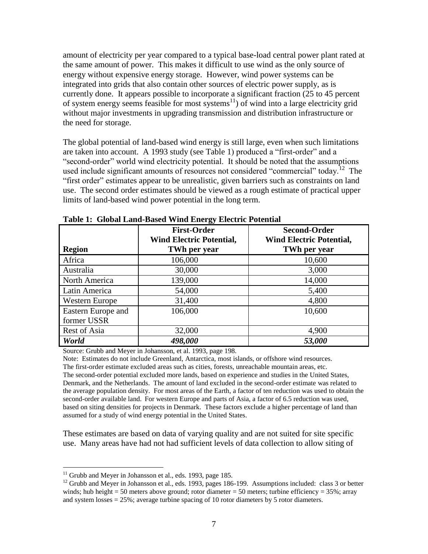amount of electricity per year compared to a typical base-load central power plant rated at the same amount of power. This makes it difficult to use wind as the only source of energy without expensive energy storage. However, wind power systems can be integrated into grids that also contain other sources of electric power supply, as is currently done. It appears possible to incorporate a significant fraction (25 to 45 percent of system energy seems feasible for most systems<sup>11</sup>) of wind into a large electricity grid without major investments in upgrading transmission and distribution infrastructure or the need for storage.

The global potential of land-based wind energy is still large, even when such limitations are taken into account. A 1993 study (see [Table 1\)](#page-15-0) produced a "first-order" and a "second-order" world wind electricity potential. It should be noted that the assumptions used include significant amounts of resources not considered "commercial" today.<sup>12</sup> The "first order" estimates appear to be unrealistic, given barriers such as constraints on land use. The second order estimates should be viewed as a rough estimate of practical upper limits of land-based wind power potential in the long term.

| <b>Region</b>      | <b>First-Order</b><br><b>Wind Electric Potential,</b><br>TWh per year | <b>Second-Order</b><br><b>Wind Electric Potential,</b><br>TWh per year |
|--------------------|-----------------------------------------------------------------------|------------------------------------------------------------------------|
| Africa             | 106,000                                                               | 10,600                                                                 |
| Australia          | 30,000                                                                | 3,000                                                                  |
| North America      | 139,000                                                               | 14,000                                                                 |
| Latin America      | 54,000                                                                | 5,400                                                                  |
| Western Europe     | 31,400                                                                | 4,800                                                                  |
| Eastern Europe and | 106,000                                                               | 10,600                                                                 |
| former USSR        |                                                                       |                                                                        |
| Rest of Asia       | 32,000                                                                | 4,900                                                                  |
| World              | 498,000                                                               | 53,000                                                                 |

<span id="page-15-0"></span>**Table 1: Global Land-Based Wind Energy Electric Potential**

Source: Grubb and Meyer in Johansson, et al. 1993, page 198.

Note: Estimates do not include Greenland, Antarctica, most islands, or offshore wind resources. The first-order estimate excluded areas such as cities, forests, unreachable mountain areas, etc. The second-order potential excluded more lands, based on experience and studies in the United States, Denmark, and the Netherlands. The amount of land excluded in the second-order estimate was related to the average population density. For most areas of the Earth, a factor of ten reduction was used to obtain the second-order available land. For western Europe and parts of Asia, a factor of 6.5 reduction was used, based on siting densities for projects in Denmark. These factors exclude a higher percentage of land than assumed for a study of wind energy potential in the United States.

These estimates are based on data of varying quality and are not suited for site specific use. Many areas have had not had sufficient levels of data collection to allow siting of

 $11$  Grubb and Meyer in Johansson et al., eds. 1993, page 185.

<sup>&</sup>lt;sup>12</sup> Grubb and Meyer in Johansson et al., eds. 1993, pages 186-199. Assumptions included: class 3 or better winds; hub height = 50 meters above ground; rotor diameter = 50 meters; turbine efficiency =  $35\%$ ; array and system losses = 25%; average turbine spacing of 10 rotor diameters by 5 rotor diameters.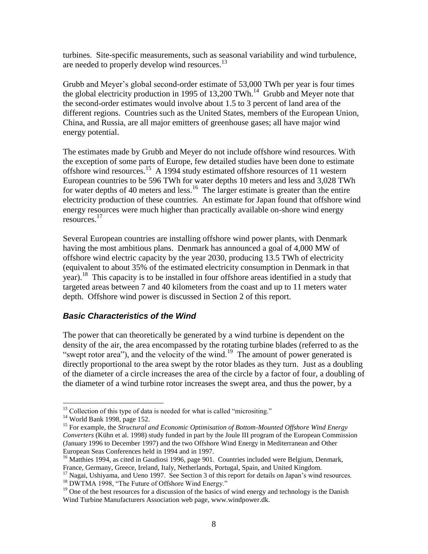turbines. Site-specific measurements, such as seasonal variability and wind turbulence, are needed to properly develop wind resources.<sup>13</sup>

Grubb and Meyer's global second-order estimate of 53,000 TWh per year is four times the global electricity production in 1995 of 13,200 TWh.<sup>14</sup> Grubb and Meyer note that the second-order estimates would involve about 1.5 to 3 percent of land area of the different regions. Countries such as the United States, members of the European Union, China, and Russia, are all major emitters of greenhouse gases; all have major wind energy potential.

The estimates made by Grubb and Meyer do not include offshore wind resources. With the exception of some parts of Europe, few detailed studies have been done to estimate offshore wind resources.<sup>15</sup> A 1994 study estimated offshore resources of 11 western European countries to be 596 TWh for water depths 10 meters and less and 3,028 TWh for water depths of 40 meters and less.<sup>16</sup> The larger estimate is greater than the entire electricity production of these countries. An estimate for Japan found that offshore wind energy resources were much higher than practically available on-shore wind energy resources. 17

Several European countries are installing offshore wind power plants, with Denmark having the most ambitious plans. Denmark has announced a goal of 4,000 MW of offshore wind electric capacity by the year 2030, producing 13.5 TWh of electricity (equivalent to about 35% of the estimated electricity consumption in Denmark in that year).<sup>18</sup> This capacity is to be installed in four offshore areas identified in a study that targeted areas between 7 and 40 kilometers from the coast and up to 11 meters water depth. Offshore wind power is discussed in Section 2 of this report.

## *Basic Characteristics of the Wind*

The power that can theoretically be generated by a wind turbine is dependent on the density of the air, the area encompassed by the rotating turbine blades (referred to as the "swept rotor area"), and the velocity of the wind.<sup>19</sup> The amount of power generated is directly proportional to the area swept by the rotor blades as they turn. Just as a doubling of the diameter of a circle increases the area of the circle by a factor of four, a doubling of the diameter of a wind turbine rotor increases the swept area, and thus the power, by a

 $\overline{a}$ 

 $17$  Nagai, Ushiyama, and Ueno 1997. See Section 3 of this report for details on Japan's wind resources.

<sup>18</sup> DWTMA 1998, "The Future of Offshore Wind Energy."

<sup>&</sup>lt;sup>13</sup> Collection of this type of data is needed for what is called "micrositing."

<sup>14</sup> World Bank 1998, page 152.

<sup>15</sup> For example, the *Structural and Economic Optimisation of Bottom-Mounted Offshore Wind Energy Converters* (Kühn et al. 1998) study funded in part by the Joule III program of the European Commission (January 1996 to December 1997) and the two Offshore Wind Energy in Mediterranean and Other European Seas Conferences held in 1994 and in 1997.

<sup>&</sup>lt;sup>16</sup> Matthies 1994, as cited in Gaudiosi 1996, page 901. Countries included were Belgium, Denmark, France, Germany, Greece, Ireland, Italy, Netherlands, Portugal, Spain, and United Kingdom.

 $<sup>19</sup>$  One of the best resources for a discussion of the basics of wind energy and technology is the Danish</sup> Wind Turbine Manufacturers Association web page, www.windpower.dk.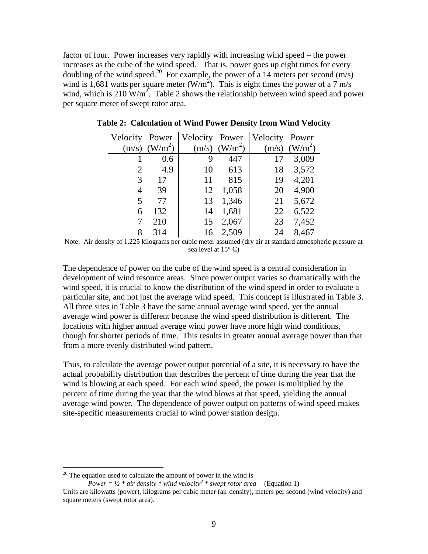factor of four. Power increases very rapidly with increasing wind speed – the power increases as the cube of the wind speed. That is, power goes up eight times for every doubling of the wind speed.<sup>20</sup> For example, the power of a 14 meters per second  $(m/s)$ wind is 1,681 watts per square meter  $(W/m<sup>2</sup>)$ . This is eight times the power of a 7 m/s wind, which is 210  $\text{W/m}^2$ . [Table 2](#page-17-0) shows the relationship between wind speed and power per square meter of swept rotor area.

| Velocity Power |                     | Velocity Power |                     | Velocity | Power               |
|----------------|---------------------|----------------|---------------------|----------|---------------------|
| (m/s)          | (W/m <sup>2</sup> ) | (m/s)          | (W/m <sup>2</sup> ) | (m/s)    | (W/m <sup>2</sup> ) |
|                | 0.6                 | 9              | 447                 | 17       | 3,009               |
| 2              | 4.9                 | 10             | 613                 | 18       | 3,572               |
| 3              | 17                  | 11             | 815                 | 19       | 4,201               |
| 4              | 39                  | 12             | 1,058               | 20       | 4,900               |
| 5              | 77                  | 13             | 1,346               | 21       | 5,672               |
| 6              | 132                 | 14             | 1,681               | 22       | 6,522               |
| 7              | 210                 | 15             | 2,067               | 23       | 7,452               |
| 8              | 314                 | 16             | 2,509               | 24       | 8,467               |

<span id="page-17-0"></span>**Table 2: Calculation of Wind Power Density from Wind Velocity**

Note: Air density of 1.225 kilograms per cubic meter assumed (dry air at standard atmospheric pressure at sea level at 15° C)

The dependence of power on the cube of the wind speed is a central consideration in development of wind resource areas. Since power output varies so dramatically with the wind speed, it is crucial to know the distribution of the wind speed in order to evaluate a particular site, and not just the average wind speed. This concept is illustrated in [Table 3.](#page-18-0) All three sites in [Table 3](#page-18-0) have the same annual average wind speed, yet the annual average wind power is different because the wind speed distribution is different. The locations with higher annual average wind power have more high wind conditions, though for shorter periods of time. This results in greater annual average power than that from a more evenly distributed wind pattern.

Thus, to calculate the average power output potential of a site, it is necessary to have the actual probability distribution that describes the percent of time during the year that the wind is blowing at each speed. For each wind speed, the power is multiplied by the percent of time during the year that the wind blows at that speed, yielding the annual average wind power. The dependence of power output on patterns of wind speed makes site-specific measurements crucial to wind power station design.

 $20$  The equation used to calculate the amount of power in the wind is

*Power* =  $\frac{1}{2}$  \* air density \* wind velocity<sup>3</sup> \* swept rotor area (Equation 1)

Units are kilowatts (power), kilograms per cubic meter (air density), meters per second (wind velocity) and square meters (swept rotor area).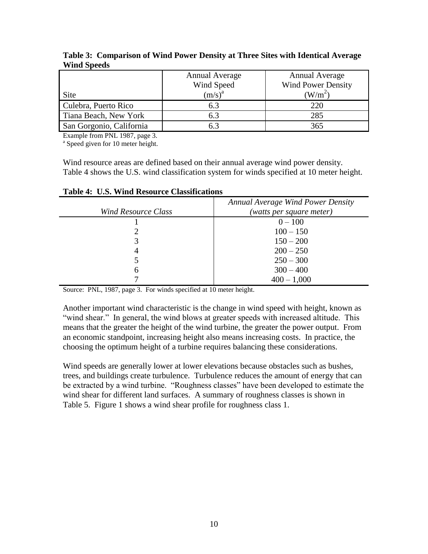|                          | <b>Annual Average</b> | <b>Annual Average</b>     |
|--------------------------|-----------------------|---------------------------|
|                          | Wind Speed            | <b>Wind Power Density</b> |
| Site                     | $(m/s)^a$             | $(W/m^2)$                 |
| Culebra, Puerto Rico     | 6.3                   | 220                       |
| Tiana Beach, New York    | 6.3                   | 285                       |
| San Gorgonio, California |                       | 365                       |

<span id="page-18-0"></span>**Table 3: Comparison of Wind Power Density at Three Sites with Identical Average Wind Speeds**

Example from PNL 1987, page 3.

<sup>a</sup> Speed given for 10 meter height.

Wind resource areas are defined based on their annual average wind power density. [Table 4](#page-18-1) shows the U.S. wind classification system for winds specified at 10 meter height.

|                            | <b>Annual Average Wind Power Density</b> |
|----------------------------|------------------------------------------|
| <b>Wind Resource Class</b> | (watts per square meter)                 |
|                            | $0 - 100$                                |
|                            | $100 - 150$                              |
| 3                          | $150 - 200$                              |
| 4                          | $200 - 250$                              |
|                            | $250 - 300$                              |
| 6                          | $300 - 400$                              |
|                            | $400 - 1,000$                            |

<span id="page-18-1"></span>**Table 4: U.S. Wind Resource Classifications**

Source: PNL, 1987, page 3. For winds specified at 10 meter height.

Another important wind characteristic is the change in wind speed with height, known as "wind shear." In general, the wind blows at greater speeds with increased altitude. This means that the greater the height of the wind turbine, the greater the power output. From an economic standpoint, increasing height also means increasing costs. In practice, the choosing the optimum height of a turbine requires balancing these considerations.

Wind speeds are generally lower at lower elevations because obstacles such as bushes, trees, and buildings create turbulence. Turbulence reduces the amount of energy that can be extracted by a wind turbine. "Roughness classes" have been developed to estimate the wind shear for different land surfaces. A summary of roughness classes is shown in [Table 5.](#page-19-0) [Figure 1](#page-20-0) shows a wind shear profile for roughness class 1.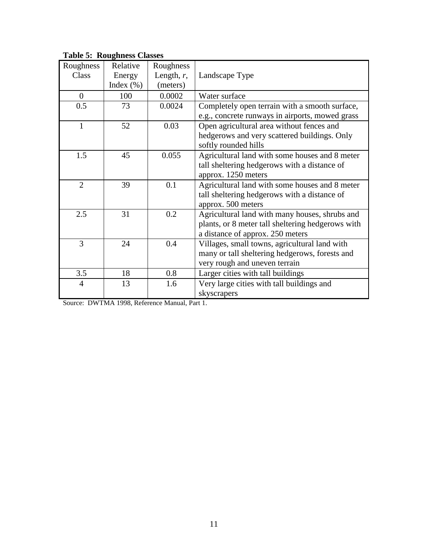| Roughness    | Relative      | Roughness     |                                                   |  |
|--------------|---------------|---------------|---------------------------------------------------|--|
| Class        | Energy        | Length, $r$ , | Landscape Type                                    |  |
|              | Index $(\% )$ | (meters)      |                                                   |  |
| $\theta$     | 100           | 0.0002        | Water surface                                     |  |
| 0.5          | 73            | 0.0024        | Completely open terrain with a smooth surface,    |  |
|              |               |               | e.g., concrete runways in airports, mowed grass   |  |
| $\mathbf{1}$ | 52            | 0.03          | Open agricultural area without fences and         |  |
|              |               |               | hedgerows and very scattered buildings. Only      |  |
|              |               |               | softly rounded hills                              |  |
| 1.5          | 45            | 0.055         | Agricultural land with some houses and 8 meter    |  |
|              |               |               | tall sheltering hedgerows with a distance of      |  |
|              |               |               | approx. 1250 meters                               |  |
| 2            | 39            | 0.1           | Agricultural land with some houses and 8 meter    |  |
|              |               |               | tall sheltering hedgerows with a distance of      |  |
|              |               |               | approx. 500 meters                                |  |
| 2.5          | 31            | 0.2           | Agricultural land with many houses, shrubs and    |  |
|              |               |               | plants, or 8 meter tall sheltering hedgerows with |  |
|              |               |               | a distance of approx. 250 meters                  |  |
| 3            | 24            | 0.4           | Villages, small towns, agricultural land with     |  |
|              |               |               | many or tall sheltering hedgerows, forests and    |  |
|              |               |               | very rough and uneven terrain                     |  |
| 3.5          | 18            | 0.8           | Larger cities with tall buildings                 |  |
| 4            | 13            | 1.6           | Very large cities with tall buildings and         |  |
|              |               |               | skyscrapers                                       |  |

<span id="page-19-0"></span>**Table 5: Roughness Classes**

Source: DWTMA 1998, Reference Manual, Part 1.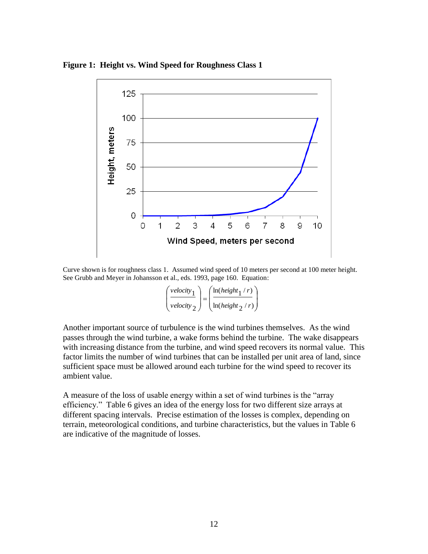<span id="page-20-0"></span>**Figure 1: Height vs. Wind Speed for Roughness Class 1**



Curve shown is for roughness class 1. Assumed wind speed of 10 meters per second at 100 meter height. See Grubb and Meyer in Johansson et al., eds. 1993, page 160. Equation:

| velocity <sub>1</sub> | $ln(height_1 / r)$   |
|-----------------------|----------------------|
| velocity $\gamma$     | $ln(height \teta/r)$ |

Another important source of turbulence is the wind turbines themselves. As the wind passes through the wind turbine, a wake forms behind the turbine. The wake disappears with increasing distance from the turbine, and wind speed recovers its normal value. This factor limits the number of wind turbines that can be installed per unit area of land, since sufficient space must be allowed around each turbine for the wind speed to recover its ambient value.

A measure of the loss of usable energy within a set of wind turbines is the "array efficiency." [Table 6](#page-21-0) gives an idea of the energy loss for two different size arrays at different spacing intervals. Precise estimation of the losses is complex, depending on terrain, meteorological conditions, and turbine characteristics, but the values in [Table 6](#page-21-0) are indicative of the magnitude of losses.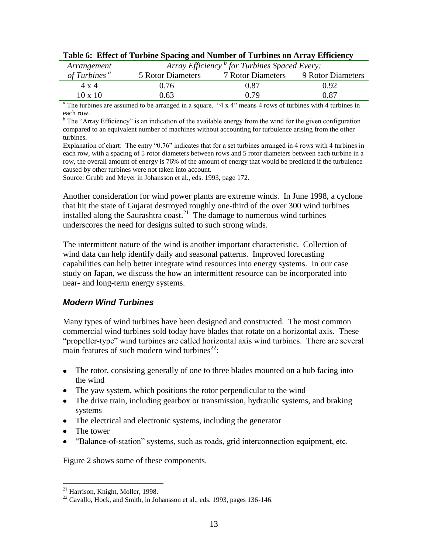| Arrangement             | Array Efficiency <sup>b</sup> for Turbines Spaced Every: |                          |                   |  |  |  |
|-------------------------|----------------------------------------------------------|--------------------------|-------------------|--|--|--|
| of Turbins <sup>a</sup> | <b>5 Rotor Diameters</b>                                 | <b>7 Rotor Diameters</b> | 9 Rotor Diameters |  |  |  |
| $4 \times 4$            | 0.76                                                     | 0.87                     | 0.92              |  |  |  |
| $10 \times 10$          | 0.63                                                     | በ 79                     | 0.87              |  |  |  |

<span id="page-21-0"></span>

|  |  |  |  |  |  | Table 6: Effect of Turbine Spacing and Number of Turbines on Array Efficiency |
|--|--|--|--|--|--|-------------------------------------------------------------------------------|
|--|--|--|--|--|--|-------------------------------------------------------------------------------|

 $a<sup>a</sup>$  The turbines are assumed to be arranged in a square. "4 x 4" means 4 rows of turbines with 4 turbines in each row.

*<sup>b</sup>* The "Array Efficiency" is an indication of the available energy from the wind for the given configuration compared to an equivalent number of machines without accounting for turbulence arising from the other turbines.

Explanation of chart: The entry "0.76" indicates that for a set turbines arranged in 4 rows with 4 turbines in each row, with a spacing of 5 rotor diameters between rows and 5 rotor diameters between each turbine in a row, the overall amount of energy is 76% of the amount of energy that would be predicted if the turbulence caused by other turbines were not taken into account.

Source: Grubb and Meyer in Johansson et al., eds. 1993, page 172.

Another consideration for wind power plants are extreme winds. In June 1998, a cyclone that hit the state of Gujarat destroyed roughly one-third of the over 300 wind turbines installed along the Saurashtra coast.<sup>21</sup> The damage to numerous wind turbines underscores the need for designs suited to such strong winds.

The intermittent nature of the wind is another important characteristic. Collection of wind data can help identify daily and seasonal patterns. Improved forecasting capabilities can help better integrate wind resources into energy systems. In our case study on Japan, we discuss the how an intermittent resource can be incorporated into near- and long-term energy systems.

## *Modern Wind Turbines*

Many types of wind turbines have been designed and constructed. The most common commercial wind turbines sold today have blades that rotate on a horizontal axis. These "propeller-type" wind turbines are called horizontal axis wind turbines. There are several main features of such modern wind turbines $^{22}$ :

- The rotor, consisting generally of one to three blades mounted on a hub facing into the wind
- The yaw system, which positions the rotor perpendicular to the wind
- The drive train, including gearbox or transmission, hydraulic systems, and braking systems
- The electrical and electronic systems, including the generator
- The tower
- "Balance-of-station" systems, such as roads, grid interconnection equipment, etc.

[Figure 2](#page-22-0) shows some of these components.

 $\overline{a}$ <sup>21</sup> Harrison, Knight, Moller, 1998.

 $^{22}$  Cavallo, Hock, and Smith, in Johansson et al., eds. 1993, pages 136-146.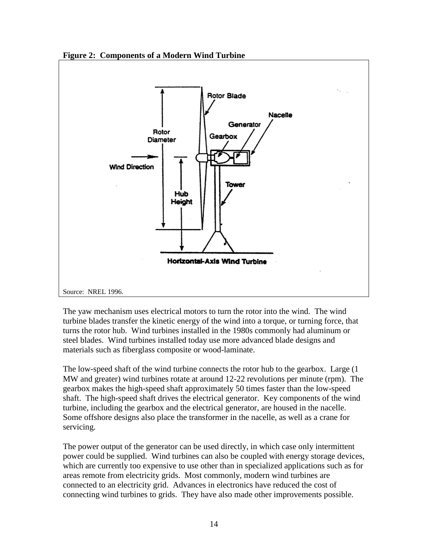

<span id="page-22-0"></span>**Figure 2: Components of a Modern Wind Turbine**

The yaw mechanism uses electrical motors to turn the rotor into the wind. The wind turbine blades transfer the kinetic energy of the wind into a torque, or turning force, that turns the rotor hub. Wind turbines installed in the 1980s commonly had aluminum or steel blades. Wind turbines installed today use more advanced blade designs and materials such as fiberglass composite or wood-laminate.

The low-speed shaft of the wind turbine connects the rotor hub to the gearbox. Large (1 MW and greater) wind turbines rotate at around 12-22 revolutions per minute (rpm). The gearbox makes the high-speed shaft approximately 50 times faster than the low-speed shaft. The high-speed shaft drives the electrical generator. Key components of the wind turbine, including the gearbox and the electrical generator, are housed in the nacelle. Some offshore designs also place the transformer in the nacelle, as well as a crane for servicing.

The power output of the generator can be used directly, in which case only intermittent power could be supplied. Wind turbines can also be coupled with energy storage devices, which are currently too expensive to use other than in specialized applications such as for areas remote from electricity grids. Most commonly, modern wind turbines are connected to an electricity grid. Advances in electronics have reduced the cost of connecting wind turbines to grids. They have also made other improvements possible.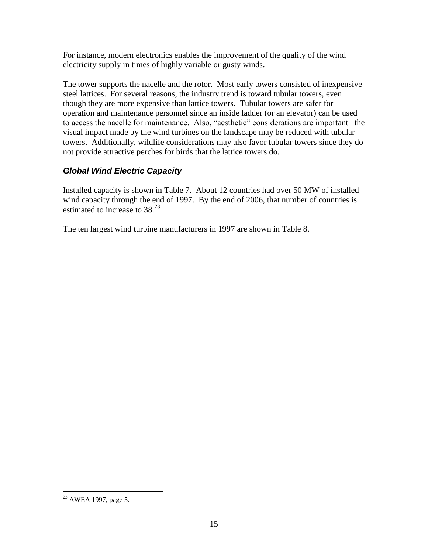For instance, modern electronics enables the improvement of the quality of the wind electricity supply in times of highly variable or gusty winds.

The tower supports the nacelle and the rotor. Most early towers consisted of inexpensive steel lattices. For several reasons, the industry trend is toward tubular towers, even though they are more expensive than lattice towers. Tubular towers are safer for operation and maintenance personnel since an inside ladder (or an elevator) can be used to access the nacelle for maintenance. Also, "aesthetic" considerations are important –the visual impact made by the wind turbines on the landscape may be reduced with tubular towers. Additionally, wildlife considerations may also favor tubular towers since they do not provide attractive perches for birds that the lattice towers do.

## *Global Wind Electric Capacity*

Installed capacity is shown in [Table 7.](#page-24-0) About 12 countries had over 50 MW of installed wind capacity through the end of 1997. By the end of 2006, that number of countries is estimated to increase to 38<sup>23</sup>

The ten largest wind turbine manufacturers in 1997 are shown in [Table 8.](#page-25-0)

 $^{23}$  AWEA 1997, page 5.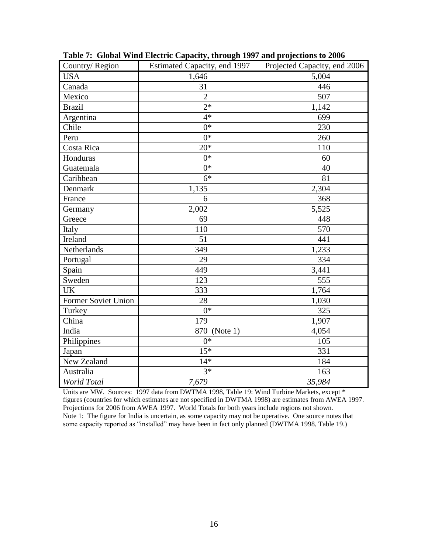| Country/Region      | Estimated Capacity, end 1997 | Projected Capacity, end 2006 |
|---------------------|------------------------------|------------------------------|
| <b>USA</b>          | 1,646                        | 5,004                        |
| Canada              | 31                           | 446                          |
| Mexico              | $\overline{2}$               | 507                          |
| <b>Brazil</b>       | $2*$                         | 1,142                        |
| Argentina           | $4*$                         | 699                          |
| Chile               | $0*$                         | 230                          |
| Peru                | $0*$                         | 260                          |
| Costa Rica          | $20*$                        | 110                          |
| Honduras            | $0*$                         | 60                           |
| Guatemala           | $0*$                         | 40                           |
| Caribbean           | $6*$                         | 81                           |
| Denmark             | 1,135                        | 2,304                        |
| France              | 6                            | 368                          |
| Germany             | 2,002                        | 5,525                        |
| Greece              | 69                           | 448                          |
| Italy               | 110                          | 570                          |
| Ireland             | 51                           | 441                          |
| Netherlands         | 349                          | 1,233                        |
| Portugal            | 29                           | 334                          |
| Spain               | 449                          | 3,441                        |
| Sweden              | 123                          | 555                          |
| <b>UK</b>           | 333                          | 1,764                        |
| Former Soviet Union | 28                           | 1,030                        |
| Turkey              | $0*$                         | 325                          |
| China               | 179                          | 1,907                        |
| India               | 870 (Note 1)                 | 4,054                        |
| Philippines         | $0*$                         | 105                          |
| Japan               | $15*$                        | 331                          |
| New Zealand         | $14*$                        | 184                          |
| Australia           | $3*$                         | 163                          |
| World Total         | 7,679                        | 35,984                       |

<span id="page-24-0"></span>**Table 7: Global Wind Electric Capacity, through 1997 and projections to 2006**

Units are MW. Sources: 1997 data from DWTMA 1998, Table 19: Wind Turbine Markets, except \* figures (countries for which estimates are not specified in DWTMA 1998) are estimates from AWEA 1997. Projections for 2006 from AWEA 1997. World Totals for both years include regions not shown. Note 1: The figure for India is uncertain, as some capacity may not be operative. One source notes that some capacity reported as "installed" may have been in fact only planned (DWTMA 1998, Table 19.)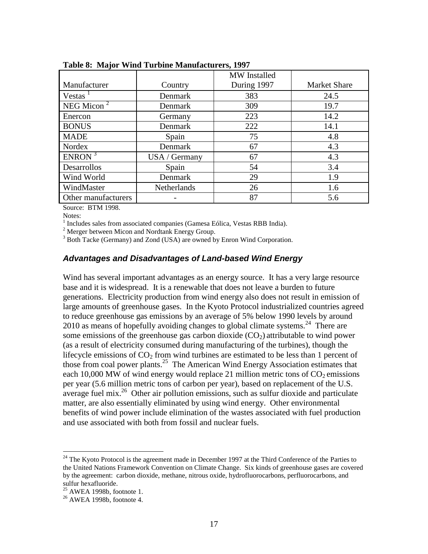|                     |               | MW Installed |                     |
|---------------------|---------------|--------------|---------------------|
| Manufacturer        | Country       | During 1997  | <b>Market Share</b> |
| Vestas              | Denmark       | 383          | 24.5                |
| NEG Micon $2$       | Denmark       | 309          | 19.7                |
| Enercon             | Germany       | 223          | 14.2                |
| <b>BONUS</b>        | Denmark       | 222          | 14.1                |
| <b>MADE</b>         | Spain         | 75           | 4.8                 |
| Nordex              | Denmark       | 67           | 4.3                 |
| ENRON <sup>3</sup>  | USA / Germany | 67           | 4.3                 |
| Desarrollos         | Spain         | 54           | 3.4                 |
| Wind World          | Denmark       | 29           | 1.9                 |
| WindMaster          | Netherlands   | 26           | 1.6                 |
| Other manufacturers |               | 87           | 5.6                 |

<span id="page-25-0"></span>**Table 8: Major Wind Turbine Manufacturers, 1997**

Source: BTM 1998.

Notes:

<sup>1</sup> Includes sales from associated companies (Gamesa Eólica, Vestas RBB India).

<sup>2</sup> Merger between Micon and Nordtank Energy Group.

<sup>3</sup> Both Tacke (Germany) and Zond (USA) are owned by Enron Wind Corporation.

### *Advantages and Disadvantages of Land-based Wind Energy*

Wind has several important advantages as an energy source. It has a very large resource base and it is widespread. It is a renewable that does not leave a burden to future generations. Electricity production from wind energy also does not result in emission of large amounts of greenhouse gases. In the Kyoto Protocol industrialized countries agreed to reduce greenhouse gas emissions by an average of 5% below 1990 levels by around 2010 as means of hopefully avoiding changes to global climate systems.<sup>24</sup> There are some emissions of the greenhouse gas carbon dioxide  $(CO<sub>2</sub>)$  attributable to wind power (as a result of electricity consumed during manufacturing of the turbines), though the lifecycle emissions of  $CO<sub>2</sub>$  from wind turbines are estimated to be less than 1 percent of those from coal power plants.<sup>25</sup> The American Wind Energy Association estimates that each 10,000 MW of wind energy would replace 21 million metric tons of  $CO<sub>2</sub>$  emissions per year (5.6 million metric tons of carbon per year), based on replacement of the U.S. average fuel mix.<sup>26</sup> Other air pollution emissions, such as sulfur dioxide and particulate matter, are also essentially eliminated by using wind energy. Other environmental benefits of wind power include elimination of the wastes associated with fuel production and use associated with both from fossil and nuclear fuels.

<sup>&</sup>lt;sup>24</sup> The Kyoto Protocol is the agreement made in December 1997 at the Third Conference of the Parties to the United Nations Framework Convention on Climate Change. Six kinds of greenhouse gases are covered by the agreement: carbon dioxide, methane, nitrous oxide, hydrofluorocarbons, perfluorocarbons, and sulfur hexafluoride.

 $25$  AWEA 1998b, footnote 1.

<sup>26</sup> AWEA 1998b, footnote 4.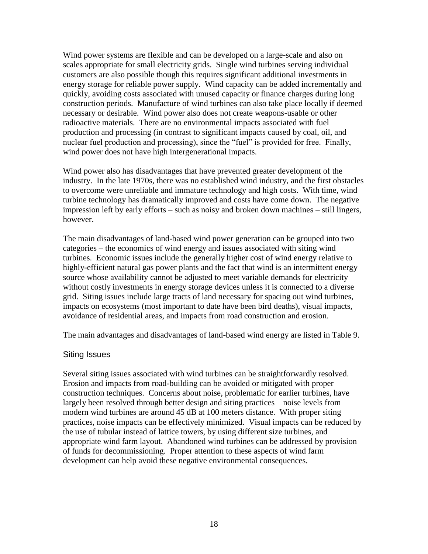Wind power systems are flexible and can be developed on a large-scale and also on scales appropriate for small electricity grids. Single wind turbines serving individual customers are also possible though this requires significant additional investments in energy storage for reliable power supply. Wind capacity can be added incrementally and quickly, avoiding costs associated with unused capacity or finance charges during long construction periods. Manufacture of wind turbines can also take place locally if deemed necessary or desirable. Wind power also does not create weapons-usable or other radioactive materials. There are no environmental impacts associated with fuel production and processing (in contrast to significant impacts caused by coal, oil, and nuclear fuel production and processing), since the "fuel" is provided for free. Finally, wind power does not have high intergenerational impacts.

Wind power also has disadvantages that have prevented greater development of the industry. In the late 1970s, there was no established wind industry, and the first obstacles to overcome were unreliable and immature technology and high costs. With time, wind turbine technology has dramatically improved and costs have come down. The negative impression left by early efforts – such as noisy and broken down machines – still lingers, however.

The main disadvantages of land-based wind power generation can be grouped into two categories – the economics of wind energy and issues associated with siting wind turbines. Economic issues include the generally higher cost of wind energy relative to highly-efficient natural gas power plants and the fact that wind is an intermittent energy source whose availability cannot be adjusted to meet variable demands for electricity without costly investments in energy storage devices unless it is connected to a diverse grid. Siting issues include large tracts of land necessary for spacing out wind turbines, impacts on ecosystems (most important to date have been bird deaths), visual impacts, avoidance of residential areas, and impacts from road construction and erosion.

The main advantages and disadvantages of land-based wind energy are listed in [Table 9.](#page-27-0)

#### Siting Issues

Several siting issues associated with wind turbines can be straightforwardly resolved. Erosion and impacts from road-building can be avoided or mitigated with proper construction techniques. Concerns about noise, problematic for earlier turbines, have largely been resolved through better design and siting practices – noise levels from modern wind turbines are around 45 dB at 100 meters distance. With proper siting practices, noise impacts can be effectively minimized. Visual impacts can be reduced by the use of tubular instead of lattice towers, by using different size turbines, and appropriate wind farm layout. Abandoned wind turbines can be addressed by provision of funds for decommissioning. Proper attention to these aspects of wind farm development can help avoid these negative environmental consequences.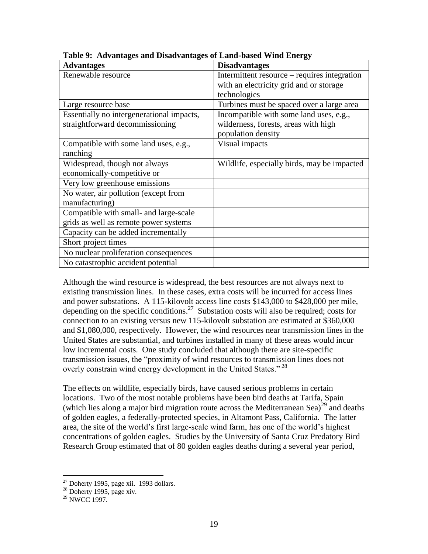| <b>Advantages</b>                         | <b>Disadvantages</b>                         |
|-------------------------------------------|----------------------------------------------|
| Renewable resource                        | Intermittent resource – requires integration |
|                                           | with an electricity grid and or storage      |
|                                           | technologies                                 |
| Large resource base                       | Turbines must be spaced over a large area    |
| Essentially no intergenerational impacts, | Incompatible with some land uses, e.g.,      |
| straightforward decommissioning           | wilderness, forests, areas with high         |
|                                           | population density                           |
| Compatible with some land uses, e.g.,     | Visual impacts                               |
| ranching                                  |                                              |
| Widespread, though not always             | Wildlife, especially birds, may be impacted  |
| economically-competitive or               |                                              |
| Very low greenhouse emissions             |                                              |
| No water, air pollution (except from      |                                              |
| manufacturing)                            |                                              |
| Compatible with small- and large-scale    |                                              |
| grids as well as remote power systems     |                                              |
| Capacity can be added incrementally       |                                              |
| Short project times                       |                                              |
| No nuclear proliferation consequences     |                                              |
| No catastrophic accident potential        |                                              |

<span id="page-27-0"></span>**Table 9: Advantages and Disadvantages of Land-based Wind Energy**

Although the wind resource is widespread, the best resources are not always next to existing transmission lines. In these cases, extra costs will be incurred for access lines and power substations. A 115-kilovolt access line costs \$143,000 to \$428,000 per mile, depending on the specific conditions.<sup>27</sup> Substation costs will also be required; costs for connection to an existing versus new 115-kilovolt substation are estimated at \$360,000 and \$1,080,000, respectively. However, the wind resources near transmission lines in the United States are substantial, and turbines installed in many of these areas would incur low incremental costs. One study concluded that although there are site-specific transmission issues, the "proximity of wind resources to transmission lines does not overly constrain wind energy development in the United States."<sup>28</sup>

The effects on wildlife, especially birds, have caused serious problems in certain locations. Two of the most notable problems have been bird deaths at Tarifa, Spain (which lies along a major bird migration route across the Mediterranean Sea)<sup>29</sup> and deaths of golden eagles, a federally-protected species, in Altamont Pass, California. The latter area, the site of the world's first large-scale wind farm, has one of the world's highest concentrations of golden eagles. Studies by the University of Santa Cruz Predatory Bird Research Group estimated that of 80 golden eagles deaths during a several year period,

 $27$  Doherty 1995, page xii. 1993 dollars.

 $28$  Doherty 1995, page xiv.

 $29$  NWCC 1997.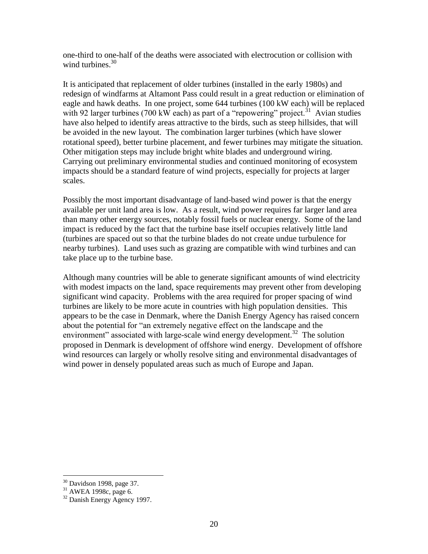one-third to one-half of the deaths were associated with electrocution or collision with wind turbines. $30$ 

It is anticipated that replacement of older turbines (installed in the early 1980s) and redesign of windfarms at Altamont Pass could result in a great reduction or elimination of eagle and hawk deaths. In one project, some 644 turbines (100 kW each) will be replaced with 92 larger turbines (700 kW each) as part of a "repowering" project.<sup>31</sup> Avian studies have also helped to identify areas attractive to the birds, such as steep hillsides, that will be avoided in the new layout. The combination larger turbines (which have slower rotational speed), better turbine placement, and fewer turbines may mitigate the situation. Other mitigation steps may include bright white blades and underground wiring. Carrying out preliminary environmental studies and continued monitoring of ecosystem impacts should be a standard feature of wind projects, especially for projects at larger scales.

Possibly the most important disadvantage of land-based wind power is that the energy available per unit land area is low. As a result, wind power requires far larger land area than many other energy sources, notably fossil fuels or nuclear energy. Some of the land impact is reduced by the fact that the turbine base itself occupies relatively little land (turbines are spaced out so that the turbine blades do not create undue turbulence for nearby turbines). Land uses such as grazing are compatible with wind turbines and can take place up to the turbine base.

Although many countries will be able to generate significant amounts of wind electricity with modest impacts on the land, space requirements may prevent other from developing significant wind capacity. Problems with the area required for proper spacing of wind turbines are likely to be more acute in countries with high population densities. This appears to be the case in Denmark, where the Danish Energy Agency has raised concern about the potential for "an extremely negative effect on the landscape and the environment" associated with large-scale wind energy development.<sup>32</sup> The solution proposed in Denmark is development of offshore wind energy. Development of offshore wind resources can largely or wholly resolve siting and environmental disadvantages of wind power in densely populated areas such as much of Europe and Japan.

 $30$  Davidson 1998, page 37.

 $31$  AWEA 1998c, page 6.

<sup>&</sup>lt;sup>32</sup> Danish Energy Agency 1997.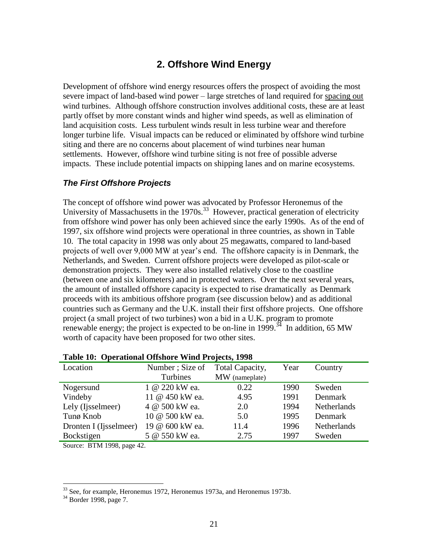## **2. Offshore Wind Energy**

Development of offshore wind energy resources offers the prospect of avoiding the most severe impact of land-based wind power – large stretches of land required for spacing out wind turbines. Although offshore construction involves additional costs, these are at least partly offset by more constant winds and higher wind speeds, as well as elimination of land acquisition costs. Less turbulent winds result in less turbine wear and therefore longer turbine life. Visual impacts can be reduced or eliminated by offshore wind turbine siting and there are no concerns about placement of wind turbines near human settlements. However, offshore wind turbine siting is not free of possible adverse impacts. These include potential impacts on shipping lanes and on marine ecosystems.

## *The First Offshore Projects*

The concept of offshore wind power was advocated by Professor Heronemus of the University of Massachusetts in the  $1970s$ .<sup>33</sup> However, practical generation of electricity from offshore wind power has only been achieved since the early 1990s. As of the end of 1997, six offshore wind projects were operational in three countries, as shown in [Table](#page-29-0)  [10.](#page-29-0) The total capacity in 1998 was only about 25 megawatts, compared to land-based projects of well over 9,000 MW at year's end. The offshore capacity is in Denmark, the Netherlands, and Sweden. Current offshore projects were developed as pilot-scale or demonstration projects. They were also installed relatively close to the coastline (between one and six kilometers) and in protected waters. Over the next several years, the amount of installed offshore capacity is expected to rise dramatically as Denmark proceeds with its ambitious offshore program (see discussion below) and as additional countries such as Germany and the U.K. install their first offshore projects. One offshore project (a small project of two turbines) won a bid in a U.K. program to promote renewable energy; the project is expected to be on-line in 1999.<sup> $34$ </sup> In addition, 65 MW worth of capacity have been proposed for two other sites.

| Location               | Number; Size of | Total Capacity, | Year | Country            |
|------------------------|-----------------|-----------------|------|--------------------|
|                        | Turbines        | MW (nameplate)  |      |                    |
| Nogersund              | 1 @ 220 kW ea.  | 0.22            | 1990 | Sweden             |
| Vindeby                | 11 @ 450 kW ea. | 4.95            | 1991 | Denmark            |
| Lely (Ijsselmeer)      | 4 @ 500 kW ea.  | 2.0             | 1994 | <b>Netherlands</b> |
| Tunø Knob              | 10 @ 500 kW ea. | 5.0             | 1995 | Denmark            |
| Dronten I (Ijsselmeer) | 19 @ 600 kW ea. | 11.4            | 1996 | <b>Netherlands</b> |
| Bockstigen             | 5 @ 550 kW ea.  | 2.75            | 1997 | Sweden             |

#### <span id="page-29-0"></span>**Table 10: Operational Offshore Wind Projects, 1998**

Source: BTM 1998, page 42.

 $33$  See, for example, Heronemus 1972, Heronemus 1973a, and Heronemus 1973b.

<sup>&</sup>lt;sup>34</sup> Border 1998, page 7.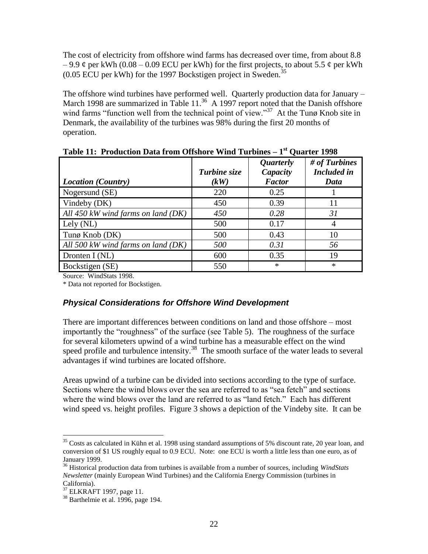The cost of electricity from offshore wind farms has decreased over time, from about 8.8  $-9.9 \notin$  per kWh (0.08 – 0.09 ECU per kWh) for the first projects, to about 5.5  $\notin$  per kWh  $(0.05$  ECU per kWh) for the 1997 Bockstigen project in Sweden.<sup>35</sup>

The offshore wind turbines have performed well. Quarterly production data for January – March 1998 are summarized in Table  $11<sup>36</sup>$  A 1997 report noted that the Danish offshore wind farms "function well from the technical point of view."<sup>37</sup> At the Tunø Knob site in Denmark, the availability of the turbines was 98% during the first 20 months of operation.

| <b>Location</b> (Country)            | Turbine size<br>(kW) | <i>Quarterly</i><br>Capacity<br><b>Factor</b> | # of Turbines<br><b>Included</b> in<br>Data |
|--------------------------------------|----------------------|-----------------------------------------------|---------------------------------------------|
| Nogersund (SE)                       | 220                  | 0.25                                          |                                             |
| Vindeby (DK)                         | 450                  | 0.39                                          | 11                                          |
| All 450 kW wind farms on land $(DK)$ | 450                  | 0.28                                          | 31                                          |
| Lely (NL)                            | 500                  | 0.17                                          | 4                                           |
| Tunø Knob (DK)                       | 500                  | 0.43                                          | 10                                          |
| All 500 kW wind farms on land $(DK)$ | 500                  | 0.31                                          | 56                                          |
| Dronten $I(NL)$                      | 600                  | 0.35                                          | 19                                          |
| Bockstigen (SE)                      | 550                  | $\ast$                                        | $\ast$                                      |

<span id="page-30-0"></span>**Table 11: Production Data from Offshore Wind Turbines – 1 st Quarter 1998**

Source: WindStats 1998.

\* Data not reported for Bockstigen.

## *Physical Considerations for Offshore Wind Development*

There are important differences between conditions on land and those offshore – most importantly the "roughness" of the surface (see [Table 5\)](#page-19-0). The roughness of the surface for several kilometers upwind of a wind turbine has a measurable effect on the wind speed profile and turbulence intensity.<sup>38</sup> The smooth surface of the water leads to several advantages if wind turbines are located offshore.

Areas upwind of a turbine can be divided into sections according to the type of surface. Sections where the wind blows over the sea are referred to as "sea fetch" and sections where the wind blows over the land are referred to as "land fetch." Each has different wind speed vs. height profiles. [Figure 3](#page-31-0) shows a depiction of the Vindeby site. It can be

 $35$  Costs as calculated in Kühn et al. 1998 using standard assumptions of 5% discount rate, 20 year loan, and conversion of \$1 US roughly equal to 0.9 ECU. Note: one ECU is worth a little less than one euro, as of January 1999.

<sup>36</sup> Historical production data from turbines is available from a number of sources, including *WindStats Newsletter* (mainly European Wind Turbines) and the California Energy Commission (turbines in California).

 $37$  ELKRAFT 1997, page 11.

 $38$  Barthelmie et al. 1996, page 194.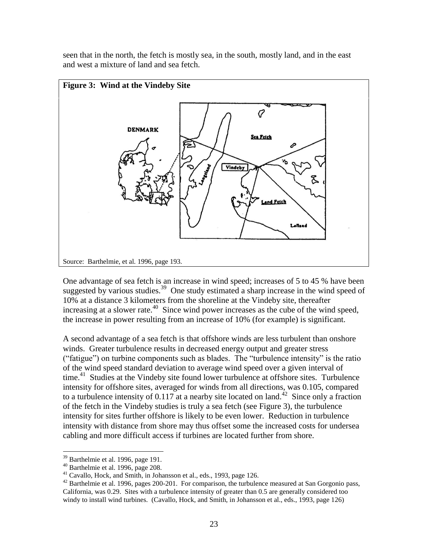seen that in the north, the fetch is mostly sea, in the south, mostly land, and in the east and west a mixture of land and sea fetch.

<span id="page-31-0"></span>

One advantage of sea fetch is an increase in wind speed; increases of 5 to 45 % have been suggested by various studies.<sup>39</sup> One study estimated a sharp increase in the wind speed of 10% at a distance 3 kilometers from the shoreline at the Vindeby site, thereafter increasing at a slower rate. $40$  Since wind power increases as the cube of the wind speed, the increase in power resulting from an increase of 10% (for example) is significant.

A second advantage of a sea fetch is that offshore winds are less turbulent than onshore winds. Greater turbulence results in decreased energy output and greater stress ("fatigue") on turbine components such as blades. The "turbulence intensity" is the ratio of the wind speed standard deviation to average wind speed over a given interval of time.<sup>41</sup> Studies at the Vindeby site found lower turbulence at offshore sites. Turbulence intensity for offshore sites, averaged for winds from all directions, was 0.105, compared to a turbulence intensity of  $0.117$  at a nearby site located on land.<sup>42</sup> Since only a fraction of the fetch in the Vindeby studies is truly a sea fetch (see [Figure 3\)](#page-31-0), the turbulence intensity for sites further offshore is likely to be even lower. Reduction in turbulence intensity with distance from shore may thus offset some the increased costs for undersea cabling and more difficult access if turbines are located further from shore.

<sup>39</sup> Barthelmie et al. 1996, page 191.

 $40$  Barthelmie et al. 1996, page 208.

<sup>&</sup>lt;sup>41</sup> Cavallo, Hock, and Smith, in Johansson et al., eds., 1993, page 126.

<sup>&</sup>lt;sup>42</sup> Barthelmie et al. 1996, pages 200-201. For comparison, the turbulence measured at San Gorgonio pass, California, was 0.29. Sites with a turbulence intensity of greater than 0.5 are generally considered too windy to install wind turbines. (Cavallo, Hock, and Smith, in Johansson et al., eds., 1993, page 126)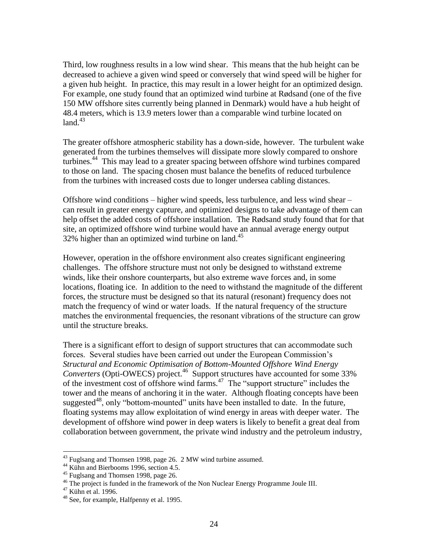Third, low roughness results in a low wind shear. This means that the hub height can be decreased to achieve a given wind speed or conversely that wind speed will be higher for a given hub height. In practice, this may result in a lower height for an optimized design. For example, one study found that an optimized wind turbine at Rødsand (one of the five 150 MW offshore sites currently being planned in Denmark) would have a hub height of 48.4 meters, which is 13.9 meters lower than a comparable wind turbine located on  $land.<sup>43</sup>$ 

The greater offshore atmospheric stability has a down-side, however. The turbulent wake generated from the turbines themselves will dissipate more slowly compared to onshore turbines.<sup>44</sup> This may lead to a greater spacing between offshore wind turbines compared to those on land. The spacing chosen must balance the benefits of reduced turbulence from the turbines with increased costs due to longer undersea cabling distances.

Offshore wind conditions – higher wind speeds, less turbulence, and less wind shear – can result in greater energy capture, and optimized designs to take advantage of them can help offset the added costs of offshore installation. The Rødsand study found that for that site, an optimized offshore wind turbine would have an annual average energy output 32% higher than an optimized wind turbine on land.<sup>45</sup>

However, operation in the offshore environment also creates significant engineering challenges. The offshore structure must not only be designed to withstand extreme winds, like their onshore counterparts, but also extreme wave forces and, in some locations, floating ice. In addition to the need to withstand the magnitude of the different forces, the structure must be designed so that its natural (resonant) frequency does not match the frequency of wind or water loads. If the natural frequency of the structure matches the environmental frequencies, the resonant vibrations of the structure can grow until the structure breaks.

There is a significant effort to design of support structures that can accommodate such forces. Several studies have been carried out under the European Commission's *Structural and Economic Optimisation of Bottom-Mounted Offshore Wind Energy*  Converters (Opti-OWECS) project.<sup>46</sup> Support structures have accounted for some 33% of the investment cost of offshore wind farms. $47$  The "support structure" includes the tower and the means of anchoring it in the water. Although floating concepts have been suggested<sup>48</sup>, only "bottom-mounted" units have been installed to date. In the future, floating systems may allow exploitation of wind energy in areas with deeper water. The development of offshore wind power in deep waters is likely to benefit a great deal from collaboration between government, the private wind industry and the petroleum industry,

 $43$  Fuglsang and Thomsen 1998, page 26. 2 MW wind turbine assumed.

<sup>&</sup>lt;sup>44</sup> Kühn and Bierbooms 1996, section 4.5.

<sup>&</sup>lt;sup>45</sup> Fuglsang and Thomsen 1998, page 26.

<sup>&</sup>lt;sup>46</sup> The project is funded in the framework of the Non Nuclear Energy Programme Joule III.

<sup>47</sup> Kühn et al. 1996.

 $48$  See, for example, Halfpenny et al. 1995.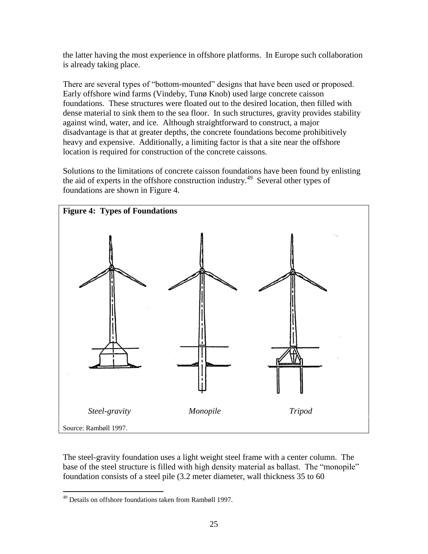the latter having the most experience in offshore platforms. In Europe such collaboration is already taking place.

There are several types of "bottom-mounted" designs that have been used or proposed. Early offshore wind farms (Vindeby, Tunø Knob) used large concrete caisson foundations. These structures were floated out to the desired location, then filled with dense material to sink them to the sea floor. In such structures, gravity provides stability against wind, water, and ice. Although straightforward to construct, a major disadvantage is that at greater depths, the concrete foundations become prohibitively heavy and expensive. Additionally, a limiting factor is that a site near the offshore location is required for construction of the concrete caissons.

Solutions to the limitations of concrete caisson foundations have been found by enlisting the aid of experts in the offshore construction industry.<sup>49</sup> Several other types of foundations are shown in [Figure 4.](#page-33-0)

<span id="page-33-0"></span>

The steel-gravity foundation uses a light weight steel frame with a center column. The base of the steel structure is filled with high density material as ballast. The "monopile" foundation consists of a steel pile (3.2 meter diameter, wall thickness 35 to 60

 $\overline{a}$ <sup>49</sup> Details on offshore foundations taken from Rambøll 1997.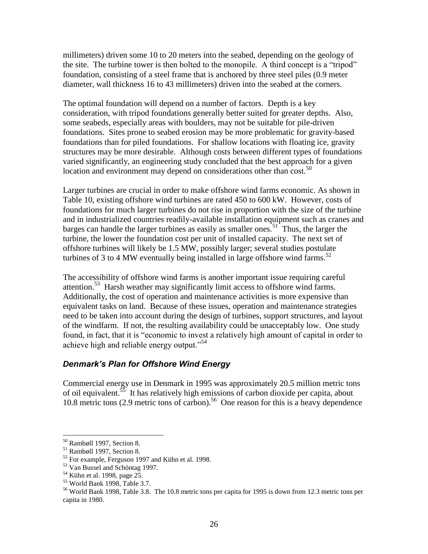millimeters) driven some 10 to 20 meters into the seabed, depending on the geology of the site. The turbine tower is then bolted to the monopile. A third concept is a "tripod" foundation, consisting of a steel frame that is anchored by three steel piles (0.9 meter diameter, wall thickness 16 to 43 millimeters) driven into the seabed at the corners.

The optimal foundation will depend on a number of factors. Depth is a key consideration, with tripod foundations generally better suited for greater depths. Also, some seabeds, especially areas with boulders, may not be suitable for pile-driven foundations. Sites prone to seabed erosion may be more problematic for gravity-based foundations than for piled foundations. For shallow locations with floating ice, gravity structures may be more desirable. Although costs between different types of foundations varied significantly, an engineering study concluded that the best approach for a given location and environment may depend on considerations other than cost.<sup>50</sup>

Larger turbines are crucial in order to make offshore wind farms economic. As shown in [Table 10,](#page-29-0) existing offshore wind turbines are rated 450 to 600 kW. However, costs of foundations for much larger turbines do not rise in proportion with the size of the turbine and in industrialized countries readily-available installation equipment such as cranes and barges can handle the larger turbines as easily as smaller ones.<sup>51</sup> Thus, the larger the turbine, the lower the foundation cost per unit of installed capacity. The next set of offshore turbines will likely be 1.5 MW, possibly larger; several studies postulate turbines of 3 to 4 MW eventually being installed in large offshore wind farms.<sup>52</sup>

The accessibility of offshore wind farms is another important issue requiring careful attention.<sup>53</sup> Harsh weather may significantly limit access to offshore wind farms. Additionally, the cost of operation and maintenance activities is more expensive than equivalent tasks on land. Because of these issues, operation and maintenance strategies need to be taken into account during the design of turbines, support structures, and layout of the windfarm. If not, the resulting availability could be unacceptably low. One study found, in fact, that it is "economic to invest a relatively high amount of capital in order to achieve high and reliable energy output."<sup>54</sup>

## *Denmark's Plan for Offshore Wind Energy*

Commercial energy use in Denmark in 1995 was approximately 20.5 million metric tons of oil equivalent.<sup>55</sup> It has relatively high emissions of carbon dioxide per capita, about 10.8 metric tons (2.9 metric tons of carbon). 56 One reason for this is a heavy dependence

<sup>50</sup> Rambøll 1997, Section 8.

<sup>51</sup> Rambøll 1997, Section 8.

<sup>52</sup> For example, Ferguson 1997 and Kühn et al. 1998.

<sup>53</sup> Van Bussel and Schöntag 1997.

<sup>54</sup> Kühn et al. 1998, page 25.

<sup>55</sup> World Bank 1998, Table 3.7.

<sup>56</sup> World Bank 1998, Table 3.8. The 10.8 metric tons per capita for 1995 is down from 12.3 metric tons per capita in 1980.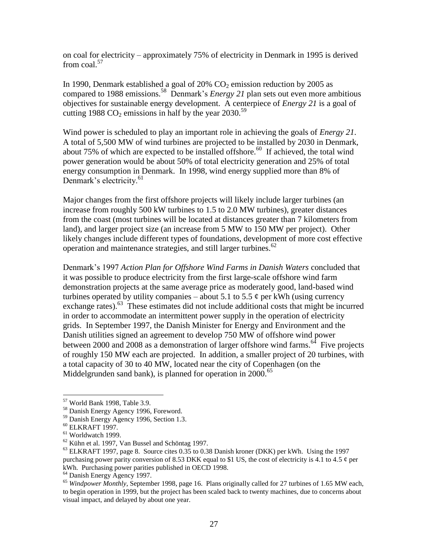on coal for electricity – approximately 75% of electricity in Denmark in 1995 is derived from  $\cosh^{57}$ 

In 1990, Denmark established a goal of  $20\%$  CO<sub>2</sub> emission reduction by 2005 as compared to 1988 emissions.<sup>58</sup> Denmark's *Energy 21* plan sets out even more ambitious objectives for sustainable energy development. A centerpiece of *Energy 21* is a goal of cutting 1988 CO<sub>2</sub> emissions in half by the year 2030.<sup>59</sup>

Wind power is scheduled to play an important role in achieving the goals of *Energy 21*. A total of 5,500 MW of wind turbines are projected to be installed by 2030 in Denmark, about 75% of which are expected to be installed offshore.<sup>60</sup> If achieved, the total wind power generation would be about 50% of total electricity generation and 25% of total energy consumption in Denmark. In 1998, wind energy supplied more than 8% of Denmark's electricity.<sup>61</sup>

Major changes from the first offshore projects will likely include larger turbines (an increase from roughly 500 kW turbines to 1.5 to 2.0 MW turbines), greater distances from the coast (most turbines will be located at distances greater than 7 kilometers from land), and larger project size (an increase from 5 MW to 150 MW per project). Other likely changes include different types of foundations, development of more cost effective operation and maintenance strategies, and still larger turbines.<sup>62</sup>

Denmark's 1997 *Action Plan for Offshore Wind Farms in Danish Waters* concluded that it was possible to produce electricity from the first large-scale offshore wind farm demonstration projects at the same average price as moderately good, land-based wind turbines operated by utility companies – about 5.1 to 5.5  $\phi$  per kWh (using currency exchange rates).<sup>63</sup> These estimates did not include additional costs that might be incurred in order to accommodate an intermittent power supply in the operation of electricity grids. In September 1997, the Danish Minister for Energy and Environment and the Danish utilities signed an agreement to develop 750 MW of offshore wind power between 2000 and 2008 as a demonstration of larger offshore wind farms.<sup>64</sup> Five projects of roughly 150 MW each are projected. In addition, a smaller project of 20 turbines, with a total capacity of 30 to 40 MW, located near the city of Copenhagen (on the Middelgrunden sand bank), is planned for operation in  $2000^{65}$ 

<sup>57</sup> World Bank 1998, Table 3.9.

<sup>58</sup> Danish Energy Agency 1996, Foreword.

<sup>59</sup> Danish Energy Agency 1996, Section 1.3.

<sup>60</sup> ELKRAFT 1997.

<sup>61</sup> Worldwatch 1999.

<sup>62</sup> Kühn et al. 1997, Van Bussel and Schöntag 1997.

 $^{63}$  ELKRAFT 1997, page 8. Source cites 0.35 to 0.38 Danish kroner (DKK) per kWh. Using the 1997 purchasing power parity conversion of 8.53 DKK equal to \$1 US, the cost of electricity is 4.1 to 4.5  $\phi$  per kWh. Purchasing power parities published in OECD 1998.

<sup>64</sup> Danish Energy Agency 1997.

<sup>65</sup> *Windpower Monthly*, September 1998, page 16. Plans originally called for 27 turbines of 1.65 MW each, to begin operation in 1999, but the project has been scaled back to twenty machines, due to concerns about visual impact, and delayed by about one year.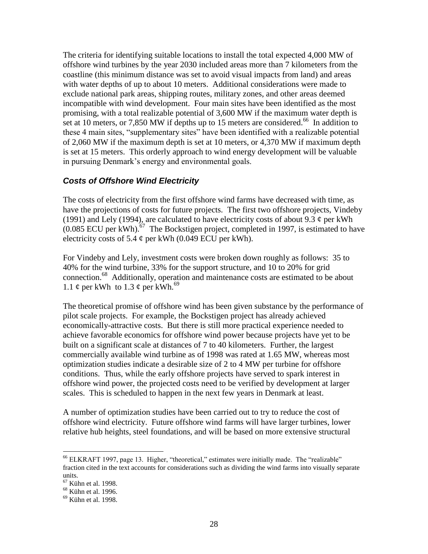The criteria for identifying suitable locations to install the total expected 4,000 MW of offshore wind turbines by the year 2030 included areas more than 7 kilometers from the coastline (this minimum distance was set to avoid visual impacts from land) and areas with water depths of up to about 10 meters. Additional considerations were made to exclude national park areas, shipping routes, military zones, and other areas deemed incompatible with wind development. Four main sites have been identified as the most promising, with a total realizable potential of 3,600 MW if the maximum water depth is set at 10 meters, or 7,850 MW if depths up to 15 meters are considered.<sup>66</sup> In addition to these 4 main sites, "supplementary sites" have been identified with a realizable potential of 2,060 MW if the maximum depth is set at 10 meters, or 4,370 MW if maximum depth is set at 15 meters. This orderly approach to wind energy development will be valuable in pursuing Denmark's energy and environmental goals.

## *Costs of Offshore Wind Electricity*

The costs of electricity from the first offshore wind farms have decreased with time, as have the projections of costs for future projects. The first two offshore projects, Vindeby (1991) and Lely (1994), are calculated to have electricity costs of about 9.3  $\phi$  per kWh  $(0.085$  ECU per kWh).<sup>67</sup> The Bockstigen project, completed in 1997, is estimated to have electricity costs of 5.4  $\phi$  per kWh (0.049 ECU per kWh).

For Vindeby and Lely, investment costs were broken down roughly as follows: 35 to 40% for the wind turbine, 33% for the support structure, and 10 to 20% for grid connection.<sup>68</sup> Additionally, operation and maintenance costs are estimated to be about 1.1  $\phi$  per kWh to 1.3  $\phi$  per kWh.<sup>69</sup>

The theoretical promise of offshore wind has been given substance by the performance of pilot scale projects. For example, the Bockstigen project has already achieved economically-attractive costs. But there is still more practical experience needed to achieve favorable economics for offshore wind power because projects have yet to be built on a significant scale at distances of 7 to 40 kilometers. Further, the largest commercially available wind turbine as of 1998 was rated at 1.65 MW, whereas most optimization studies indicate a desirable size of 2 to 4 MW per turbine for offshore conditions. Thus, while the early offshore projects have served to spark interest in offshore wind power, the projected costs need to be verified by development at larger scales. This is scheduled to happen in the next few years in Denmark at least.

A number of optimization studies have been carried out to try to reduce the cost of offshore wind electricity. Future offshore wind farms will have larger turbines, lower relative hub heights, steel foundations, and will be based on more extensive structural

<sup>66</sup> ELKRAFT 1997, page 13. Higher, "theoretical," estimates were initially made. The "realizable" fraction cited in the text accounts for considerations such as dividing the wind farms into visually separate units.

<sup>67</sup> Kühn et al. 1998.

<sup>&</sup>lt;sup>68</sup> Kühn et al. 1996.

 $69$  Kühn et al. 1998.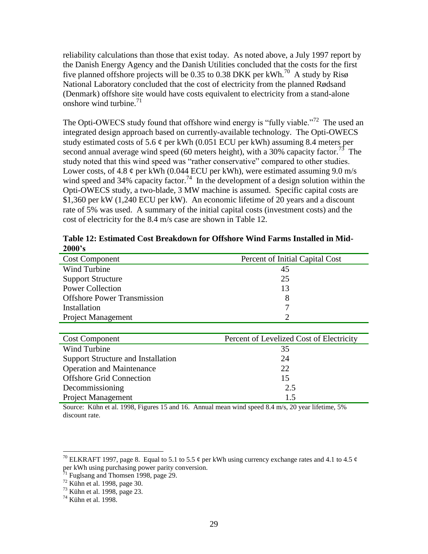reliability calculations than those that exist today. As noted above, a July 1997 report by the Danish Energy Agency and the Danish Utilities concluded that the costs for the first five planned offshore projects will be 0.35 to 0.38 DKK per kWh.<sup>70</sup> A study by Risø National Laboratory concluded that the cost of electricity from the planned Rødsand (Denmark) offshore site would have costs equivalent to electricity from a stand-alone onshore wind turbine. $^{71}$ 

The Opti-OWECS study found that offshore wind energy is "fully viable."<sup>72</sup> The used an integrated design approach based on currently-available technology. The Opti-OWECS study estimated costs of 5.6  $\varphi$  per kWh (0.051 ECU per kWh) assuming 8.4 meters per second annual average wind speed (60 meters height), with a 30% capacity factor.<sup>73</sup> The study noted that this wind speed was "rather conservative" compared to other studies. Lower costs, of 4.8  $\varphi$  per kWh (0.044 ECU per kWh), were estimated assuming 9.0 m/s wind speed and 34% capacity factor.<sup>74</sup> In the development of a design solution within the Opti-OWECS study, a two-blade, 3 MW machine is assumed. Specific capital costs are \$1,360 per kW (1,240 ECU per kW). An economic lifetime of 20 years and a discount rate of 5% was used. A summary of the initial capital costs (investment costs) and the cost of electricity for the 8.4 m/s case are shown in [Table 12.](#page-37-0)

<span id="page-37-0"></span>**Table 12: Estimated Cost Breakdown for Offshore Wind Farms Installed in Mid-2000's**

| <b>Cost Component</b>              | Percent of Initial Capital Cost |
|------------------------------------|---------------------------------|
| Wind Turbine                       | 45                              |
| <b>Support Structure</b>           | 25                              |
| <b>Power Collection</b>            | 13                              |
| <b>Offshore Power Transmission</b> | 8                               |
| Installation                       |                                 |
| <b>Project Management</b>          |                                 |

| <b>Cost Component</b>              | Percent of Levelized Cost of Electricity |
|------------------------------------|------------------------------------------|
| Wind Turbine                       | 35                                       |
| Support Structure and Installation | 24                                       |
| <b>Operation and Maintenance</b>   | 22                                       |
| <b>Offshore Grid Connection</b>    | 15                                       |
| Decommissioning                    | 2.5                                      |
| <b>Project Management</b>          | 15                                       |

Source: Kühn et al. 1998, Figures 15 and 16. Annual mean wind speed 8.4 m/s, 20 year lifetime, 5% discount rate.

<sup>&</sup>lt;sup>70</sup> ELKRAFT 1997, page 8. Equal to 5.1 to 5.5  $\phi$  per kWh using currency exchange rates and 4.1 to 4.5  $\phi$ per kWh using purchasing power parity conversion.

 $71$  Fuglsang and Thomsen 1998, page 29.

 $72$  Kühn et al. 1998, page 30.

<sup>73</sup> Kühn et al. 1998, page 23.

 $14$  Kühn et al. 1998.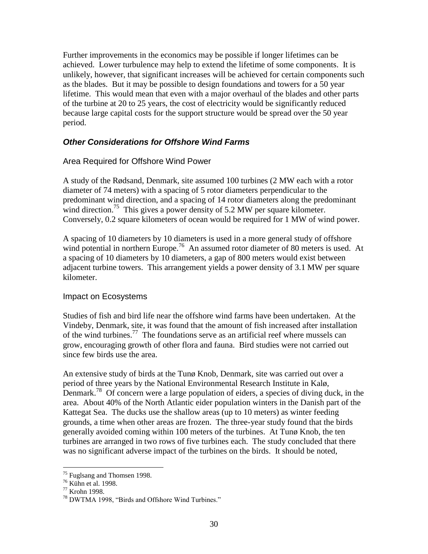Further improvements in the economics may be possible if longer lifetimes can be achieved. Lower turbulence may help to extend the lifetime of some components. It is unlikely, however, that significant increases will be achieved for certain components such as the blades. But it may be possible to design foundations and towers for a 50 year lifetime. This would mean that even with a major overhaul of the blades and other parts of the turbine at 20 to 25 years, the cost of electricity would be significantly reduced because large capital costs for the support structure would be spread over the 50 year period.

## *Other Considerations for Offshore Wind Farms*

## Area Required for Offshore Wind Power

A study of the Rødsand, Denmark, site assumed 100 turbines (2 MW each with a rotor diameter of 74 meters) with a spacing of 5 rotor diameters perpendicular to the predominant wind direction, and a spacing of 14 rotor diameters along the predominant wind direction.<sup>75</sup> This gives a power density of 5.2 MW per square kilometer. Conversely, 0.2 square kilometers of ocean would be required for 1 MW of wind power.

A spacing of 10 diameters by 10 diameters is used in a more general study of offshore wind potential in northern Europe.<sup>76</sup> An assumed rotor diameter of 80 meters is used. At a spacing of 10 diameters by 10 diameters, a gap of 800 meters would exist between adjacent turbine towers. This arrangement yields a power density of 3.1 MW per square kilometer.

## Impact on Ecosystems

Studies of fish and bird life near the offshore wind farms have been undertaken. At the Vindeby, Denmark, site, it was found that the amount of fish increased after installation of the wind turbines.<sup>77</sup> The foundations serve as an artificial reef where mussels can grow, encouraging growth of other flora and fauna. Bird studies were not carried out since few birds use the area.

An extensive study of birds at the Tunø Knob, Denmark, site was carried out over a period of three years by the National Environmental Research Institute in Kalø, Denmark.<sup>78</sup> Of concern were a large population of eiders, a species of diving duck, in the area. About 40% of the North Atlantic eider population winters in the Danish part of the Kattegat Sea. The ducks use the shallow areas (up to 10 meters) as winter feeding grounds, a time when other areas are frozen. The three-year study found that the birds generally avoided coming within 100 meters of the turbines. At Tunø Knob, the ten turbines are arranged in two rows of five turbines each. The study concluded that there was no significant adverse impact of the turbines on the birds. It should be noted,

<sup>&</sup>lt;sup>75</sup> Fuglsang and Thomsen 1998.

<sup>76</sup> Kühn et al. 1998.

<sup>77</sup> Krohn 1998.

<sup>78</sup> DWTMA 1998, "Birds and Offshore Wind Turbines."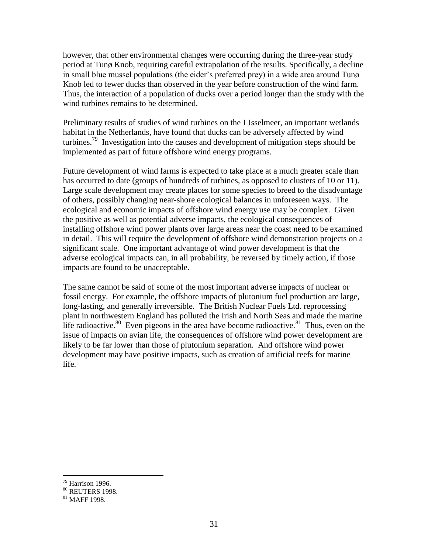however, that other environmental changes were occurring during the three-year study period at Tunø Knob, requiring careful extrapolation of the results. Specifically, a decline in small blue mussel populations (the eider's preferred prey) in a wide area around Tunø Knob led to fewer ducks than observed in the year before construction of the wind farm. Thus, the interaction of a population of ducks over a period longer than the study with the wind turbines remains to be determined.

Preliminary results of studies of wind turbines on the I Jsselmeer, an important wetlands habitat in the Netherlands, have found that ducks can be adversely affected by wind turbines.<sup>79</sup> Investigation into the causes and development of mitigation steps should be implemented as part of future offshore wind energy programs.

Future development of wind farms is expected to take place at a much greater scale than has occurred to date (groups of hundreds of turbines, as opposed to clusters of 10 or 11). Large scale development may create places for some species to breed to the disadvantage of others, possibly changing near-shore ecological balances in unforeseen ways. The ecological and economic impacts of offshore wind energy use may be complex. Given the positive as well as potential adverse impacts, the ecological consequences of installing offshore wind power plants over large areas near the coast need to be examined in detail. This will require the development of offshore wind demonstration projects on a significant scale. One important advantage of wind power development is that the adverse ecological impacts can, in all probability, be reversed by timely action, if those impacts are found to be unacceptable.

The same cannot be said of some of the most important adverse impacts of nuclear or fossil energy. For example, the offshore impacts of plutonium fuel production are large, long-lasting, and generally irreversible. The British Nuclear Fuels Ltd. reprocessing plant in northwestern England has polluted the Irish and North Seas and made the marine life radioactive.<sup>80</sup> Even pigeons in the area have become radioactive.<sup>81</sup> Thus, even on the issue of impacts on avian life, the consequences of offshore wind power development are likely to be far lower than those of plutonium separation. And offshore wind power development may have positive impacts, such as creation of artificial reefs for marine life.

 $79$  Harrison 1996.

<sup>80</sup> REUTERS 1998.

 $81$  MAFF 1998.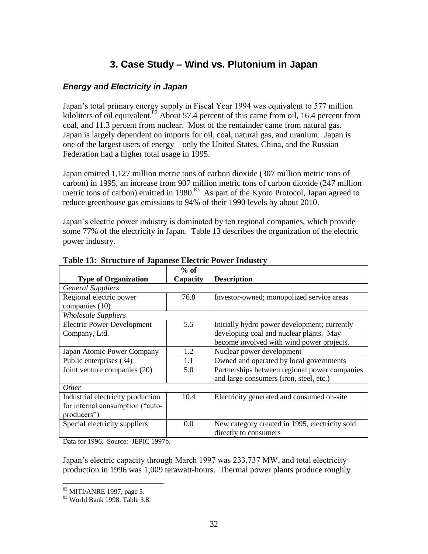## **3. Case Study – Wind vs. Plutonium in Japan**

## *Energy and Electricity in Japan*

Japan's total primary energy supply in Fiscal Year 1994 was equivalent to 577 million kiloliters of oil equivalent.<sup>82</sup> About 57.4 percent of this came from oil, 16.4 percent from coal, and 11.3 percent from nuclear. Most of the remainder came from natural gas. Japan is largely dependent on imports for oil, coal, natural gas, and uranium. Japan is one of the largest users of energy – only the United States, China, and the Russian Federation had a higher total usage in 1995.

Japan emitted 1,127 million metric tons of carbon dioxide (307 million metric tons of carbon) in 1995, an increase from 907 million metric tons of carbon dioxide (247 million metric tons of carbon) emitted in  $1980$ .<sup>83</sup> As part of the Kyoto Protocol, Japan agreed to reduce greenhouse gas emissions to 94% of their 1990 levels by about 2010.

Japan's electric power industry is dominated by ten regional companies, which provide some 77% of the electricity in Japan. [Table 13](#page-40-0) describes the organization of the electric power industry.

|                                   | $%$ of   |                                                |
|-----------------------------------|----------|------------------------------------------------|
| <b>Type of Organization</b>       | Capacity | <b>Description</b>                             |
| <b>General Suppliers</b>          |          |                                                |
| Regional electric power           | 76.8     | Investor-owned; monopolized service areas      |
| companies (10)                    |          |                                                |
| <b>Wholesale Suppliers</b>        |          |                                                |
| <b>Electric Power Development</b> | 5.5      | Initially hydro power development; currently   |
| Company, Ltd.                     |          | developing coal and nuclear plants. May        |
|                                   |          | become involved with wind power projects.      |
| Japan Atomic Power Company        | 1.2      | Nuclear power development                      |
| Public enterprises (34)           | 1.1      | Owned and operated by local governments        |
| Joint venture companies (20)      | 5.0      | Partnerships between regional power companies  |
|                                   |          | and large consumers (iron, steel, etc.)        |
| Other                             |          |                                                |
| Industrial electricity production | 10.4     | Electricity generated and consumed on-site     |
| for internal consumption ("auto-  |          |                                                |
| producers")                       |          |                                                |
| Special electricity suppliers     | 0.0      | New category created in 1995, electricity sold |
|                                   |          | directly to consumers                          |

<span id="page-40-0"></span>**Table 13: Structure of Japanese Electric Power Industry**

Data for 1996. Source: JEPIC 1997b.

Japan's electric capacity through March 1997 was 233,737 MW, and total electricity production in 1996 was 1,009 terawatt-hours. Thermal power plants produce roughly

 $82$  MITI/ANRE 1997, page 5.

 $83$  World Bank 1998, Table 3.8.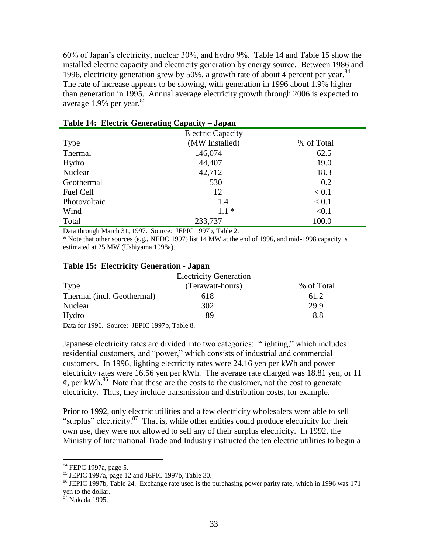60% of Japan's electricity, nuclear 30%, and hydro 9%. [Table 14](#page-41-0) and [Table 15](#page-41-1) show the installed electric capacity and electricity generation by energy source. Between 1986 and 1996, electricity generation grew by  $50\%$ , a growth rate of about 4 percent per year.  $84$ The rate of increase appears to be slowing, with generation in 1996 about 1.9% higher than generation in 1995. Annual average electricity growth through 2006 is expected to average  $1.9\%$  per year.<sup>85</sup>

|              | <b>Electric Capacity</b> |            |
|--------------|--------------------------|------------|
| Type         | (MW Installed)           | % of Total |
| Thermal      | 146,074                  | 62.5       |
| Hydro        | 44,407                   | 19.0       |
| Nuclear      | 42,712                   | 18.3       |
| Geothermal   | 530                      | 0.2        |
| Fuel Cell    | 12                       | < 0.1      |
| Photovoltaic | 1.4                      | < 0.1      |
| Wind         | $1.1*$                   | < 0.1      |
| Total        | 233,737                  | 100.0      |

#### <span id="page-41-0"></span>**Table 14: Electric Generating Capacity – Japan**

Data through March 31, 1997. Source: JEPIC 1997b, Table 2.

\* Note that other sources (e.g., NEDO 1997) list 14 MW at the end of 1996, and mid-1998 capacity is estimated at 25 MW (Ushiyama 1998a).

|                            | <b>Electricity Generation</b> |            |
|----------------------------|-------------------------------|------------|
| Type                       | (Terawatt-hours)              | % of Total |
| Thermal (incl. Geothermal) | 618                           | 61.2       |
| Nuclear                    | 302                           | 29.9       |
| Hydro                      | 89                            | 8.8        |
|                            |                               |            |

#### <span id="page-41-1"></span>**Table 15: Electricity Generation - Japan**

Data for 1996. Source: JEPIC 1997b, Table 8.

Japanese electricity rates are divided into two categories: "lighting," which includes residential customers, and "power," which consists of industrial and commercial customers. In 1996, lighting electricity rates were 24.16 yen per kWh and power electricity rates were 16.56 yen per kWh. The average rate charged was 18.81 yen, or 11  $\varphi$ , per kWh.<sup>86</sup> Note that these are the costs to the customer, not the cost to generate electricity. Thus, they include transmission and distribution costs, for example.

Prior to 1992, only electric utilities and a few electricity wholesalers were able to sell "surplus" electricity. $87$  That is, while other entities could produce electricity for their own use, they were not allowed to sell any of their surplus electricity. In 1992, the Ministry of International Trade and Industry instructed the ten electric utilities to begin a

<sup>&</sup>lt;sup>84</sup> FEPC 1997a, page 5.

 $85$  JEPIC 1997a, page 12 and JEPIC 1997b, Table 30.

<sup>86</sup> JEPIC 1997b, Table 24. Exchange rate used is the purchasing power parity rate, which in 1996 was 171 yen to the dollar.

<sup>&</sup>lt;sup>87</sup> Nakada 1995.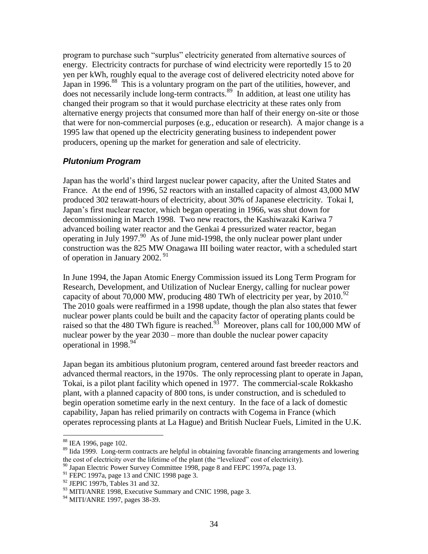program to purchase such "surplus" electricity generated from alternative sources of energy. Electricity contracts for purchase of wind electricity were reportedly 15 to 20 yen per kWh, roughly equal to the average cost of delivered electricity noted above for Japan in 1996.<sup>88</sup> This is a voluntary program on the part of the utilities, however, and does not necessarily include long-term contracts.<sup>89</sup> In addition, at least one utility has changed their program so that it would purchase electricity at these rates only from alternative energy projects that consumed more than half of their energy on-site or those that were for non-commercial purposes (e.g., education or research). A major change is a 1995 law that opened up the electricity generating business to independent power producers, opening up the market for generation and sale of electricity.

## *Plutonium Program*

Japan has the world's third largest nuclear power capacity, after the United States and France. At the end of 1996, 52 reactors with an installed capacity of almost 43,000 MW produced 302 terawatt-hours of electricity, about 30% of Japanese electricity. Tokai I, Japan's first nuclear reactor, which began operating in 1966, was shut down for decommissioning in March 1998. Two new reactors, the Kashiwazaki Kariwa 7 advanced boiling water reactor and the Genkai 4 pressurized water reactor, began operating in July 1997. $90$  As of June mid-1998, the only nuclear power plant under construction was the 825 MW Onagawa III boiling water reactor, with a scheduled start of operation in January 2002.<sup>91</sup>

In June 1994, the Japan Atomic Energy Commission issued its Long Term Program for Research, Development, and Utilization of Nuclear Energy, calling for nuclear power capacity of about 70,000 MW, producing 480 TWh of electricity per year, by  $2010^{92}$ The 2010 goals were reaffirmed in a 1998 update, though the plan also states that fewer nuclear power plants could be built and the capacity factor of operating plants could be raised so that the 480 TWh figure is reached.<sup>93</sup> Moreover, plans call for 100,000 MW of nuclear power by the year 2030 – more than double the nuclear power capacity operational in 1998.<sup>94</sup>

Japan began its ambitious plutonium program, centered around fast breeder reactors and advanced thermal reactors, in the 1970s. The only reprocessing plant to operate in Japan, Tokai, is a pilot plant facility which opened in 1977. The commercial-scale Rokkasho plant, with a planned capacity of 800 tons, is under construction, and is scheduled to begin operation sometime early in the next century. In the face of a lack of domestic capability, Japan has relied primarily on contracts with Cogema in France (which operates reprocessing plants at La Hague) and British Nuclear Fuels, Limited in the U.K.

<sup>&</sup>lt;sup>88</sup> IEA 1996, page 102.

<sup>&</sup>lt;sup>89</sup> Iida 1999. Long-term contracts are helpful in obtaining favorable financing arrangements and lowering the cost of electricity over the lifetime of the plant (the "levelized" cost of electricity).

<sup>&</sup>lt;sup>90</sup> Japan Electric Power Survey Committee 1998, page 8 and FEPC 1997a, page 13.

<sup>&</sup>lt;sup>91</sup> FEPC 1997a, page 13 and CNIC 1998 page 3.

 $92$  JEPIC 1997b, Tables 31 and 32.

<sup>&</sup>lt;sup>93</sup> MITI/ANRE 1998, Executive Summary and CNIC 1998, page 3.

 $94$  MITI/ANRE 1997, pages 38-39.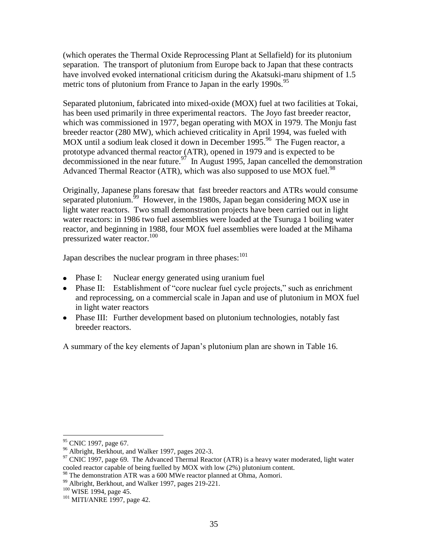(which operates the Thermal Oxide Reprocessing Plant at Sellafield) for its plutonium separation. The transport of plutonium from Europe back to Japan that these contracts have involved evoked international criticism during the Akatsuki-maru shipment of 1.5 metric tons of plutonium from France to Japan in the early 1990s.<sup>95</sup>

Separated plutonium, fabricated into mixed-oxide (MOX) fuel at two facilities at Tokai, has been used primarily in three experimental reactors. The Joyo fast breeder reactor, which was commissioned in 1977, began operating with MOX in 1979. The Monju fast breeder reactor (280 MW), which achieved criticality in April 1994, was fueled with MOX until a sodium leak closed it down in December 1995.<sup>96</sup> The Fugen reactor, a prototype advanced thermal reactor (ATR), opened in 1979 and is expected to be decommissioned in the near future.<sup>97</sup> In August 1995, Japan cancelled the demonstration Advanced Thermal Reactor (ATR), which was also supposed to use MOX fuel.<sup>98</sup>

Originally, Japanese plans foresaw that fast breeder reactors and ATRs would consume separated plutonium.<sup>59</sup> However, in the 1980s, Japan began considering MOX use in light water reactors. Two small demonstration projects have been carried out in light water reactors: in 1986 two fuel assemblies were loaded at the Tsuruga 1 boiling water reactor, and beginning in 1988, four MOX fuel assemblies were loaded at the Mihama pressurized water reactor.<sup>100</sup>

Japan describes the nuclear program in three phases: $101$ 

- Phase I: Nuclear energy generated using uranium fuel
- Phase II: Establishment of "core nuclear fuel cycle projects," such as enrichment and reprocessing, on a commercial scale in Japan and use of plutonium in MOX fuel in light water reactors
- Phase III: Further development based on plutonium technologies, notably fast breeder reactors.

A summary of the key elements of Japan's plutonium plan are shown in [Table 16.](#page-44-0)

<sup>&</sup>lt;sup>95</sup> CNIC 1997, page 67.

<sup>&</sup>lt;sup>96</sup> Albright, Berkhout, and Walker 1997, pages 202-3.

 $97$  CNIC 1997, page 69. The Advanced Thermal Reactor (ATR) is a heavy water moderated, light water cooled reactor capable of being fuelled by MOX with low (2%) plutonium content.

<sup>&</sup>lt;sup>98</sup> The demonstration ATR was a 600 MWe reactor planned at Ohma, Aomori.

<sup>&</sup>lt;sup>99</sup> Albright, Berkhout, and Walker 1997, pages 219-221.

<sup>&</sup>lt;sup>100</sup> WISE 1994, page 45.

 $101$  MITI/ANRE 1997, page 42.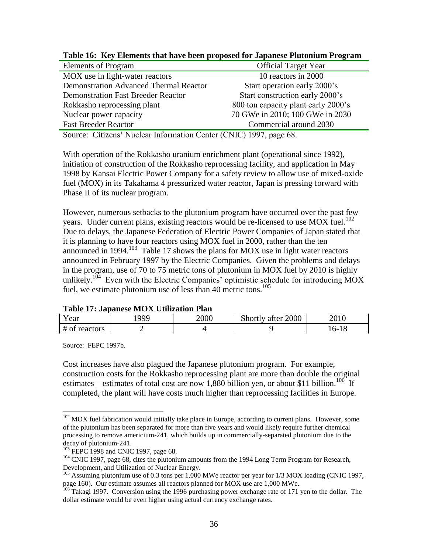| <b>Official Target Year</b>         |
|-------------------------------------|
| 10 reactors in 2000                 |
| Start operation early 2000's        |
| Start construction early 2000's     |
| 800 ton capacity plant early 2000's |
| 70 GWe in 2010; 100 GWe in 2030     |
| Commercial around 2030              |
|                                     |

<span id="page-44-0"></span>**Table 16: Key Elements that have been proposed for Japanese Plutonium Program**

Source: Citizens' Nuclear Information Center (CNIC) 1997, page 68.

With operation of the Rokkasho uranium enrichment plant (operational since 1992), initiation of construction of the Rokkasho reprocessing facility, and application in May 1998 by Kansai Electric Power Company for a safety review to allow use of mixed-oxide fuel (MOX) in its Takahama 4 pressurized water reactor, Japan is pressing forward with Phase II of its nuclear program.

However, numerous setbacks to the plutonium program have occurred over the past few years. Under current plans, existing reactors would be re-licensed to use MOX fuel.<sup>102</sup> Due to delays, the Japanese Federation of Electric Power Companies of Japan stated that it is planning to have four reactors using MOX fuel in 2000, rather than the ten announced in 1994.<sup>103</sup> [Table 17](#page-44-1) shows the plans for MOX use in light water reactors announced in February 1997 by the Electric Companies. Given the problems and delays in the program, use of 70 to 75 metric tons of plutonium in MOX fuel by 2010 is highly unlikely.<sup>104</sup> Even with the Electric Companies' optimistic schedule for introducing MOX fuel, we estimate plutonium use of less than 40 metric tons.<sup>105</sup>

## <span id="page-44-1"></span>**Table 17: Japanese MOX Utilization Plan**

| Year          | 999 | 2000 | Shortly after 2000 | 2010  |
|---------------|-----|------|--------------------|-------|
| # of reactors |     |      |                    | 16-18 |

Source: FEPC 1997b.

 $\overline{a}$ 

Cost increases have also plagued the Japanese plutonium program. For example, construction costs for the Rokkasho reprocessing plant are more than double the original estimates – estimates of total cost are now 1,880 billion yen, or about \$11 billion.<sup>106</sup> If completed, the plant will have costs much higher than reprocessing facilities in Europe.

<sup>&</sup>lt;sup>102</sup> MOX fuel fabrication would initially take place in Europe, according to current plans. However, some of the plutonium has been separated for more than five years and would likely require further chemical processing to remove americium-241, which builds up in commercially-separated plutonium due to the decay of plutonium-241.

<sup>&</sup>lt;sup>103</sup> FEPC 1998 and CNIC 1997, page 68.

<sup>&</sup>lt;sup>104</sup> CNIC 1997, page 68, cites the plutonium amounts from the 1994 Long Term Program for Research, Development, and Utilization of Nuclear Energy.

<sup>&</sup>lt;sup>105</sup> Assuming plutonium use of 0.3 tons per 1,000 MWe reactor per year for 1/3 MOX loading (CNIC 1997, page 160). Our estimate assumes all reactors planned for MOX use are 1,000 MWe.

<sup>&</sup>lt;sup>106</sup> Takagi 1997. Conversion using the 1996 purchasing power exchange rate of 171 yen to the dollar. The dollar estimate would be even higher using actual currency exchange rates.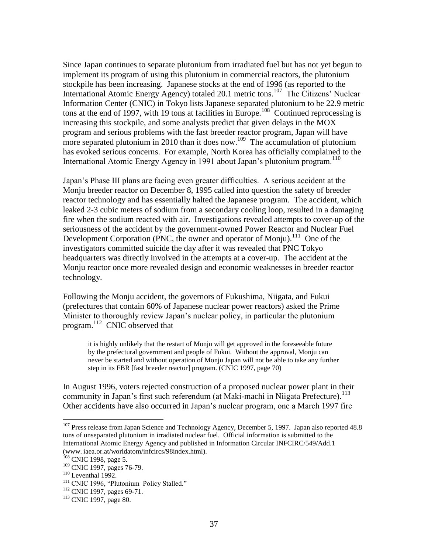Since Japan continues to separate plutonium from irradiated fuel but has not yet begun to implement its program of using this plutonium in commercial reactors, the plutonium stockpile has been increasing. Japanese stocks at the end of 1996 (as reported to the International Atomic Energy Agency) totaled 20.1 metric tons.<sup>107</sup> The Citizens' Nuclear Information Center (CNIC) in Tokyo lists Japanese separated plutonium to be 22.9 metric tons at the end of 1997, with 19 tons at facilities in Europe.<sup>108</sup> Continued reprocessing is increasing this stockpile, and some analysts predict that given delays in the MOX program and serious problems with the fast breeder reactor program, Japan will have more separated plutonium in 2010 than it does now.<sup>109</sup> The accumulation of plutonium has evoked serious concerns. For example, North Korea has officially complained to the International Atomic Energy Agency in 1991 about Japan's plutonium program.<sup>110</sup>

Japan's Phase III plans are facing even greater difficulties. A serious accident at the Monju breeder reactor on December 8, 1995 called into question the safety of breeder reactor technology and has essentially halted the Japanese program. The accident, which leaked 2-3 cubic meters of sodium from a secondary cooling loop, resulted in a damaging fire when the sodium reacted with air. Investigations revealed attempts to cover-up of the seriousness of the accident by the government-owned Power Reactor and Nuclear Fuel Development Corporation (PNC, the owner and operator of Monju).<sup>111</sup> One of the investigators committed suicide the day after it was revealed that PNC Tokyo headquarters was directly involved in the attempts at a cover-up. The accident at the Monju reactor once more revealed design and economic weaknesses in breeder reactor technology.

Following the Monju accident, the governors of Fukushima, Niigata, and Fukui (prefectures that contain 60% of Japanese nuclear power reactors) asked the Prime Minister to thoroughly review Japan's nuclear policy, in particular the plutonium program. 112 CNIC observed that

it is highly unlikely that the restart of Monju will get approved in the foreseeable future by the prefectural government and people of Fukui. Without the approval, Monju can never be started and without operation of Monju Japan will not be able to take any further step in its FBR [fast breeder reactor] program. (CNIC 1997, page 70)

In August 1996, voters rejected construction of a proposed nuclear power plant in their community in Japan's first such referendum (at Maki-machi in Niigata Prefecture).<sup>113</sup> Other accidents have also occurred in Japan's nuclear program, one a March 1997 fire

<sup>&</sup>lt;sup>107</sup> Press release from Japan Science and Technology Agency, December 5, 1997. Japan also reported 48.8 tons of unseparated plutonium in irradiated nuclear fuel. Official information is submitted to the International Atomic Energy Agency and published in Information Circular INFCIRC/549/Add.1 (www. iaea.or.at/worldatom/infcircs/98index.html).

<sup>&</sup>lt;sup>108</sup> CNIC 1998, page 5.

<sup>109</sup> CNIC 1997, pages 76-79.

 $110$  Leventhal 1992.

<sup>&</sup>lt;sup>111</sup> CNIC 1996, "Plutonium Policy Stalled."

<sup>&</sup>lt;sup>112</sup> CNIC 1997, pages 69-71.

<sup>113</sup> CNIC 1997, page 80.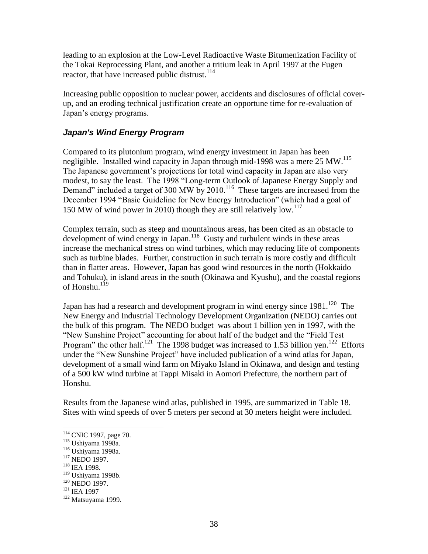leading to an explosion at the Low-Level Radioactive Waste Bitumenization Facility of the Tokai Reprocessing Plant, and another a tritium leak in April 1997 at the Fugen reactor, that have increased public distrust.<sup>114</sup>

Increasing public opposition to nuclear power, accidents and disclosures of official coverup, and an eroding technical justification create an opportune time for re-evaluation of Japan's energy programs.

## *Japan's Wind Energy Program*

Compared to its plutonium program, wind energy investment in Japan has been negligible. Installed wind capacity in Japan through mid-1998 was a mere 25 MW.<sup>115</sup> The Japanese government's projections for total wind capacity in Japan are also very modest, to say the least. The 1998 "Long-term Outlook of Japanese Energy Supply and Demand" included a target of 300 MW by 2010.<sup>116</sup> These targets are increased from the December 1994 "Basic Guideline for New Energy Introduction" (which had a goal of 150 MW of wind power in 2010) though they are still relatively low.<sup>117</sup>

Complex terrain, such as steep and mountainous areas, has been cited as an obstacle to development of wind energy in Japan.<sup>118</sup> Gusty and turbulent winds in these areas increase the mechanical stress on wind turbines, which may reducing life of components such as turbine blades. Further, construction in such terrain is more costly and difficult than in flatter areas. However, Japan has good wind resources in the north (Hokkaido and Tohuku), in island areas in the south (Okinawa and Kyushu), and the coastal regions of Honshu. $^{119}$ 

Japan has had a research and development program in wind energy since  $1981$ .<sup>120</sup> The New Energy and Industrial Technology Development Organization (NEDO) carries out the bulk of this program. The NEDO budget was about 1 billion yen in 1997, with the "New Sunshine Project" accounting for about half of the budget and the "Field Test Program" the other half.<sup>121</sup> The 1998 budget was increased to 1.53 billion yen.<sup>122</sup> Efforts under the "New Sunshine Project" have included publication of a wind atlas for Japan, development of a small wind farm on Miyako Island in Okinawa, and design and testing of a 500 kW wind turbine at Tappi Misaki in Aomori Prefecture, the northern part of Honshu.

Results from the Japanese wind atlas, published in 1995, are summarized in [Table 18.](#page-47-0) Sites with wind speeds of over 5 meters per second at 30 meters height were included.

- <sup>117</sup> NEDO 1997.
- <sup>118</sup> IEA 1998.

<sup>&</sup>lt;sup>114</sup> CNIC 1997, page 70.

<sup>115</sup> Ushiyama 1998a.

<sup>116</sup> Ushiyama 1998a.

<sup>119</sup> Ushiyama 1998b.

<sup>&</sup>lt;sup>120</sup> NEDO 1997.

<sup>&</sup>lt;sup>121</sup> IEA 1997

 $122$  Matsuyama 1999.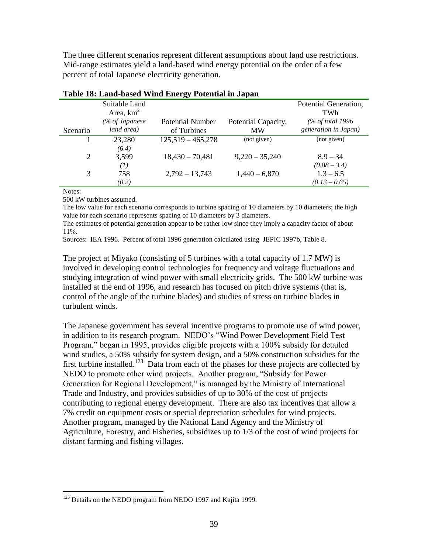The three different scenarios represent different assumptions about land use restrictions. Mid-range estimates yield a land-based wind energy potential on the order of a few percent of total Japanese electricity generation.

|          |                  | Twore for manus $\sigma$ abeu $\tau$ minimal provincial in ouplant |                     |                              |
|----------|------------------|--------------------------------------------------------------------|---------------------|------------------------------|
|          | Suitable Land    |                                                                    |                     | Potential Generation,        |
|          | Area, $km^2$     |                                                                    |                     | TWh                          |
|          | (% of Japanese   | <b>Potential Number</b>                                            | Potential Capacity, | $\frac{1}{96}$ of total 1996 |
| Scenario | land area)       | of Turbines                                                        | <b>MW</b>           | generation in Japan)         |
|          | 23,280           | $125,519 - 465,278$                                                | (not given)         | (not given)                  |
|          | (6.4)            |                                                                    |                     |                              |
| 2        | 3,599            | $18,430 - 70,481$                                                  | $9,220 - 35,240$    | $8.9 - 34$                   |
|          | $\left(1\right)$ |                                                                    |                     | $(0.88 - 3.4)$               |
| 3        | 758              | $2,792 - 13,743$                                                   | $1,440 - 6,870$     | $1.3 - 6.5$                  |
|          | (0.2)            |                                                                    |                     | $(0.13 - 0.65)$              |

<span id="page-47-0"></span>

| Table 18: Land-based Wind Energy Potential in Japan |  |  |  |
|-----------------------------------------------------|--|--|--|
|                                                     |  |  |  |

Notes:

 $\overline{a}$ 

500 kW turbines assumed.

The low value for each scenario corresponds to turbine spacing of 10 diameters by 10 diameters; the high value for each scenario represents spacing of 10 diameters by 3 diameters.

The estimates of potential generation appear to be rather low since they imply a capacity factor of about 11%.

Sources: IEA 1996. Percent of total 1996 generation calculated using JEPIC 1997b, Table 8.

The project at Miyako (consisting of 5 turbines with a total capacity of 1.7 MW) is involved in developing control technologies for frequency and voltage fluctuations and studying integration of wind power with small electricity grids. The 500 kW turbine was installed at the end of 1996, and research has focused on pitch drive systems (that is, control of the angle of the turbine blades) and studies of stress on turbine blades in turbulent winds.

The Japanese government has several incentive programs to promote use of wind power, in addition to its research program. NEDO's "Wind Power Development Field Test Program," began in 1995, provides eligible projects with a 100% subsidy for detailed wind studies, a 50% subsidy for system design, and a 50% construction subsidies for the first turbine installed.<sup>123</sup> Data from each of the phases for these projects are collected by NEDO to promote other wind projects. Another program, "Subsidy for Power Generation for Regional Development," is managed by the Ministry of International Trade and Industry, and provides subsidies of up to 30% of the cost of projects contributing to regional energy development. There are also tax incentives that allow a 7% credit on equipment costs or special depreciation schedules for wind projects. Another program, managed by the National Land Agency and the Ministry of Agriculture, Forestry, and Fisheries, subsidizes up to 1/3 of the cost of wind projects for distant farming and fishing villages.

<sup>&</sup>lt;sup>123</sup> Details on the NEDO program from NEDO 1997 and Kajita 1999.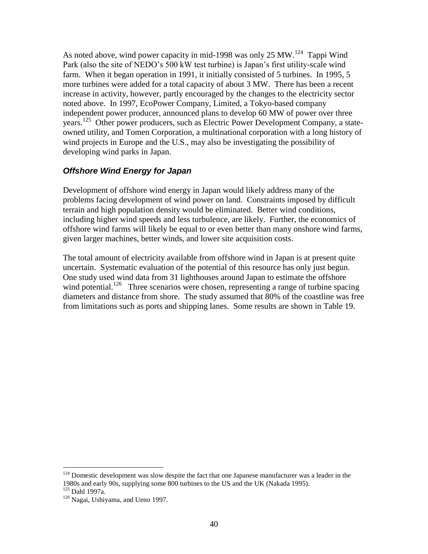As noted above, wind power capacity in mid-1998 was only 25 MW.<sup>124</sup> Tappi Wind Park (also the site of NEDO's 500 kW test turbine) is Japan's first utility-scale wind farm. When it began operation in 1991, it initially consisted of 5 turbines. In 1995, 5 more turbines were added for a total capacity of about 3 MW. There has been a recent increase in activity, however, partly encouraged by the changes to the electricity sector noted above. In 1997, EcoPower Company, Limited, a Tokyo-based company independent power producer, announced plans to develop 60 MW of power over three years.<sup>125</sup> Other power producers, such as Electric Power Development Company, a stateowned utility, and Tomen Corporation, a multinational corporation with a long history of wind projects in Europe and the U.S., may also be investigating the possibility of developing wind parks in Japan.

## *Offshore Wind Energy for Japan*

Development of offshore wind energy in Japan would likely address many of the problems facing development of wind power on land. Constraints imposed by difficult terrain and high population density would be eliminated. Better wind conditions, including higher wind speeds and less turbulence, are likely. Further, the economics of offshore wind farms will likely be equal to or even better than many onshore wind farms, given larger machines, better winds, and lower site acquisition costs.

The total amount of electricity available from offshore wind in Japan is at present quite uncertain. Systematic evaluation of the potential of this resource has only just begun. One study used wind data from 31 lighthouses around Japan to estimate the offshore wind potential.<sup>126</sup> Three scenarios were chosen, representing a range of turbine spacing diameters and distance from shore. The study assumed that 80% of the coastline was free from limitations such as ports and shipping lanes. Some results are shown in [Table 19.](#page-49-0)

 $124$  Domestic development was slow despite the fact that one Japanese manufacturer was a leader in the 1980s and early 90s, supplying some 800 turbines to the US and the UK (Nakada 1995).  $125$  Dahl 1997a.

<sup>&</sup>lt;sup>126</sup> Nagai, Ushiyama, and Ueno 1997.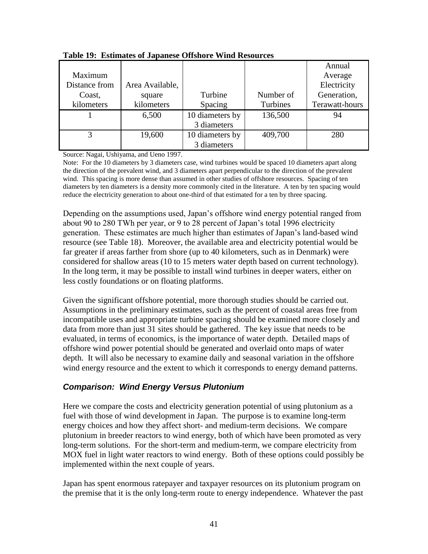|               |                 |                 |           | Annual         |
|---------------|-----------------|-----------------|-----------|----------------|
| Maximum       |                 |                 |           | Average        |
| Distance from | Area Available, |                 |           | Electricity    |
| Coast,        | square          | Turbine         | Number of | Generation,    |
| kilometers    | kilometers      | Spacing         | Turbines  | Terawatt-hours |
|               | 6,500           | 10 diameters by | 136,500   | 94             |
|               |                 | 3 diameters     |           |                |
|               | 19,600          | 10 diameters by | 409,700   | 280            |
|               |                 | 3 diameters     |           |                |

<span id="page-49-0"></span>**Table 19: Estimates of Japanese Offshore Wind Resources**

Source: Nagai, Ushiyama, and Ueno 1997.

Note: For the 10 diameters by 3 diameters case, wind turbines would be spaced 10 diameters apart along the direction of the prevalent wind, and 3 diameters apart perpendicular to the direction of the prevalent wind. This spacing is more dense than assumed in other studies of offshore resources. Spacing of ten diameters by ten diameters is a density more commonly cited in the literature. A ten by ten spacing would reduce the electricity generation to about one-third of that estimated for a ten by three spacing.

Depending on the assumptions used, Japan's offshore wind energy potential ranged from about 90 to 280 TWh per year, or 9 to 28 percent of Japan's total 1996 electricity generation. These estimates are much higher than estimates of Japan's land-based wind resource (see [Table 18\)](#page-47-0). Moreover, the available area and electricity potential would be far greater if areas farther from shore (up to 40 kilometers, such as in Denmark) were considered for shallow areas (10 to 15 meters water depth based on current technology). In the long term, it may be possible to install wind turbines in deeper waters, either on less costly foundations or on floating platforms.

Given the significant offshore potential, more thorough studies should be carried out. Assumptions in the preliminary estimates, such as the percent of coastal areas free from incompatible uses and appropriate turbine spacing should be examined more closely and data from more than just 31 sites should be gathered. The key issue that needs to be evaluated, in terms of economics, is the importance of water depth. Detailed maps of offshore wind power potential should be generated and overlaid onto maps of water depth. It will also be necessary to examine daily and seasonal variation in the offshore wind energy resource and the extent to which it corresponds to energy demand patterns.

## *Comparison: Wind Energy Versus Plutonium*

Here we compare the costs and electricity generation potential of using plutonium as a fuel with those of wind development in Japan. The purpose is to examine long-term energy choices and how they affect short- and medium-term decisions. We compare plutonium in breeder reactors to wind energy, both of which have been promoted as very long-term solutions. For the short-term and medium-term, we compare electricity from MOX fuel in light water reactors to wind energy. Both of these options could possibly be implemented within the next couple of years.

Japan has spent enormous ratepayer and taxpayer resources on its plutonium program on the premise that it is the only long-term route to energy independence. Whatever the past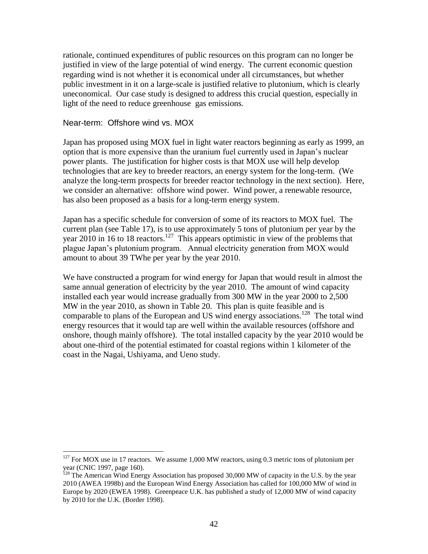rationale, continued expenditures of public resources on this program can no longer be justified in view of the large potential of wind energy. The current economic question regarding wind is not whether it is economical under all circumstances, but whether public investment in it on a large-scale is justified relative to plutonium, which is clearly uneconomical. Our case study is designed to address this crucial question, especially in light of the need to reduce greenhouse gas emissions.

#### Near-term: Offshore wind vs. MOX

 $\overline{a}$ 

Japan has proposed using MOX fuel in light water reactors beginning as early as 1999, an option that is more expensive than the uranium fuel currently used in Japan's nuclear power plants. The justification for higher costs is that MOX use will help develop technologies that are key to breeder reactors, an energy system for the long-term. (We analyze the long-term prospects for breeder reactor technology in the next section). Here, we consider an alternative: offshore wind power. Wind power, a renewable resource, has also been proposed as a basis for a long-term energy system.

Japan has a specific schedule for conversion of some of its reactors to MOX fuel. The current plan (see [Table 17\)](#page-44-1), is to use approximately 5 tons of plutonium per year by the year 2010 in 16 to 18 reactors.<sup>127</sup> This appears optimistic in view of the problems that plague Japan's plutonium program. Annual electricity generation from MOX would amount to about 39 TWhe per year by the year 2010.

We have constructed a program for wind energy for Japan that would result in almost the same annual generation of electricity by the year 2010. The amount of wind capacity installed each year would increase gradually from 300 MW in the year 2000 to 2,500 MW in the year 2010, as shown in [Table 20.](#page-51-0) This plan is quite feasible and is comparable to plans of the European and US wind energy associations.<sup>128</sup> The total wind energy resources that it would tap are well within the available resources (offshore and onshore, though mainly offshore). The total installed capacity by the year 2010 would be about one-third of the potential estimated for coastal regions within 1 kilometer of the coast in the Nagai, Ushiyama, and Ueno study.

 $127$  For MOX use in 17 reactors. We assume 1,000 MW reactors, using 0.3 metric tons of plutonium per year (CNIC 1997, page 160).

 $128$  The American Wind Energy Association has proposed 30,000 MW of capacity in the U.S. by the year 2010 (AWEA 1998b) and the European Wind Energy Association has called for 100,000 MW of wind in Europe by 2020 (EWEA 1998). Greenpeace U.K. has published a study of 12,000 MW of wind capacity by 2010 for the U.K. (Border 1998).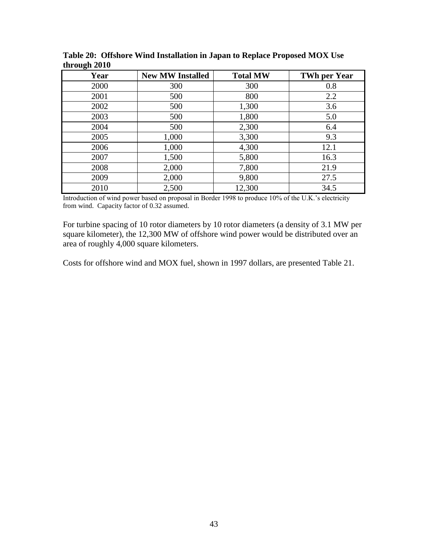| Year | <b>New MW Installed</b> | <b>Total MW</b> | <b>TWh per Year</b> |
|------|-------------------------|-----------------|---------------------|
| 2000 | 300                     | 300             | 0.8                 |
| 2001 | 500                     | 800             | 2.2                 |
| 2002 | 500                     | 1,300           | 3.6                 |
| 2003 | 500                     | 1,800           | 5.0                 |
| 2004 | 500                     | 2,300           | 6.4                 |
| 2005 | 1,000                   | 3,300           | 9.3                 |
| 2006 | 1,000                   | 4,300           | 12.1                |
| 2007 | 1,500                   | 5,800           | 16.3                |
| 2008 | 2,000                   | 7,800           | 21.9                |
| 2009 | 2,000                   | 9,800           | 27.5                |
| 2010 | 2,500                   | 12,300          | 34.5                |

<span id="page-51-0"></span>**Table 20: Offshore Wind Installation in Japan to Replace Proposed MOX Use through 2010**

Introduction of wind power based on proposal in Border 1998 to produce 10% of the U.K.'s electricity from wind. Capacity factor of 0.32 assumed.

For turbine spacing of 10 rotor diameters by 10 rotor diameters (a density of 3.1 MW per square kilometer), the 12,300 MW of offshore wind power would be distributed over an area of roughly 4,000 square kilometers.

Costs for offshore wind and MOX fuel, shown in 1997 dollars, are presented [Table 21.](#page-52-0)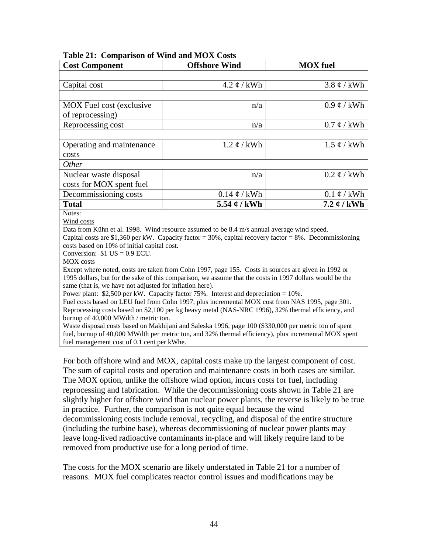<span id="page-52-0"></span>

|  | Table 21: Comparison of Wind and MOX Costs |  |  |  |  |
|--|--------------------------------------------|--|--|--|--|
|--|--------------------------------------------|--|--|--|--|

| <b>Cost Component</b>                                                                                                                                                                                                                                                                                                                                                                                                                                                                                                                                                                                                                                                                                                                                                                                                                                                                                                                                                                                                                                                                                                                                                                                           | <b>Offshore Wind</b>      | <b>MOX</b> fuel    |  |
|-----------------------------------------------------------------------------------------------------------------------------------------------------------------------------------------------------------------------------------------------------------------------------------------------------------------------------------------------------------------------------------------------------------------------------------------------------------------------------------------------------------------------------------------------------------------------------------------------------------------------------------------------------------------------------------------------------------------------------------------------------------------------------------------------------------------------------------------------------------------------------------------------------------------------------------------------------------------------------------------------------------------------------------------------------------------------------------------------------------------------------------------------------------------------------------------------------------------|---------------------------|--------------------|--|
|                                                                                                                                                                                                                                                                                                                                                                                                                                                                                                                                                                                                                                                                                                                                                                                                                                                                                                                                                                                                                                                                                                                                                                                                                 |                           |                    |  |
| Capital cost                                                                                                                                                                                                                                                                                                                                                                                                                                                                                                                                                                                                                                                                                                                                                                                                                                                                                                                                                                                                                                                                                                                                                                                                    | $4.2 \notin /$ kWh        | $3.8 \notin /$ kWh |  |
|                                                                                                                                                                                                                                                                                                                                                                                                                                                                                                                                                                                                                                                                                                                                                                                                                                                                                                                                                                                                                                                                                                                                                                                                                 |                           |                    |  |
| <b>MOX</b> Fuel cost (exclusive                                                                                                                                                                                                                                                                                                                                                                                                                                                                                                                                                                                                                                                                                                                                                                                                                                                                                                                                                                                                                                                                                                                                                                                 | n/a                       | $0.9 \notin /$ kWh |  |
| of reprocessing)                                                                                                                                                                                                                                                                                                                                                                                                                                                                                                                                                                                                                                                                                                                                                                                                                                                                                                                                                                                                                                                                                                                                                                                                |                           |                    |  |
| Reprocessing cost                                                                                                                                                                                                                                                                                                                                                                                                                                                                                                                                                                                                                                                                                                                                                                                                                                                                                                                                                                                                                                                                                                                                                                                               | n/a                       | $0.7 \notin /$ kWh |  |
|                                                                                                                                                                                                                                                                                                                                                                                                                                                                                                                                                                                                                                                                                                                                                                                                                                                                                                                                                                                                                                                                                                                                                                                                                 |                           |                    |  |
| Operating and maintenance                                                                                                                                                                                                                                                                                                                                                                                                                                                                                                                                                                                                                                                                                                                                                                                                                                                                                                                                                                                                                                                                                                                                                                                       | $1.2 \notin /$ kWh        | $1.5 \notin /$ kWh |  |
| costs                                                                                                                                                                                                                                                                                                                                                                                                                                                                                                                                                                                                                                                                                                                                                                                                                                                                                                                                                                                                                                                                                                                                                                                                           |                           |                    |  |
| Other                                                                                                                                                                                                                                                                                                                                                                                                                                                                                                                                                                                                                                                                                                                                                                                                                                                                                                                                                                                                                                                                                                                                                                                                           |                           |                    |  |
| Nuclear waste disposal                                                                                                                                                                                                                                                                                                                                                                                                                                                                                                                                                                                                                                                                                                                                                                                                                                                                                                                                                                                                                                                                                                                                                                                          | n/a                       | $0.2 \notin /$ kWh |  |
| costs for MOX spent fuel                                                                                                                                                                                                                                                                                                                                                                                                                                                                                                                                                                                                                                                                                                                                                                                                                                                                                                                                                                                                                                                                                                                                                                                        |                           |                    |  |
| Decommissioning costs                                                                                                                                                                                                                                                                                                                                                                                                                                                                                                                                                                                                                                                                                                                                                                                                                                                                                                                                                                                                                                                                                                                                                                                           | $0.14 \notin /$ kWh       | $0.1 \notin /$ kWh |  |
| <b>Total</b>                                                                                                                                                                                                                                                                                                                                                                                                                                                                                                                                                                                                                                                                                                                                                                                                                                                                                                                                                                                                                                                                                                                                                                                                    | 5.54 $\mathfrak{c}$ / kWh | 7.2 $\ell$ / kWh   |  |
| Notes:<br>Wind costs<br>Data from Kühn et al. 1998. Wind resource assumed to be 8.4 m/s annual average wind speed.<br>Capital costs are \$1,360 per kW. Capacity factor = 30%, capital recovery factor = 8%. Decommissioning<br>costs based on 10% of initial capital cost.<br>Conversion: $$1$ US = 0.9 ECU.<br>MOX costs<br>Except where noted, costs are taken from Cohn 1997, page 155. Costs in sources are given in 1992 or<br>1995 dollars, but for the sake of this comparison, we assume that the costs in 1997 dollars would be the<br>same (that is, we have not adjusted for inflation here).<br>Power plant: \$2,500 per kW. Capacity factor 75%. Interest and depreciation = 10%.<br>Fuel costs based on LEU fuel from Cohn 1997, plus incremental MOX cost from NAS 1995, page 301.<br>Reprocessing costs based on \$2,100 per kg heavy metal (NAS-NRC 1996), 32% thermal efficiency, and<br>burnup of 40,000 MWdth / metric ton.<br>Waste disposal costs based on Makhijani and Saleska 1996, page 100 (\$330,000 per metric ton of spent<br>fuel, burnup of 40,000 MWdth per metric ton, and 32% thermal efficiency), plus incremental MOX spent<br>fuel management cost of 0.1 cent per kWhe. |                           |                    |  |

For both offshore wind and MOX, capital costs make up the largest component of cost. The sum of capital costs and operation and maintenance costs in both cases are similar. The MOX option, unlike the offshore wind option, incurs costs for fuel, including reprocessing and fabrication. While the decommissioning costs shown in [Table 21](#page-52-0) are slightly higher for offshore wind than nuclear power plants, the reverse is likely to be true in practice. Further, the comparison is not quite equal because the wind decommissioning costs include removal, recycling, and disposal of the entire structure (including the turbine base), whereas decommissioning of nuclear power plants may leave long-lived radioactive contaminants in-place and will likely require land to be removed from productive use for a long period of time.

The costs for the MOX scenario are likely understated in [Table 21](#page-52-0) for a number of reasons. MOX fuel complicates reactor control issues and modifications may be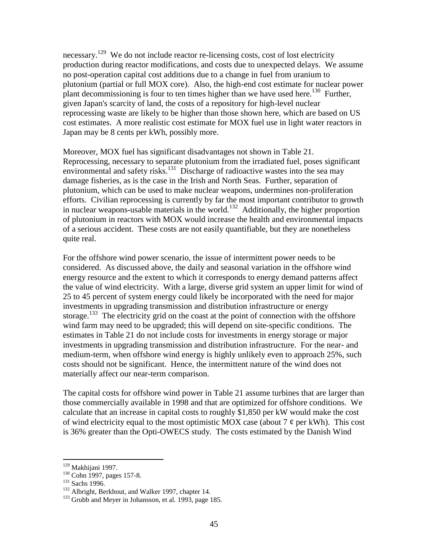necessary.<sup>129</sup> We do not include reactor re-licensing costs, cost of lost electricity production during reactor modifications, and costs due to unexpected delays. We assume no post-operation capital cost additions due to a change in fuel from uranium to plutonium (partial or full MOX core). Also, the high-end cost estimate for nuclear power plant decommissioning is four to ten times higher than we have used here.<sup>130</sup> Further, given Japan's scarcity of land, the costs of a repository for high-level nuclear reprocessing waste are likely to be higher than those shown here, which are based on US cost estimates. A more realistic cost estimate for MOX fuel use in light water reactors in Japan may be 8 cents per kWh, possibly more.

Moreover, MOX fuel has significant disadvantages not shown in [Table 21.](#page-52-0) Reprocessing, necessary to separate plutonium from the irradiated fuel, poses significant environmental and safety risks.<sup>131</sup> Discharge of radioactive wastes into the sea may damage fisheries, as is the case in the Irish and North Seas. Further, separation of plutonium, which can be used to make nuclear weapons, undermines non-proliferation efforts. Civilian reprocessing is currently by far the most important contributor to growth in nuclear weapons-usable materials in the world.<sup>132</sup> Additionally, the higher proportion of plutonium in reactors with MOX would increase the health and environmental impacts of a serious accident. These costs are not easily quantifiable, but they are nonetheless quite real.

For the offshore wind power scenario, the issue of intermittent power needs to be considered. As discussed above, the daily and seasonal variation in the offshore wind energy resource and the extent to which it corresponds to energy demand patterns affect the value of wind electricity. With a large, diverse grid system an upper limit for wind of 25 to 45 percent of system energy could likely be incorporated with the need for major investments in upgrading transmission and distribution infrastructure or energy storage.<sup>133</sup> The electricity grid on the coast at the point of connection with the offshore wind farm may need to be upgraded; this will depend on site-specific conditions. The estimates in [Table 21](#page-52-0) do not include costs for investments in energy storage or major investments in upgrading transmission and distribution infrastructure. For the near- and medium-term, when offshore wind energy is highly unlikely even to approach 25%, such costs should not be significant. Hence, the intermittent nature of the wind does not materially affect our near-term comparison.

The capital costs for offshore wind power in [Table 21](#page-52-0) assume turbines that are larger than those commercially available in 1998 and that are optimized for offshore conditions. We calculate that an increase in capital costs to roughly \$1,850 per kW would make the cost of wind electricity equal to the most optimistic MOX case (about 7  $\phi$  per kWh). This cost is 36% greater than the Opti-OWECS study. The costs estimated by the Danish Wind

<sup>&</sup>lt;sup>129</sup> Makhijani 1997.

<sup>130</sup> Cohn 1997, pages 157-8.

<sup>&</sup>lt;sup>131</sup> Sachs 1996.

<sup>&</sup>lt;sup>132</sup> Albright, Berkhout, and Walker 1997, chapter 14.

<sup>&</sup>lt;sup>133</sup> Grubb and Meyer in Johansson, et al. 1993, page 185.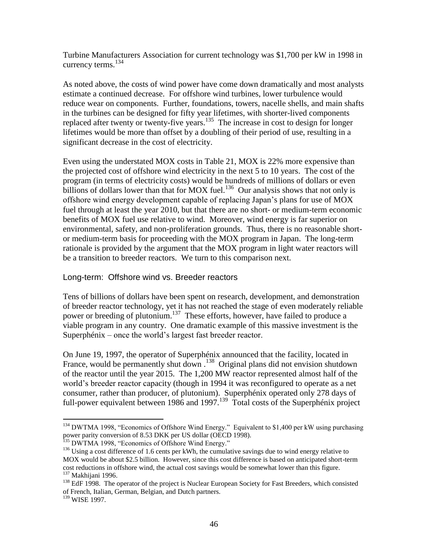Turbine Manufacturers Association for current technology was \$1,700 per kW in 1998 in currency terms. $^{134}$ 

As noted above, the costs of wind power have come down dramatically and most analysts estimate a continued decrease. For offshore wind turbines, lower turbulence would reduce wear on components. Further, foundations, towers, nacelle shells, and main shafts in the turbines can be designed for fifty year lifetimes, with shorter-lived components replaced after twenty or twenty-five years.<sup>135</sup> The increase in cost to design for longer lifetimes would be more than offset by a doubling of their period of use, resulting in a significant decrease in the cost of electricity.

Even using the understated MOX costs in [Table 21,](#page-52-0) MOX is 22% more expensive than the projected cost of offshore wind electricity in the next 5 to 10 years. The cost of the program (in terms of electricity costs) would be hundreds of millions of dollars or even billions of dollars lower than that for MOX fuel.<sup>136</sup> Our analysis shows that not only is offshore wind energy development capable of replacing Japan's plans for use of MOX fuel through at least the year 2010, but that there are no short- or medium-term economic benefits of MOX fuel use relative to wind. Moreover, wind energy is far superior on environmental, safety, and non-proliferation grounds. Thus, there is no reasonable shortor medium-term basis for proceeding with the MOX program in Japan. The long-term rationale is provided by the argument that the MOX program in light water reactors will be a transition to breeder reactors. We turn to this comparison next.

### Long-term: Offshore wind vs. Breeder reactors

Tens of billions of dollars have been spent on research, development, and demonstration of breeder reactor technology, yet it has not reached the stage of even moderately reliable power or breeding of plutonium.<sup>137</sup> These efforts, however, have failed to produce a viable program in any country. One dramatic example of this massive investment is the Superphénix – once the world's largest fast breeder reactor.

On June 19, 1997, the operator of Superphénix announced that the facility, located in France, would be permanently shut down.<sup>138</sup> Original plans did not envision shutdown of the reactor until the year 2015. The 1,200 MW reactor represented almost half of the world's breeder reactor capacity (though in 1994 it was reconfigured to operate as a net consumer, rather than producer, of plutonium). Superphénix operated only 278 days of full-power equivalent between 1986 and 1997.<sup>139</sup> Total costs of the Superphénix project

<sup>&</sup>lt;sup>134</sup> DWTMA 1998, "Economics of Offshore Wind Energy." Equivalent to \$1,400 per kW using purchasing power parity conversion of 8.53 DKK per US dollar (OECD 1998).

<sup>&</sup>lt;sup>135</sup> DWTMA 1998, "Economics of Offshore Wind Energy."

<sup>&</sup>lt;sup>136</sup> Using a cost difference of 1.6 cents per kWh, the cumulative savings due to wind energy relative to MOX would be about \$2.5 billion. However, since this cost difference is based on anticipated short-term cost reductions in offshore wind, the actual cost savings would be somewhat lower than this figure.  $137$  Makhijani 1996.

<sup>&</sup>lt;sup>138</sup> EdF 1998. The operator of the project is Nuclear European Society for Fast Breeders, which consisted of French, Italian, German, Belgian, and Dutch partners.

<sup>&</sup>lt;sup>139</sup> WISE 1997.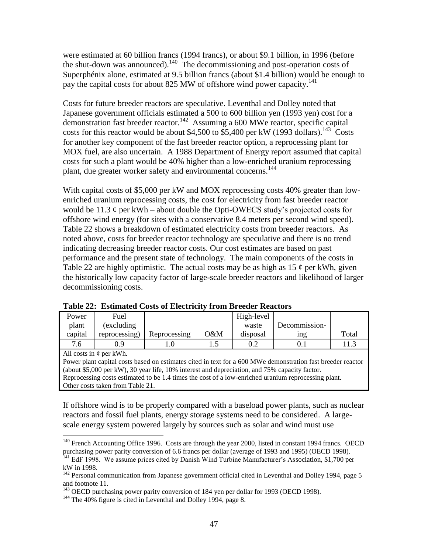were estimated at 60 billion francs (1994 francs), or about \$9.1 billion, in 1996 (before the shut-down was announced).<sup>140</sup> The decommissioning and post-operation costs of Superphénix alone, estimated at 9.5 billion francs (about \$1.4 billion) would be enough to pay the capital costs for about 825 MW of offshore wind power capacity.<sup>141</sup>

Costs for future breeder reactors are speculative. Leventhal and Dolley noted that Japanese government officials estimated a 500 to 600 billion yen (1993 yen) cost for a demonstration fast breeder reactor.<sup>142</sup> Assuming a 600 MWe reactor, specific capital costs for this reactor would be about \$4,500 to  $\overline{\$5,400\}$  per kW (1993 dollars).<sup>143</sup> Costs for another key component of the fast breeder reactor option, a reprocessing plant for MOX fuel, are also uncertain. A 1988 Department of Energy report assumed that capital costs for such a plant would be 40% higher than a low-enriched uranium reprocessing plant, due greater worker safety and environmental concerns.<sup>144</sup>

With capital costs of \$5,000 per kW and MOX reprocessing costs 40% greater than lowenriched uranium reprocessing costs, the cost for electricity from fast breeder reactor would be 11.3  $\phi$  per kWh – about double the Opti-OWECS study's projected costs for offshore wind energy (for sites with a conservative 8.4 meters per second wind speed). [Table 22](#page-55-0) shows a breakdown of estimated electricity costs from breeder reactors. As noted above, costs for breeder reactor technology are speculative and there is no trend indicating decreasing breeder reactor costs. Our cost estimates are based on past performance and the present state of technology. The main components of the costs in [Table 22](#page-55-0) are highly optimistic. The actual costs may be as high as  $15 \phi$  per kWh, given the historically low capacity factor of large-scale breeder reactors and likelihood of larger decommissioning costs.

| Power                                                                                                       | Fuel          |              |        | High-level |               |       |
|-------------------------------------------------------------------------------------------------------------|---------------|--------------|--------|------------|---------------|-------|
| plant                                                                                                       | (excluding    |              |        | waste      | Decommission- |       |
| capital                                                                                                     | reprocessing) | Reprocessing | $O\&M$ | disposal   | 1ng           | Total |
| 7.6                                                                                                         | 0.9           |              |        | 0.2        | O. I          | 11.3  |
| All costs in $\phi$ per kWh.                                                                                |               |              |        |            |               |       |
| Power plant capital costs based on estimates cited in text for a 600 MWe demonstration fast breeder reactor |               |              |        |            |               |       |

<span id="page-55-0"></span>

(about \$5,000 per kW), 30 year life, 10% interest and depreciation, and 75% capacity factor. Reprocessing costs estimated to be 1.4 times the cost of a low-enriched uranium reprocessing plant. Other costs taken from [Table 21.](#page-52-0)

If offshore wind is to be properly compared with a baseload power plants, such as nuclear reactors and fossil fuel plants, energy storage systems need to be considered. A largescale energy system powered largely by sources such as solar and wind must use

<sup>&</sup>lt;sup>140</sup> French Accounting Office 1996. Costs are through the year 2000, listed in constant 1994 francs. OECD purchasing power parity conversion of 6.6 francs per dollar (average of 1993 and 1995) (OECD 1998). <sup>141</sup> EdF 1998. We assume prices cited by Danish Wind Turbine Manufacturer's Association, \$1,700 per kW in 1998.

<sup>&</sup>lt;sup>142</sup> Personal communication from Japanese government official cited in Leventhal and Dolley 1994, page 5 and footnote 11.

<sup>&</sup>lt;sup>143</sup> OECD purchasing power parity conversion of 184 yen per dollar for 1993 (OECD 1998).

<sup>&</sup>lt;sup>144</sup> The 40% figure is cited in Leventhal and Dolley 1994, page 8.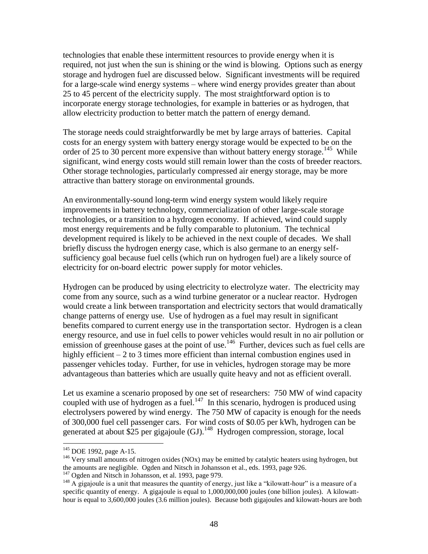technologies that enable these intermittent resources to provide energy when it is required, not just when the sun is shining or the wind is blowing. Options such as energy storage and hydrogen fuel are discussed below. Significant investments will be required for a large-scale wind energy systems – where wind energy provides greater than about 25 to 45 percent of the electricity supply. The most straightforward option is to incorporate energy storage technologies, for example in batteries or as hydrogen, that allow electricity production to better match the pattern of energy demand.

The storage needs could straightforwardly be met by large arrays of batteries. Capital costs for an energy system with battery energy storage would be expected to be on the order of 25 to 30 percent more expensive than without battery energy storage.<sup>145</sup> While significant, wind energy costs would still remain lower than the costs of breeder reactors. Other storage technologies, particularly compressed air energy storage, may be more attractive than battery storage on environmental grounds.

An environmentally-sound long-term wind energy system would likely require improvements in battery technology, commercialization of other large-scale storage technologies, or a transition to a hydrogen economy. If achieved, wind could supply most energy requirements and be fully comparable to plutonium. The technical development required is likely to be achieved in the next couple of decades. We shall briefly discuss the hydrogen energy case, which is also germane to an energy selfsufficiency goal because fuel cells (which run on hydrogen fuel) are a likely source of electricity for on-board electric power supply for motor vehicles.

Hydrogen can be produced by using electricity to electrolyze water. The electricity may come from any source, such as a wind turbine generator or a nuclear reactor. Hydrogen would create a link between transportation and electricity sectors that would dramatically change patterns of energy use. Use of hydrogen as a fuel may result in significant benefits compared to current energy use in the transportation sector. Hydrogen is a clean energy resource, and use in fuel cells to power vehicles would result in no air pollution or emission of greenhouse gases at the point of use.<sup>146</sup> Further, devices such as fuel cells are highly efficient – 2 to 3 times more efficient than internal combustion engines used in passenger vehicles today. Further, for use in vehicles, hydrogen storage may be more advantageous than batteries which are usually quite heavy and not as efficient overall.

Let us examine a scenario proposed by one set of researchers: 750 MW of wind capacity coupled with use of hydrogen as a fuel.<sup>147</sup> In this scenario, hydrogen is produced using electrolysers powered by wind energy. The 750 MW of capacity is enough for the needs of 300,000 fuel cell passenger cars. For wind costs of \$0.05 per kWh, hydrogen can be generated at about \$25 per gigajoule (GJ).<sup>148</sup> Hydrogen compression, storage, local

 $145$  DOE 1992, page A-15.

<sup>&</sup>lt;sup>146</sup> Very small amounts of nitrogen oxides (NOx) may be emitted by catalytic heaters using hydrogen, but the amounts are negligible. Ogden and Nitsch in Johansson et al., eds. 1993, page 926.

<sup>&</sup>lt;sup>147</sup> Ogden and Nitsch in Johansson, et al. 1993, page 979.

<sup>&</sup>lt;sup>148</sup> A gigajoule is a unit that measures the quantity of energy, just like a "kilowatt-hour" is a measure of a specific quantity of energy. A gigajoule is equal to 1,000,000,000 joules (one billion joules). A kilowatthour is equal to 3,600,000 joules (3.6 million joules). Because both gigajoules and kilowatt-hours are both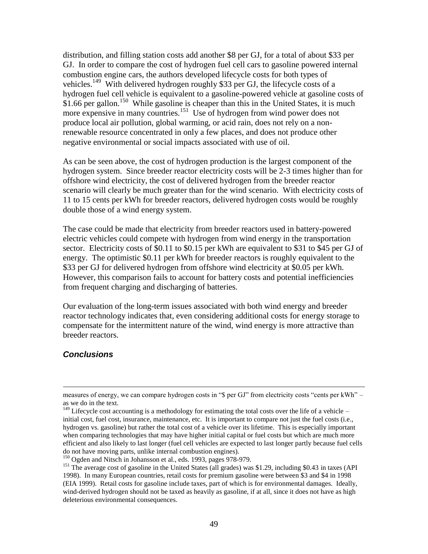distribution, and filling station costs add another \$8 per GJ, for a total of about \$33 per GJ. In order to compare the cost of hydrogen fuel cell cars to gasoline powered internal combustion engine cars, the authors developed lifecycle costs for both types of vehicles.<sup>149</sup> With delivered hydrogen roughly \$33 per GJ, the lifecycle costs of a hydrogen fuel cell vehicle is equivalent to a gasoline-powered vehicle at gasoline costs of \$1.66 per gallon.<sup>150</sup> While gasoline is cheaper than this in the United States, it is much more expensive in many countries.<sup>151</sup> Use of hydrogen from wind power does not produce local air pollution, global warming, or acid rain, does not rely on a nonrenewable resource concentrated in only a few places, and does not produce other negative environmental or social impacts associated with use of oil.

As can be seen above, the cost of hydrogen production is the largest component of the hydrogen system. Since breeder reactor electricity costs will be 2-3 times higher than for offshore wind electricity, the cost of delivered hydrogen from the breeder reactor scenario will clearly be much greater than for the wind scenario. With electricity costs of 11 to 15 cents per kWh for breeder reactors, delivered hydrogen costs would be roughly double those of a wind energy system.

The case could be made that electricity from breeder reactors used in battery-powered electric vehicles could compete with hydrogen from wind energy in the transportation sector. Electricity costs of \$0.11 to \$0.15 per kWh are equivalent to \$31 to \$45 per GJ of energy. The optimistic \$0.11 per kWh for breeder reactors is roughly equivalent to the \$33 per GJ for delivered hydrogen from offshore wind electricity at \$0.05 per kWh. However, this comparison fails to account for battery costs and potential inefficiencies from frequent charging and discharging of batteries.

Our evaluation of the long-term issues associated with both wind energy and breeder reactor technology indicates that, even considering additional costs for energy storage to compensate for the intermittent nature of the wind, wind energy is more attractive than breeder reactors.

#### *Conclusions*

measures of energy, we can compare hydrogen costs in "\$ per GJ" from electricity costs "cents per kWh" – as we do in the text.

 $149$  Lifecycle cost accounting is a methodology for estimating the total costs over the life of a vehicle – initial cost, fuel cost, insurance, maintenance, etc. It is important to compare not just the fuel costs (i.e., hydrogen vs. gasoline) but rather the total cost of a vehicle over its lifetime. This is especially important when comparing technologies that may have higher initial capital or fuel costs but which are much more efficient and also likely to last longer (fuel cell vehicles are expected to last longer partly because fuel cells do not have moving parts, unlike internal combustion engines).

<sup>&</sup>lt;sup>150</sup> Ogden and Nitsch in Johansson et al., eds. 1993, pages 978-979.

<sup>&</sup>lt;sup>151</sup> The average cost of gasoline in the United States (all grades) was \$1.29, including \$0.43 in taxes (API 1998). In many European countries, retail costs for premium gasoline were between \$3 and \$4 in 1998 (EIA 1999). Retail costs for gasoline include taxes, part of which is for environmental damages. Ideally, wind-derived hydrogen should not be taxed as heavily as gasoline, if at all, since it does not have as high deleterious environmental consequences.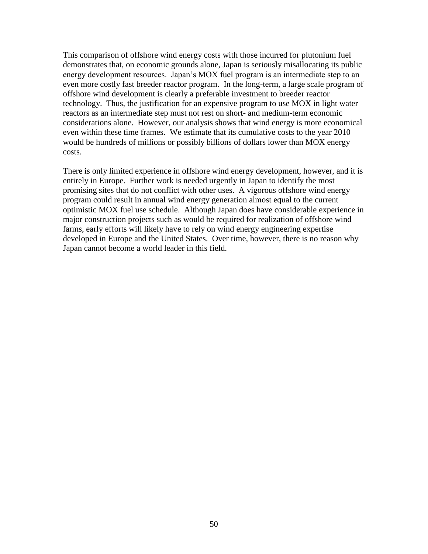This comparison of offshore wind energy costs with those incurred for plutonium fuel demonstrates that, on economic grounds alone, Japan is seriously misallocating its public energy development resources. Japan's MOX fuel program is an intermediate step to an even more costly fast breeder reactor program. In the long-term, a large scale program of offshore wind development is clearly a preferable investment to breeder reactor technology. Thus, the justification for an expensive program to use MOX in light water reactors as an intermediate step must not rest on short- and medium-term economic considerations alone. However, our analysis shows that wind energy is more economical even within these time frames. We estimate that its cumulative costs to the year 2010 would be hundreds of millions or possibly billions of dollars lower than MOX energy costs.

There is only limited experience in offshore wind energy development, however, and it is entirely in Europe. Further work is needed urgently in Japan to identify the most promising sites that do not conflict with other uses. A vigorous offshore wind energy program could result in annual wind energy generation almost equal to the current optimistic MOX fuel use schedule. Although Japan does have considerable experience in major construction projects such as would be required for realization of offshore wind farms, early efforts will likely have to rely on wind energy engineering expertise developed in Europe and the United States. Over time, however, there is no reason why Japan cannot become a world leader in this field.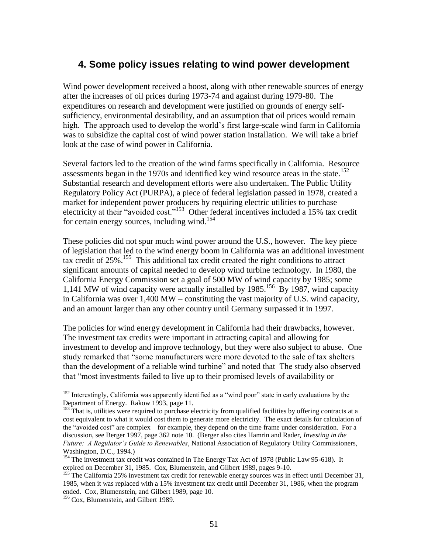## **4. Some policy issues relating to wind power development**

Wind power development received a boost, along with other renewable sources of energy after the increases of oil prices during 1973-74 and against during 1979-80. The expenditures on research and development were justified on grounds of energy selfsufficiency, environmental desirability, and an assumption that oil prices would remain high. The approach used to develop the world's first large-scale wind farm in California was to subsidize the capital cost of wind power station installation. We will take a brief look at the case of wind power in California.

Several factors led to the creation of the wind farms specifically in California. Resource assessments began in the 1970s and identified key wind resource areas in the state.<sup>152</sup> Substantial research and development efforts were also undertaken. The Public Utility Regulatory Policy Act (PURPA), a piece of federal legislation passed in 1978, created a market for independent power producers by requiring electric utilities to purchase electricity at their "avoided cost."<sup>153</sup> Other federal incentives included a 15% tax credit for certain energy sources, including wind.<sup>154</sup>

These policies did not spur much wind power around the U.S., however. The key piece of legislation that led to the wind energy boom in California was an additional investment tax credit of 25%.<sup>155</sup> This additional tax credit created the right conditions to attract significant amounts of capital needed to develop wind turbine technology. In 1980, the California Energy Commission set a goal of 500 MW of wind capacity by 1985; some 1,141 MW of wind capacity were actually installed by 1985.<sup>156</sup> By 1987, wind capacity in California was over 1,400 MW – constituting the vast majority of U.S. wind capacity, and an amount larger than any other country until Germany surpassed it in 1997.

The policies for wind energy development in California had their drawbacks, however. The investment tax credits were important in attracting capital and allowing for investment to develop and improve technology, but they were also subject to abuse. One study remarked that "some manufacturers were more devoted to the sale of tax shelters than the development of a reliable wind turbine" and noted that The study also observed that "most investments failed to live up to their promised levels of availability or

<sup>&</sup>lt;sup>152</sup> Interestingly, California was apparently identified as a "wind poor" state in early evaluations by the Department of Energy. Rakow 1993, page 11.

<sup>&</sup>lt;sup>153</sup> That is, utilities were required to purchase electricity from qualified facilities by offering contracts at a cost equivalent to what it would cost them to generate more electricity. The exact details for calculation of the "avoided cost" are complex – for example, they depend on the time frame under consideration. For a discussion, see Berger 1997, page 362 note 10. (Berger also cites Hamrin and Rader, *Investing in the Future: A Regulator's Guide to Renewables*, National Association of Regulatory Utility Commissioners, Washington, D.C., 1994.)

<sup>&</sup>lt;sup>154</sup> The investment tax credit was contained in The Energy Tax Act of 1978 (Public Law 95-618). It expired on December 31, 1985. Cox, Blumenstein, and Gilbert 1989, pages 9-10.

<sup>&</sup>lt;sup>155</sup> The California 25% investment tax credit for renewable energy sources was in effect until December 31, 1985, when it was replaced with a 15% investment tax credit until December 31, 1986, when the program ended. Cox, Blumenstein, and Gilbert 1989, page 10.

<sup>&</sup>lt;sup>156</sup> Cox, Blumenstein, and Gilbert 1989.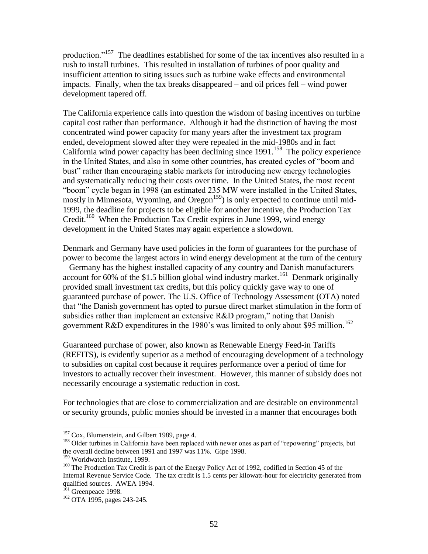production."<sup>157</sup> The deadlines established for some of the tax incentives also resulted in a rush to install turbines. This resulted in installation of turbines of poor quality and insufficient attention to siting issues such as turbine wake effects and environmental impacts. Finally, when the tax breaks disappeared – and oil prices fell – wind power development tapered off.

The California experience calls into question the wisdom of basing incentives on turbine capital cost rather than performance. Although it had the distinction of having the most concentrated wind power capacity for many years after the investment tax program ended, development slowed after they were repealed in the mid-1980s and in fact California wind power capacity has been declining since  $1991$ .<sup>158</sup> The policy experience in the United States, and also in some other countries, has created cycles of "boom and bust" rather than encouraging stable markets for introducing new energy technologies and systematically reducing their costs over time. In the United States, the most recent "boom" cycle began in 1998 (an estimated 235 MW were installed in the United States, mostly in Minnesota, Wyoming, and Oregon<sup>159</sup>) is only expected to continue until mid-1999, the deadline for projects to be eligible for another incentive, the Production Tax Credit.<sup>160</sup> When the Production Tax Credit expires in June 1999, wind energy development in the United States may again experience a slowdown.

Denmark and Germany have used policies in the form of guarantees for the purchase of power to become the largest actors in wind energy development at the turn of the century – Germany has the highest installed capacity of any country and Danish manufacturers account for  $60\%$  of the \$1.5 billion global wind industry market.<sup>161</sup> Denmark originally provided small investment tax credits, but this policy quickly gave way to one of guaranteed purchase of power. The U.S. Office of Technology Assessment (OTA) noted that "the Danish government has opted to pursue direct market stimulation in the form of subsidies rather than implement an extensive R&D program," noting that Danish government R&D expenditures in the 1980's was limited to only about \$95 million.<sup>162</sup>

Guaranteed purchase of power, also known as Renewable Energy Feed-in Tariffs (REFITS), is evidently superior as a method of encouraging development of a technology to subsidies on capital cost because it requires performance over a period of time for investors to actually recover their investment. However, this manner of subsidy does not necessarily encourage a systematic reduction in cost.

For technologies that are close to commercialization and are desirable on environmental or security grounds, public monies should be invested in a manner that encourages both

<sup>&</sup>lt;sup>157</sup> Cox, Blumenstein, and Gilbert 1989, page 4.

<sup>&</sup>lt;sup>158</sup> Older turbines in California have been replaced with newer ones as part of "repowering" projects, but the overall decline between 1991 and 1997 was 11%. Gipe 1998.

<sup>&</sup>lt;sup>159</sup> Worldwatch Institute, 1999.

<sup>&</sup>lt;sup>160</sup> The Production Tax Credit is part of the Energy Policy Act of 1992, codified in Section 45 of the Internal Revenue Service Code. The tax credit is 1.5 cents per kilowatt-hour for electricity generated from qualified sources. AWEA 1994.

<sup>&</sup>lt;sup>161</sup> Greenpeace 1998.

<sup>162</sup> OTA 1995, pages 243-245.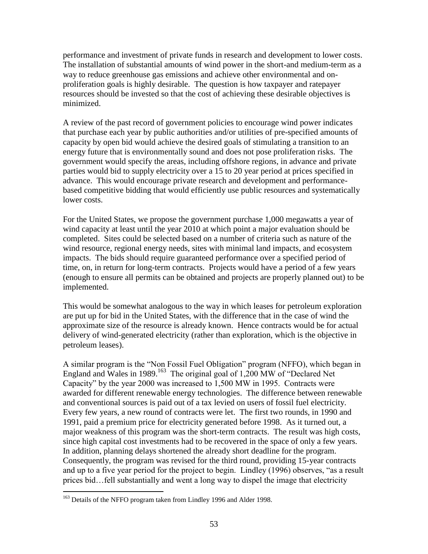performance and investment of private funds in research and development to lower costs. The installation of substantial amounts of wind power in the short-and medium-term as a way to reduce greenhouse gas emissions and achieve other environmental and onproliferation goals is highly desirable. The question is how taxpayer and ratepayer resources should be invested so that the cost of achieving these desirable objectives is minimized.

A review of the past record of government policies to encourage wind power indicates that purchase each year by public authorities and/or utilities of pre-specified amounts of capacity by open bid would achieve the desired goals of stimulating a transition to an energy future that is environmentally sound and does not pose proliferation risks. The government would specify the areas, including offshore regions, in advance and private parties would bid to supply electricity over a 15 to 20 year period at prices specified in advance. This would encourage private research and development and performancebased competitive bidding that would efficiently use public resources and systematically lower costs.

For the United States, we propose the government purchase 1,000 megawatts a year of wind capacity at least until the year 2010 at which point a major evaluation should be completed. Sites could be selected based on a number of criteria such as nature of the wind resource, regional energy needs, sites with minimal land impacts, and ecosystem impacts. The bids should require guaranteed performance over a specified period of time, on, in return for long-term contracts. Projects would have a period of a few years (enough to ensure all permits can be obtained and projects are properly planned out) to be implemented.

This would be somewhat analogous to the way in which leases for petroleum exploration are put up for bid in the United States, with the difference that in the case of wind the approximate size of the resource is already known. Hence contracts would be for actual delivery of wind-generated electricity (rather than exploration, which is the objective in petroleum leases).

A similar program is the "Non Fossil Fuel Obligation" program (NFFO), which began in England and Wales in 1989.<sup>163</sup> The original goal of 1,200 MW of "Declared Net Capacity" by the year 2000 was increased to 1,500 MW in 1995. Contracts were awarded for different renewable energy technologies. The difference between renewable and conventional sources is paid out of a tax levied on users of fossil fuel electricity. Every few years, a new round of contracts were let. The first two rounds, in 1990 and 1991, paid a premium price for electricity generated before 1998. As it turned out, a major weakness of this program was the short-term contracts. The result was high costs, since high capital cost investments had to be recovered in the space of only a few years. In addition, planning delays shortened the already short deadline for the program. Consequently, the program was revised for the third round, providing 15-year contracts and up to a five year period for the project to begin. Lindley (1996) observes, "as a result prices bid…fell substantially and went a long way to dispel the image that electricity

<sup>&</sup>lt;sup>163</sup> Details of the NFFO program taken from Lindley 1996 and Alder 1998.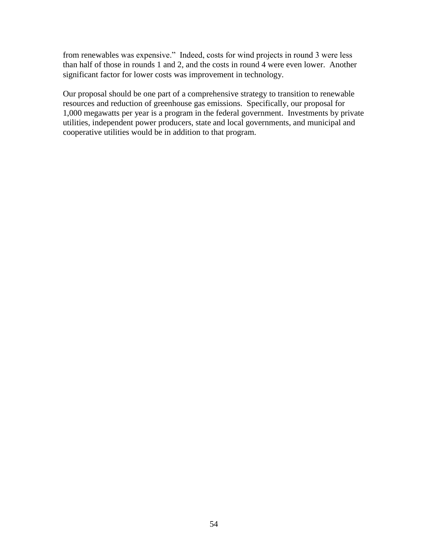from renewables was expensive." Indeed, costs for wind projects in round 3 were less than half of those in rounds 1 and 2, and the costs in round 4 were even lower. Another significant factor for lower costs was improvement in technology.

Our proposal should be one part of a comprehensive strategy to transition to renewable resources and reduction of greenhouse gas emissions. Specifically, our proposal for 1,000 megawatts per year is a program in the federal government. Investments by private utilities, independent power producers, state and local governments, and municipal and cooperative utilities would be in addition to that program.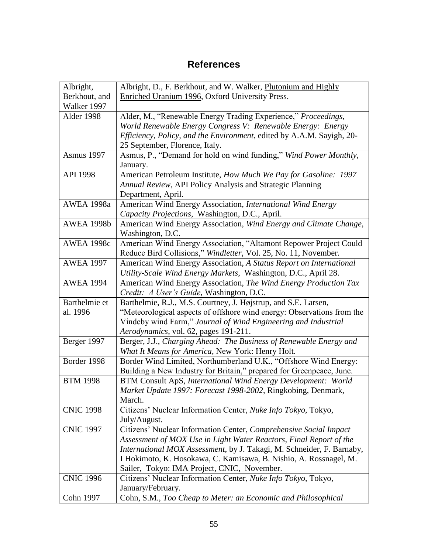# **References**

| Albright,         | Albright, D., F. Berkhout, and W. Walker, Plutonium and Highly         |
|-------------------|------------------------------------------------------------------------|
| Berkhout, and     | Enriched Uranium 1996, Oxford University Press.                        |
| Walker 1997       |                                                                        |
| Alder 1998        | Alder, M., "Renewable Energy Trading Experience," Proceedings,         |
|                   | World Renewable Energy Congress V: Renewable Energy: Energy            |
|                   | Efficiency, Policy, and the Environment, edited by A.A.M. Sayigh, 20-  |
|                   | 25 September, Florence, Italy.                                         |
| <b>Asmus 1997</b> | Asmus, P., "Demand for hold on wind funding," Wind Power Monthly,      |
|                   | January.                                                               |
| <b>API 1998</b>   | American Petroleum Institute, How Much We Pay for Gasoline: 1997       |
|                   | Annual Review, API Policy Analysis and Strategic Planning              |
|                   | Department, April.                                                     |
| <b>AWEA 1998a</b> | American Wind Energy Association, International Wind Energy            |
|                   | Capacity Projections, Washington, D.C., April.                         |
| <b>AWEA 1998b</b> | American Wind Energy Association, Wind Energy and Climate Change,      |
|                   | Washington, D.C.                                                       |
| <b>AWEA 1998c</b> | American Wind Energy Association, "Altamont Repower Project Could      |
|                   | Reduce Bird Collisions," Windletter, Vol. 25, No. 11, November.        |
| <b>AWEA 1997</b>  | American Wind Energy Association, A Status Report on International     |
|                   | Utility-Scale Wind Energy Markets, Washington, D.C., April 28.         |
| <b>AWEA 1994</b>  | American Wind Energy Association, The Wind Energy Production Tax       |
|                   | Credit: A User's Guide, Washington, D.C.                               |
| Barthelmie et     | Barthelmie, R.J., M.S. Courtney, J. Højstrup, and S.E. Larsen,         |
| al. 1996          | "Meteorological aspects of offshore wind energy: Observations from the |
|                   | Vindeby wind Farm," Journal of Wind Engineering and Industrial         |
|                   | Aerodynamics, vol. 62, pages 191-211.                                  |
| Berger 1997       | Berger, J.J., Charging Ahead: The Business of Renewable Energy and     |
|                   | What It Means for America, New York: Henry Holt.                       |
| Border 1998       | Border Wind Limited, Northumberland U.K., "Offshore Wind Energy:       |
|                   | Building a New Industry for Britain," prepared for Greenpeace, June.   |
| <b>BTM 1998</b>   | BTM Consult ApS, International Wind Energy Development: World          |
|                   | Market Update 1997: Forecast 1998-2002, Ringkobing, Denmark,           |
|                   | March.                                                                 |
| <b>CNIC 1998</b>  | Citizens' Nuclear Information Center, Nuke Info Tokyo, Tokyo,          |
|                   | July/August.                                                           |
| <b>CNIC 1997</b>  | Citizens' Nuclear Information Center, Comprehensive Social Impact      |
|                   | Assessment of MOX Use in Light Water Reactors, Final Report of the     |
|                   | International MOX Assessment, by J. Takagi, M. Schneider, F. Barnaby,  |
|                   | I Hokimoto, K. Hosokawa, C. Kamisawa, B. Nishio, A. Rossnagel, M.      |
|                   | Sailer, Tokyo: IMA Project, CNIC, November.                            |
| <b>CNIC 1996</b>  | Citizens' Nuclear Information Center, Nuke Info Tokyo, Tokyo,          |
|                   | January/February.                                                      |
| <b>Cohn 1997</b>  | Cohn, S.M., Too Cheap to Meter: an Economic and Philosophical          |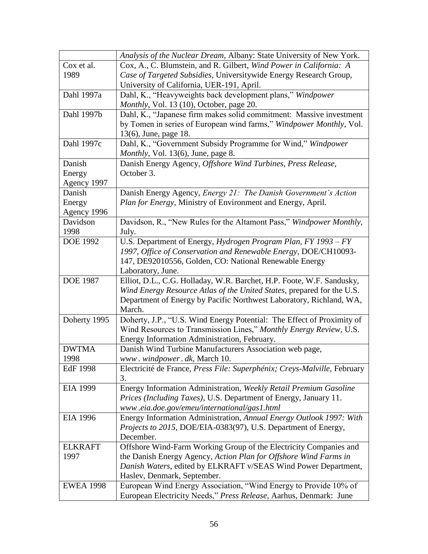|                  | Analysis of the Nuclear Dream, Albany: State University of New York.     |
|------------------|--------------------------------------------------------------------------|
| Cox et al.       | Cox, A., C. Blumstein, and R. Gilbert, Wind Power in California: A       |
| 1989             | Case of Targeted Subsidies, Universitywide Energy Research Group,        |
|                  | University of California, UER-191, April.                                |
| Dahl 1997a       | Dahl, K., "Heavyweights back development plans," Windpower               |
|                  | Monthly, Vol. 13 (10), October, page 20.                                 |
| Dahl 1997b       | Dahl, K., "Japanese firm makes solid commitment: Massive investment      |
|                  | by Tomen in series of European wind farms," Windpower Monthly, Vol.      |
|                  | 13(6), June, page 18.                                                    |
| Dahl 1997c       | Dahl, K., "Government Subsidy Programme for Wind," Windpower             |
|                  | Monthly, Vol. 13(6), June, page 8.                                       |
| Danish           | Danish Energy Agency, Offshore Wind Turbines, Press Release,             |
| Energy           | October 3.                                                               |
| Agency 1997      |                                                                          |
| Danish           | Danish Energy Agency, Energy 21: The Danish Government's Action          |
| Energy           | Plan for Energy, Ministry of Environment and Energy, April.              |
| Agency 1996      |                                                                          |
| Davidson         | Davidson, R., "New Rules for the Altamont Pass," Windpower Monthly,      |
| 1998             | July.                                                                    |
| <b>DOE 1992</b>  | U.S. Department of Energy, Hydrogen Program Plan, FY 1993 - FY           |
|                  | 1997, Office of Conservation and Renewable Energy, DOE/CH10093-          |
|                  | 147, DE92010556, Golden, CO: National Renewable Energy                   |
|                  | Laboratory, June.                                                        |
| <b>DOE 1987</b>  | Elliot, D.L., C.G. Holladay, W.R. Barchet, H.P. Foote, W.F. Sandusky,    |
|                  | Wind Energy Resource Atlas of the United States, prepared for the U.S.   |
|                  | Department of Energy by Pacific Northwest Laboratory, Richland, WA,      |
|                  | March.                                                                   |
| Doherty 1995     | Doherty, J.P., "U.S. Wind Energy Potential: The Effect of Proximity of   |
|                  | Wind Resources to Transmission Lines," Monthly Energy Review, U.S.       |
|                  | Energy Information Administration, February.                             |
| <b>DWTMA</b>     | Danish Wind Turbine Manufacturers Association web page,                  |
| 1998             | www.windpower.dk, March 10.                                              |
| <b>EdF 1998</b>  | Electricité de France, Press File: Superphénix; Creys-Malville, February |
|                  | 3.                                                                       |
| EIA 1999         | Energy Information Administration, Weekly Retail Premium Gasoline        |
|                  | Prices (Including Taxes), U.S. Department of Energy, January 11.         |
|                  | www.eia.doe.gov/emeu/international/gas1.html                             |
| <b>EIA 1996</b>  | Energy Information Administration, Annual Energy Outlook 1997: With      |
|                  | Projects to 2015, DOE/EIA-0383(97), U.S. Department of Energy,           |
|                  | December.                                                                |
| <b>ELKRAFT</b>   | Offshore Wind-Farm Working Group of the Electricity Companies and        |
| 1997             | the Danish Energy Agency, Action Plan for Offshore Wind Farms in         |
|                  | Danish Waters, edited by ELKRAFT v/SEAS Wind Power Department,           |
|                  | Haslev, Denmark, September.                                              |
| <b>EWEA 1998</b> | European Wind Energy Association, "Wind Energy to Provide 10% of         |
|                  | European Electricity Needs," Press Release, Aarhus, Denmark: June        |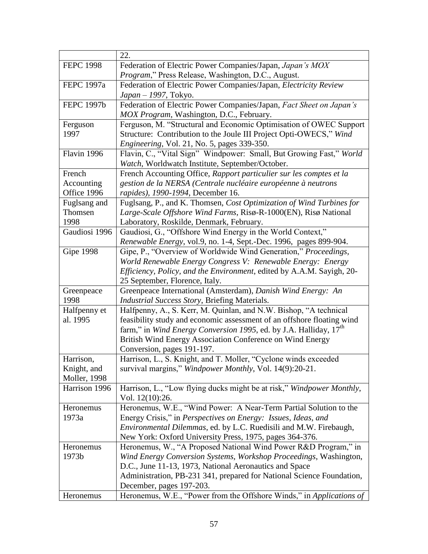| <b>FEPC 1998</b><br>Federation of Electric Power Companies/Japan, Japan's MOX<br>Program," Press Release, Washington, D.C., August.<br>Federation of Electric Power Companies/Japan, Electricity Review<br>FEPC 1997a<br>Japan – 1997, Tokyo.<br>Federation of Electric Power Companies/Japan, Fact Sheet on Japan's<br><b>FEPC 1997b</b><br>MOX Program, Washington, D.C., February.<br>Ferguson, M. "Structural and Economic Optimisation of OWEC Support<br>Ferguson<br>Structure: Contribution to the Joule III Project Opti-OWECS," Wind<br>1997<br><i>Engineering, Vol. 21, No. 5, pages 339-350.</i><br>Flavin, C., "Vital Sign" Windpower: Small, But Growing Fast," World<br>Flavin 1996<br>Watch, Worldwatch Institute, September/October.<br>French<br>French Accounting Office, Rapport particulier sur les comptes et la<br>gestion de la NERSA (Centrale nucléaire européenne à neutrons<br>Accounting<br>Office 1996<br>rapides), 1990-1994, December 16.<br>Fuglsang, P., and K. Thomsen, Cost Optimization of Wind Turbines for<br>Fuglsang and<br>Thomsen<br>Large-Scale Offshore Wind Farms, Risø-R-1000(EN), Risø National |
|------------------------------------------------------------------------------------------------------------------------------------------------------------------------------------------------------------------------------------------------------------------------------------------------------------------------------------------------------------------------------------------------------------------------------------------------------------------------------------------------------------------------------------------------------------------------------------------------------------------------------------------------------------------------------------------------------------------------------------------------------------------------------------------------------------------------------------------------------------------------------------------------------------------------------------------------------------------------------------------------------------------------------------------------------------------------------------------------------------------------------------------------|
|                                                                                                                                                                                                                                                                                                                                                                                                                                                                                                                                                                                                                                                                                                                                                                                                                                                                                                                                                                                                                                                                                                                                                |
|                                                                                                                                                                                                                                                                                                                                                                                                                                                                                                                                                                                                                                                                                                                                                                                                                                                                                                                                                                                                                                                                                                                                                |
|                                                                                                                                                                                                                                                                                                                                                                                                                                                                                                                                                                                                                                                                                                                                                                                                                                                                                                                                                                                                                                                                                                                                                |
|                                                                                                                                                                                                                                                                                                                                                                                                                                                                                                                                                                                                                                                                                                                                                                                                                                                                                                                                                                                                                                                                                                                                                |
|                                                                                                                                                                                                                                                                                                                                                                                                                                                                                                                                                                                                                                                                                                                                                                                                                                                                                                                                                                                                                                                                                                                                                |
|                                                                                                                                                                                                                                                                                                                                                                                                                                                                                                                                                                                                                                                                                                                                                                                                                                                                                                                                                                                                                                                                                                                                                |
|                                                                                                                                                                                                                                                                                                                                                                                                                                                                                                                                                                                                                                                                                                                                                                                                                                                                                                                                                                                                                                                                                                                                                |
|                                                                                                                                                                                                                                                                                                                                                                                                                                                                                                                                                                                                                                                                                                                                                                                                                                                                                                                                                                                                                                                                                                                                                |
|                                                                                                                                                                                                                                                                                                                                                                                                                                                                                                                                                                                                                                                                                                                                                                                                                                                                                                                                                                                                                                                                                                                                                |
|                                                                                                                                                                                                                                                                                                                                                                                                                                                                                                                                                                                                                                                                                                                                                                                                                                                                                                                                                                                                                                                                                                                                                |
|                                                                                                                                                                                                                                                                                                                                                                                                                                                                                                                                                                                                                                                                                                                                                                                                                                                                                                                                                                                                                                                                                                                                                |
|                                                                                                                                                                                                                                                                                                                                                                                                                                                                                                                                                                                                                                                                                                                                                                                                                                                                                                                                                                                                                                                                                                                                                |
|                                                                                                                                                                                                                                                                                                                                                                                                                                                                                                                                                                                                                                                                                                                                                                                                                                                                                                                                                                                                                                                                                                                                                |
|                                                                                                                                                                                                                                                                                                                                                                                                                                                                                                                                                                                                                                                                                                                                                                                                                                                                                                                                                                                                                                                                                                                                                |
|                                                                                                                                                                                                                                                                                                                                                                                                                                                                                                                                                                                                                                                                                                                                                                                                                                                                                                                                                                                                                                                                                                                                                |
|                                                                                                                                                                                                                                                                                                                                                                                                                                                                                                                                                                                                                                                                                                                                                                                                                                                                                                                                                                                                                                                                                                                                                |
| Laboratory, Roskilde, Denmark, February.<br>1998                                                                                                                                                                                                                                                                                                                                                                                                                                                                                                                                                                                                                                                                                                                                                                                                                                                                                                                                                                                                                                                                                               |
| Gaudiosi 1996<br>Gaudiosi, G., "Offshore Wind Energy in the World Context,"                                                                                                                                                                                                                                                                                                                                                                                                                                                                                                                                                                                                                                                                                                                                                                                                                                                                                                                                                                                                                                                                    |
| Renewable Energy, vol.9, no. 1-4, Sept.-Dec. 1996, pages 899-904.                                                                                                                                                                                                                                                                                                                                                                                                                                                                                                                                                                                                                                                                                                                                                                                                                                                                                                                                                                                                                                                                              |
| <b>Gipe 1998</b><br>Gipe, P., "Overview of Worldwide Wind Generation," Proceedings,                                                                                                                                                                                                                                                                                                                                                                                                                                                                                                                                                                                                                                                                                                                                                                                                                                                                                                                                                                                                                                                            |
| World Renewable Energy Congress V: Renewable Energy: Energy                                                                                                                                                                                                                                                                                                                                                                                                                                                                                                                                                                                                                                                                                                                                                                                                                                                                                                                                                                                                                                                                                    |
| Efficiency, Policy, and the Environment, edited by A.A.M. Sayigh, 20-                                                                                                                                                                                                                                                                                                                                                                                                                                                                                                                                                                                                                                                                                                                                                                                                                                                                                                                                                                                                                                                                          |
| 25 September, Florence, Italy.                                                                                                                                                                                                                                                                                                                                                                                                                                                                                                                                                                                                                                                                                                                                                                                                                                                                                                                                                                                                                                                                                                                 |
| Greenpeace International (Amsterdam), Danish Wind Energy: An<br>Greenpeace                                                                                                                                                                                                                                                                                                                                                                                                                                                                                                                                                                                                                                                                                                                                                                                                                                                                                                                                                                                                                                                                     |
| 1998<br><b>Industrial Success Story, Briefing Materials.</b>                                                                                                                                                                                                                                                                                                                                                                                                                                                                                                                                                                                                                                                                                                                                                                                                                                                                                                                                                                                                                                                                                   |
| Halfpenny, A., S. Kerr, M. Quinlan, and N.W. Bishop, "A technical<br>Halfpenny et                                                                                                                                                                                                                                                                                                                                                                                                                                                                                                                                                                                                                                                                                                                                                                                                                                                                                                                                                                                                                                                              |
| feasibility study and economic assessment of an offshore floating wind<br>al. 1995                                                                                                                                                                                                                                                                                                                                                                                                                                                                                                                                                                                                                                                                                                                                                                                                                                                                                                                                                                                                                                                             |
| farm," in Wind Energy Conversion 1995, ed. by J.A. Halliday, 17 <sup>th</sup>                                                                                                                                                                                                                                                                                                                                                                                                                                                                                                                                                                                                                                                                                                                                                                                                                                                                                                                                                                                                                                                                  |
| British Wind Energy Association Conference on Wind Energy                                                                                                                                                                                                                                                                                                                                                                                                                                                                                                                                                                                                                                                                                                                                                                                                                                                                                                                                                                                                                                                                                      |
| Conversion, pages 191-197.                                                                                                                                                                                                                                                                                                                                                                                                                                                                                                                                                                                                                                                                                                                                                                                                                                                                                                                                                                                                                                                                                                                     |
| Harrison, L., S. Knight, and T. Moller, "Cyclone winds exceeded<br>Harrison,                                                                                                                                                                                                                                                                                                                                                                                                                                                                                                                                                                                                                                                                                                                                                                                                                                                                                                                                                                                                                                                                   |
| survival margins," Windpower Monthly, Vol. 14(9):20-21.<br>Knight, and                                                                                                                                                                                                                                                                                                                                                                                                                                                                                                                                                                                                                                                                                                                                                                                                                                                                                                                                                                                                                                                                         |
| Moller, 1998                                                                                                                                                                                                                                                                                                                                                                                                                                                                                                                                                                                                                                                                                                                                                                                                                                                                                                                                                                                                                                                                                                                                   |
| Harrison, L., "Low flying ducks might be at risk," Windpower Monthly,<br>Harrison 1996                                                                                                                                                                                                                                                                                                                                                                                                                                                                                                                                                                                                                                                                                                                                                                                                                                                                                                                                                                                                                                                         |
| Vol. 12(10):26.                                                                                                                                                                                                                                                                                                                                                                                                                                                                                                                                                                                                                                                                                                                                                                                                                                                                                                                                                                                                                                                                                                                                |
| Heronemus, W.E., "Wind Power: A Near-Term Partial Solution to the<br>Heronemus                                                                                                                                                                                                                                                                                                                                                                                                                                                                                                                                                                                                                                                                                                                                                                                                                                                                                                                                                                                                                                                                 |
| 1973a<br>Energy Crisis," in Perspectives on Energy: Issues, Ideas, and                                                                                                                                                                                                                                                                                                                                                                                                                                                                                                                                                                                                                                                                                                                                                                                                                                                                                                                                                                                                                                                                         |
| <i>Environmental Dilemmas, ed. by L.C. Ruedisili and M.W. Firebaugh,</i>                                                                                                                                                                                                                                                                                                                                                                                                                                                                                                                                                                                                                                                                                                                                                                                                                                                                                                                                                                                                                                                                       |
| New York: Oxford University Press, 1975, pages 364-376.                                                                                                                                                                                                                                                                                                                                                                                                                                                                                                                                                                                                                                                                                                                                                                                                                                                                                                                                                                                                                                                                                        |
| Heronemus, W., "A Proposed National Wind Power R&D Program," in<br>Heronemus                                                                                                                                                                                                                                                                                                                                                                                                                                                                                                                                                                                                                                                                                                                                                                                                                                                                                                                                                                                                                                                                   |
| Wind Energy Conversion Systems, Workshop Proceedings, Washington,<br>1973b                                                                                                                                                                                                                                                                                                                                                                                                                                                                                                                                                                                                                                                                                                                                                                                                                                                                                                                                                                                                                                                                     |
| D.C., June 11-13, 1973, National Aeronautics and Space                                                                                                                                                                                                                                                                                                                                                                                                                                                                                                                                                                                                                                                                                                                                                                                                                                                                                                                                                                                                                                                                                         |
| Administration, PB-231 341, prepared for National Science Foundation,                                                                                                                                                                                                                                                                                                                                                                                                                                                                                                                                                                                                                                                                                                                                                                                                                                                                                                                                                                                                                                                                          |
| December, pages 197-203.                                                                                                                                                                                                                                                                                                                                                                                                                                                                                                                                                                                                                                                                                                                                                                                                                                                                                                                                                                                                                                                                                                                       |
| Heronemus, W.E., "Power from the Offshore Winds," in Applications of<br>Heronemus                                                                                                                                                                                                                                                                                                                                                                                                                                                                                                                                                                                                                                                                                                                                                                                                                                                                                                                                                                                                                                                              |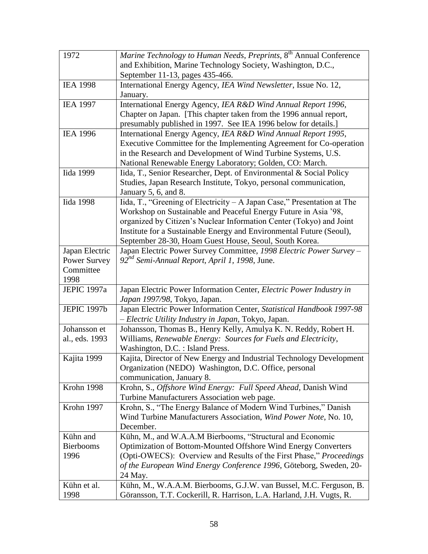| 1972               | Marine Technology to Human Needs, Preprints, 8 <sup>th</sup> Annual Conference |
|--------------------|--------------------------------------------------------------------------------|
|                    | and Exhibition, Marine Technology Society, Washington, D.C.,                   |
|                    | September 11-13, pages 435-466.                                                |
| <b>IEA 1998</b>    | International Energy Agency, IEA Wind Newsletter, Issue No. 12,                |
|                    | January.                                                                       |
| <b>IEA 1997</b>    | International Energy Agency, IEA R&D Wind Annual Report 1996,                  |
|                    | Chapter on Japan. [This chapter taken from the 1996 annual report,             |
|                    | presumably published in 1997. See IEA 1996 below for details.]                 |
| <b>IEA 1996</b>    | International Energy Agency, IEA R&D Wind Annual Report 1995,                  |
|                    | Executive Committee for the Implementing Agreement for Co-operation            |
|                    | in the Research and Development of Wind Turbine Systems, U.S.                  |
|                    | National Renewable Energy Laboratory; Golden, CO: March.                       |
| Iida 1999          | Iida, T., Senior Researcher, Dept. of Environmental & Social Policy            |
|                    | Studies, Japan Research Institute, Tokyo, personal communication,              |
|                    | January 5, 6, and 8.                                                           |
| <b>Iida 1998</b>   | Iida, T., "Greening of Electricity - A Japan Case," Presentation at The        |
|                    | Workshop on Sustainable and Peaceful Energy Future in Asia '98,                |
|                    | organized by Citizen's Nuclear Information Center (Tokyo) and Joint            |
|                    | Institute for a Sustainable Energy and Environmental Future (Seoul),           |
|                    | September 28-30, Hoam Guest House, Seoul, South Korea.                         |
| Japan Electric     | Japan Electric Power Survey Committee, 1998 Electric Power Survey -            |
| Power Survey       | 92 <sup>nd</sup> Semi-Annual Report, April 1, 1998, June.                      |
| Committee          |                                                                                |
| 1998               |                                                                                |
| <b>JEPIC 1997a</b> | Japan Electric Power Information Center, Electric Power Industry in            |
|                    | Japan 1997/98, Tokyo, Japan.                                                   |
| <b>JEPIC 1997b</b> | Japan Electric Power Information Center, Statistical Handbook 1997-98          |
|                    | - Electric Utility Industry in Japan, Tokyo, Japan.                            |
| Johansson et       | Johansson, Thomas B., Henry Kelly, Amulya K. N. Reddy, Robert H.               |
| al., eds. 1993     | Williams, Renewable Energy: Sources for Fuels and Electricity,                 |
|                    | Washington, D.C. : Island Press.                                               |
| Kajita 1999        | Kajita, Director of New Energy and Industrial Technology Development           |
|                    | Organization (NEDO) Washington, D.C. Office, personal                          |
|                    | communication, January 8.                                                      |
| Krohn 1998         | Krohn, S., Offshore Wind Energy: Full Speed Ahead, Danish Wind                 |
|                    | Turbine Manufacturers Association web page.                                    |
| Krohn 1997         | Krohn, S., "The Energy Balance of Modern Wind Turbines," Danish                |
|                    | Wind Turbine Manufacturers Association, Wind Power Note, No. 10,               |
|                    | December.                                                                      |
| Kühn and           | Kühn, M., and W.A.A.M Bierbooms, "Structural and Economic                      |
| <b>Bierbooms</b>   | Optimization of Bottom-Mounted Offshore Wind Energy Converters                 |
| 1996               | (Opti-OWECS): Overview and Results of the First Phase," Proceedings            |
|                    | of the European Wind Energy Conference 1996, Göteborg, Sweden, 20-             |
|                    | 24 May.                                                                        |
| Kühn et al.        | Kühn, M., W.A.A.M. Bierbooms, G.J.W. van Bussel, M.C. Ferguson, B.             |
| 1998               | Göransson, T.T. Cockerill, R. Harrison, L.A. Harland, J.H. Vugts, R.           |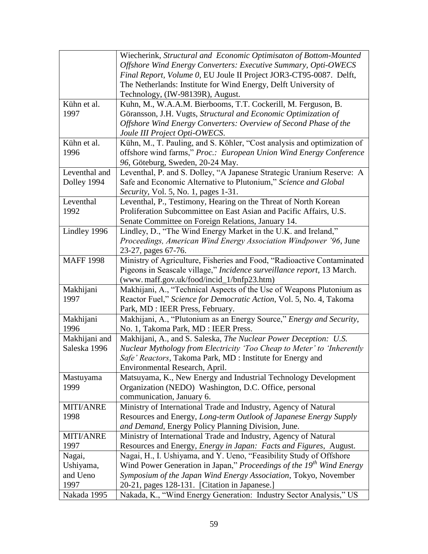|                  | Wiecherink, Structural and Economic Optimisaton of Bottom-Mounted                                                                     |
|------------------|---------------------------------------------------------------------------------------------------------------------------------------|
|                  | Offshore Wind Energy Converters: Executive Summary, Opti-OWECS                                                                        |
|                  | Final Report, Volume 0, EU Joule II Project JOR3-CT95-0087. Delft,                                                                    |
|                  | The Netherlands: Institute for Wind Energy, Delft University of                                                                       |
|                  | Technology, (IW-98139R), August.                                                                                                      |
| Kühn et al.      | Kuhn, M., W.A.A.M. Bierbooms, T.T. Cockerill, M. Ferguson, B.                                                                         |
| 1997             | Göransson, J.H. Vugts, Structural and Economic Optimization of                                                                        |
|                  | Offshore Wind Energy Converters: Overview of Second Phase of the                                                                      |
|                  | Joule III Project Opti-OWECS.                                                                                                         |
| Kühn et al.      | Kühn, M., T. Pauling, and S. Köhler, "Cost analysis and optimization of                                                               |
| 1996             | offshore wind farms," Proc.: European Union Wind Energy Conference                                                                    |
|                  | 96, Göteburg, Sweden, 20-24 May.                                                                                                      |
| Leventhal and    | Leventhal, P. and S. Dolley, "A Japanese Strategic Uranium Reserve: A                                                                 |
| Dolley 1994      | Safe and Economic Alternative to Plutonium," Science and Global                                                                       |
|                  | Security, Vol. 5, No. 1, pages 1-31.                                                                                                  |
| Leventhal        |                                                                                                                                       |
| 1992             | Leventhal, P., Testimony, Hearing on the Threat of North Korean<br>Proliferation Subcommittee on East Asian and Pacific Affairs, U.S. |
|                  |                                                                                                                                       |
| Lindley 1996     | Senate Committee on Foreign Relations, January 14.                                                                                    |
|                  | Lindley, D., "The Wind Energy Market in the U.K. and Ireland,"                                                                        |
|                  | Proceedings, American Wind Energy Association Windpower '96, June                                                                     |
|                  | 23-27, pages 67-76.                                                                                                                   |
| <b>MAFF 1998</b> | Ministry of Agriculture, Fisheries and Food, "Radioactive Contaminated                                                                |
|                  | Pigeons in Seascale village," Incidence surveillance report, 13 March.                                                                |
|                  | (www.maff.gov.uk/food/incid_1/bnfp23.htm)                                                                                             |
| Makhijani        | Makhijani, A., "Technical Aspects of the Use of Weapons Plutonium as                                                                  |
| 1997             | Reactor Fuel," Science for Democratic Action, Vol. 5, No. 4, Takoma                                                                   |
|                  | Park, MD : IEER Press, February.                                                                                                      |
| Makhijani        | Makhijani, A., "Plutonium as an Energy Source," Energy and Security,                                                                  |
| 1996             | No. 1, Takoma Park, MD : IEER Press.                                                                                                  |
| Makhijani and    | Makhijani, A., and S. Saleska, The Nuclear Power Deception: U.S.                                                                      |
| Saleska 1996     | Nuclear Mythology from Electricity 'Too Cheap to Meter' to 'Inherently                                                                |
|                  | Safe' Reactors, Takoma Park, MD : Institute for Energy and                                                                            |
|                  | Environmental Research, April.                                                                                                        |
| Mastuyama        | Matsuyama, K., New Energy and Industrial Technology Development                                                                       |
| 1999             | Organization (NEDO) Washington, D.C. Office, personal                                                                                 |
|                  | communication, January 6.                                                                                                             |
| <b>MITI/ANRE</b> | Ministry of International Trade and Industry, Agency of Natural                                                                       |
| 1998             | Resources and Energy, Long-term Outlook of Japanese Energy Supply                                                                     |
|                  | and Demand, Energy Policy Planning Division, June.                                                                                    |
| <b>MITI/ANRE</b> | Ministry of International Trade and Industry, Agency of Natural                                                                       |
| 1997             | Resources and Energy, Energy in Japan: Facts and Figures, August.                                                                     |
| Nagai,           | Nagai, H., I. Ushiyama, and Y. Ueno, "Feasibility Study of Offshore                                                                   |
| Ushiyama,        | Wind Power Generation in Japan," Proceedings of the 19 <sup>th</sup> Wind Energy                                                      |
| and Ueno         | Symposium of the Japan Wind Energy Association, Tokyo, November                                                                       |
| 1997             | 20-21, pages 128-131. [Citation in Japanese.]                                                                                         |
| Nakada 1995      | Nakada, K., "Wind Energy Generation: Industry Sector Analysis," US                                                                    |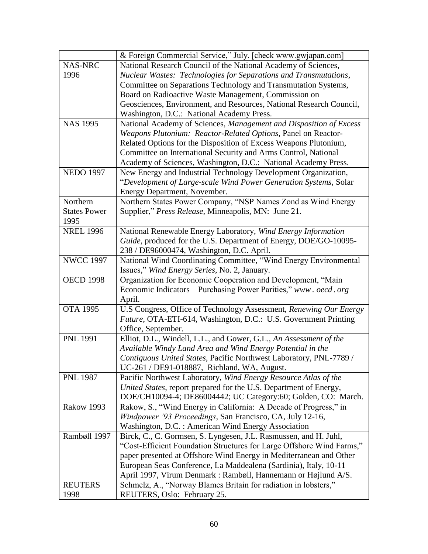|                     | & Foreign Commercial Service," July. [check www.gwjapan.com]          |
|---------------------|-----------------------------------------------------------------------|
| <b>NAS-NRC</b>      | National Research Council of the National Academy of Sciences,        |
| 1996                | Nuclear Wastes: Technologies for Separations and Transmutations,      |
|                     | Committee on Separations Technology and Transmutation Systems,        |
|                     | Board on Radioactive Waste Management, Commission on                  |
|                     | Geosciences, Environment, and Resources, National Research Council,   |
|                     | Washington, D.C.: National Academy Press.                             |
| <b>NAS 1995</b>     | National Academy of Sciences, Management and Disposition of Excess    |
|                     | Weapons Plutonium: Reactor-Related Options, Panel on Reactor-         |
|                     | Related Options for the Disposition of Excess Weapons Plutonium,      |
|                     | Committee on International Security and Arms Control, National        |
|                     | Academy of Sciences, Washington, D.C.: National Academy Press.        |
| <b>NEDO 1997</b>    | New Energy and Industrial Technology Development Organization,        |
|                     | "Development of Large-scale Wind Power Generation Systems, Solar      |
|                     | Energy Department, November.                                          |
| Northern            | Northern States Power Company, "NSP Names Zond as Wind Energy         |
| <b>States Power</b> | Supplier," Press Release, Minneapolis, MN: June 21.                   |
| 1995                |                                                                       |
| <b>NREL 1996</b>    | National Renewable Energy Laboratory, Wind Energy Information         |
|                     | Guide, produced for the U.S. Department of Energy, DOE/GO-10095-      |
|                     | 238 / DE96000474, Washington, D.C. April.                             |
| <b>NWCC 1997</b>    | National Wind Coordinating Committee, "Wind Energy Environmental      |
|                     | Issues," Wind Energy Series, No. 2, January.                          |
| <b>OECD 1998</b>    | Organization for Economic Cooperation and Development, "Main          |
|                     | Economic Indicators - Purchasing Power Parities," www.oecd.org        |
|                     | April.                                                                |
| <b>OTA 1995</b>     | U.S Congress, Office of Technology Assessment, Renewing Our Energy    |
|                     | Future, OTA-ETI-614, Washington, D.C.: U.S. Government Printing       |
|                     | Office, September.                                                    |
| <b>PNL 1991</b>     | Elliot, D.L., Windell, L.L., and Gower, G.L., An Assessment of the    |
|                     | Available Windy Land Area and Wind Energy Potential in the            |
|                     | Contiguous United States, Pacific Northwest Laboratory, PNL-7789 /    |
|                     | UC-261 / DE91-018887, Richland, WA, August.                           |
| <b>PNL 1987</b>     | Pacific Northwest Laboratory, Wind Energy Resource Atlas of the       |
|                     | United States, report prepared for the U.S. Department of Energy,     |
|                     | DOE/CH10094-4; DE86004442; UC Category:60; Golden, CO: March.         |
| <b>Rakow 1993</b>   | Rakow, S., "Wind Energy in California: A Decade of Progress," in      |
|                     | Windpower '93 Proceedings, San Francisco, CA, July 12-16,             |
|                     | Washington, D.C. : American Wind Energy Association                   |
| Rambøll 1997        | Birck, C., C. Gormsen, S. Lyngesen, J.L. Rasmussen, and H. Juhl,      |
|                     | "Cost-Efficient Foundation Structures for Large Offshore Wind Farms," |
|                     | paper presented at Offshore Wind Energy in Mediterranean and Other    |
|                     | European Seas Conference, La Maddealena (Sardinia), Italy, 10-11      |
|                     | April 1997, Virum Denmark: Rambøll, Hannemann or Højlund A/S.         |
| <b>REUTERS</b>      | Schmelz, A., "Norway Blames Britain for radiation in lobsters,"       |
| 1998                | REUTERS, Oslo: February 25.                                           |